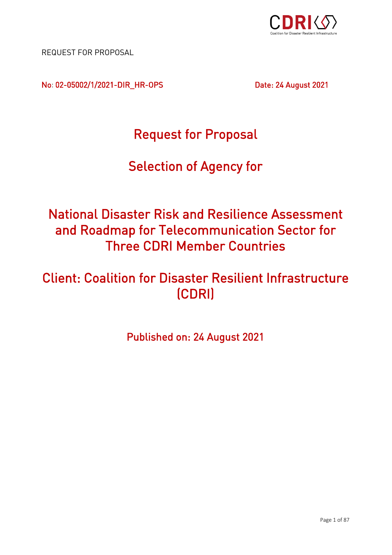

REQUEST FOR PROPOSAL

No: 02-05002/1/2021-DIR\_HR-OPS Date: 24 August 2021

Request for Proposal

# i<br>F Selection of Agency for

## **National Disaster Risk and Resilience Assessment** and Roadmap for Telecommunication Sector for **Three CDRI Member Countries** Three CDRI Member Countries

### **Client: Coalition for Disaster Resilient Infrastructure** Client: Coalition for Disaster Resilient Infrastructure  $(200, 0.00)$

2 Published on: 24 August 2021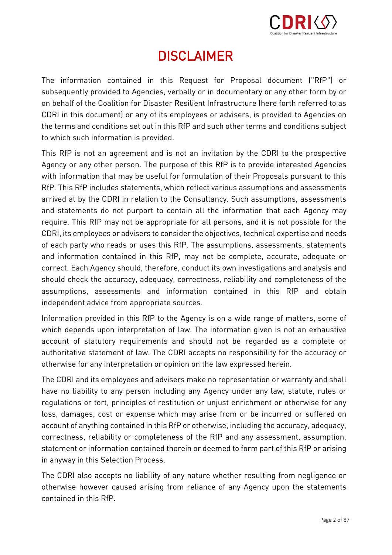

# DISCLAIMER

<span id="page-1-0"></span>The information contained in this Request for Proposal document ("RfP") or<br>subsequently provided to Agencies, verbally or in-documentary or any other form by or on behalf of the Coalition for Disaster Resilient Infrastructure (here forth referred to as CDRI in this document) or any of its employees or advisers, is provided to Agencies on the terms and conditions set out in this RfP and such other terms and conditions subject to which such information is provided. to which such information is provided.

This RfP is not an agreement and is not an invitation by the CDRI to the prospective<br>Agency or any other person. The purpose of this RfP is to provide interested Agencies with information that may be useful for formulation of their Proposals pursuant to this RfP. This RfP includes statements, which reflect various assumptions and assessments arrived at by the CDRI in relation to the Consultancy. Such assumptions, assessments and statements do not purport to contain all the information that each Agency may require. This RfP may not be appropriate for all persons, and it is not possible for the CDRI, its employees or advisers to consider the objectives, technical expertise and needs of each party who reads or uses this RfP. The assumptions, assessments, statements and information contained in this RfP, may not be complete, accurate, adequate or correct. Each Agency should, therefore, conduct its own investigations and analysis and should check the accuracy, adequacy, correctness, reliability and completeness of the assumptions, assessments and information contained in this RfP and obtain assumptions, assumptions, assessments and information contained in this RfP and obtained in this RfP and obtained in this RfP and obtained in this RfP and obtained in this RfP and obtained in this RfP and obtained in this independent advice from appropriate sources.

Information provided in this RfP to the Agency is on a wide range of matters, some of account of statutory requirements and should not be regarded as a complete or authoritative statement of law. The CDRI accepts no responsibility for the accuracy or otherwise for any interpretation or opinion on the law expressed herein. otherwise for any interpretation or opinion on the law expressed herein.

The CDRI and its employees and advisers make no representation or warranty and shall<br>have no liability to any person including any Agency under any law, statute, rules or regulations or tort, principles of restitution or unjust enrichment or otherwise for any loss, damages, cost or expense which may arise from or be incurred or suffered on account of anything contained in this RfP or otherwise, including the accuracy, adequacy, correctness, reliability or completeness of the RfP and any assessment, assumption, statement or information contained therein or deemed to form part of this RfP or arising  $s_{\rm{max}}$  information contained therein or deemed to form part of this RfP or deemed to form part of this RfP or arising  $\sim$ in anyway in this Selection Process.

The CDRI also accepts no liability of any non-displacepted from negligence or any negligence or the second negligence or the second second second second second second second second second second second second second second otherwise however caused arising from reliance of any Agency upon the statements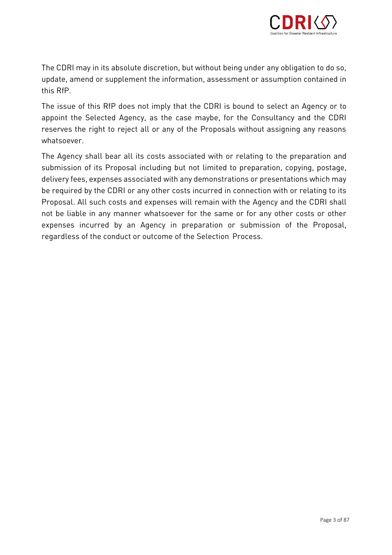

The CDRI may in its absolute discretion in its absolute discretion of the consequence of the so, and so, and so, any obligation to do so, any obligation to do so, any obligation to do so, any obligation to do so, any oblig update, amend or supplement the information, assessment or assumption contained in

The issue of this RfP does not imply that the CDRI is bound to select an Agency or to<br>appoint the Selected Agency, as the case maybe, for the Consultancy and the CDRI approximately, as the Selected Agency, as the Selected Agency, as the case may be case may be case  $\frac{1}{\sqrt{2}}$ reserves the right to reject all or any of the Proposals without assigning any reasons

The Agency shall bear all its costs associated with or relating to the preparation and<br>submission of its Proposal including but not limited to preparation, copying, postage, delivery fees, expenses associated with any demonstrations or presentations which may be required by the CDRI or any other costs incurred in connection with or relating to its Proposal. All such costs and expenses will remain with the Agency and the CDRI shall not be liable in any manner whatsoever for the same or for any other costs or other expenses incurred by an Agency in preparation or submission of the Proposal, expending including incurred by an Agency in preparation or submission or submission or submission or submission or submission or submission or submission or submission or submission or submission or submission or submissi regardless of the conduct or outcome of the Selection Process.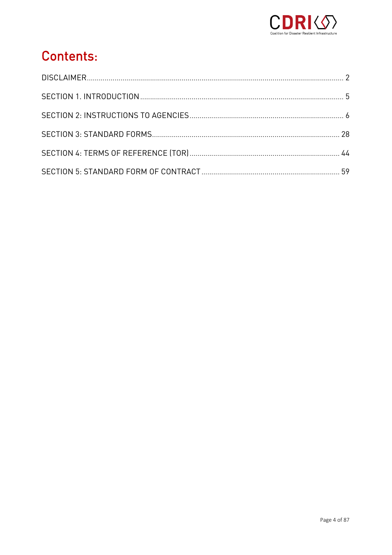

# **Contents:**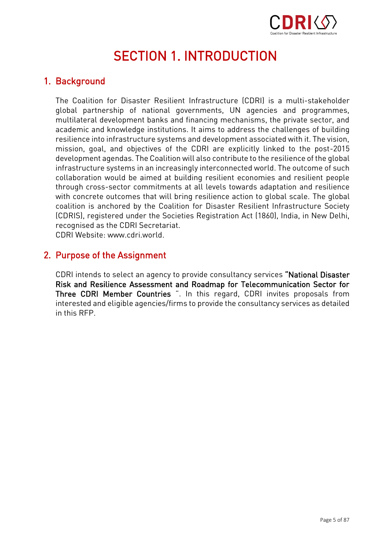

### **SECTION 1. INTRODUCTION** SECTION 1. INTRODUCTION 1.

#### <span id="page-4-0"></span>1. Background

The Coalition for Disaster Resilient Infrastructure (CDRI) is a multi-stakeholder multilateral development banks and financing mechanisms, the private sector, and academic and knowledge institutions. It aims to address the challenges of building resilience into infrastructure systems and development associated with it. The vision, mission, goal, and objectives of the CDRI are explicitly linked to the post-2015 development agendas. The Coalition will also contribute to the resilience of the global infrastructure systems in an increasingly interconnected world. The outcome of such collaboration would be aimed at building resilient economies and resilient people through cross-sector commitments at all levels towards adaptation and resilience with concrete outcomes that will bring resilience action to global scale. The global coalition is anchored by the Coalition for Disaster Resilient Infrastructure Society (CDRIS), registered under the Societies Registration Act (1860), India, in New Delhi, recognised as the CDRI Secretariat.

CDRI Website: www.cdri.world.

#### 2. Purpose of the Assignment

CDRI intends to select an agency to provide consultancy services "National Disaster Risk and Resilience Assessment and Roadmap for Telecommunication Sector for Three CDRI Member Countries ". In this regard, CDRI invites proposals from  $T_{\rm max}$  . The community of the countries  $T_{\rm max}$  is  $T_{\rm max}$  ,  $T_{\rm max}$  interacted and eligible appendic firms to provide the consultancy services as detailed in this RFP and eligible agencies and eligible agencies and  $\frac{1}{2}$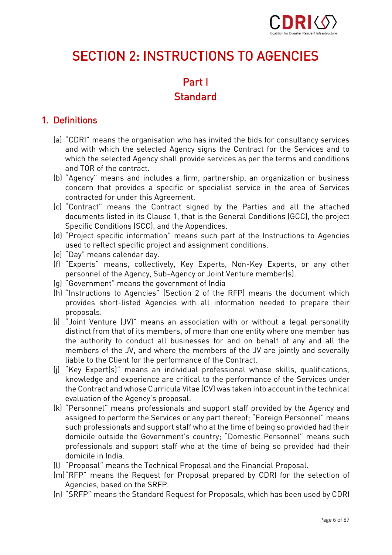

# <span id="page-5-0"></span>SECTION 2: INSTRUCTIONS TO AGENCIES

### Part I Standard Standard

#### 1. Definitions 1. Definitions

- (a) "CDRI" means the organisation who has invited the bids for consultancy services which the selected Agency shall provide services as per the terms and conditions and TOR of the contract.
- (b) "Agency" means and includes a firm, partnership, an organization or business concern that provides a specific or specialist service in the area of Services contracted for under this Agreement.
- (c) "Contract" means the Contract signed by the Parties and all the attached documents listed in its Clause 1, that is the General Conditions (GCC), the project Specific Conditions (SCC), and the Appendices.
- (d) "Project specific information" means such part of the Instructions to Agencies used to reflect specific project and assignment conditions.
- (e) "Day" means calendar day.
- (f) "Experts" means, collectively, Key Experts, Non-Key Experts, or any other personnel of the Agency, Sub-Agency or Joint Venture member(s).
- (q) "Government" means the government of India
- (h) "Instructions to Agencies" (Section 2 of the RFP) means the document which (i) "<br>International page of the Report to Agencies with all information needed to prepare their provides short-listed Agencies with all information needed to prepare their
- proposals.<br>(i) "Joint Venture (JV)" means an association with or without a legal personality distinct from that of its members, of more than one entity where one member has the authority to conduct all businesses for and on behalf of any and all the members of the JV, and where the members of the JV are jointly and severally liable to the Client for the performance of the Contract.
- (i) "Key Expert(s)" means an individual professional whose skills, qualifications, knowledge and experience are critical to the performance of the Services under the Contract and whose Curricula Vitae (CV) was taken into account in the technical evaluation of the Agency's proposal.
- (k) "Personnel" means professionals and support staff provided by the Agency and assigned to perform the Services or any part thereof; "Foreign Personnel" means such professionals and support staff who at the time of being so provided had their domicile outside the Government's country; "Domestic Personnel" means such domicile country and support the Government's country; "Domestic Personnel" means such a professionals and support support support support support support support support support support support support support support support support support support support support support support support support support supp
- (I) "Proposal" means the Technical Proposal and the Financial Proposal.
- (m) "RFP" means the Request for Proposal prepared by CDRI for the selection of Agencies, based on the SRFP.
- (n) "SRFP" means the Standard Request for Proposals, which has been used by CDRI (n) SRFP" means the Standard Republic for Proposals, which has been used by CDRI  $\mathcal{S}$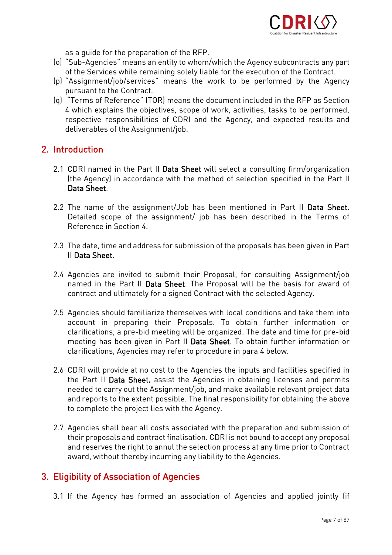

- as a guide for the preparation of the RFP.<br>(o) "Sub-Agencies" means an entity to whom/which the Agency subcontracts any part of the Services while remaining solely liable for the execution of the Contract.
- (p) "Assignment/job/services" means the work to be performed by the Agency pursuant to the Contract.
- (g) "Terms of Reference" (TOR) means the document included in the RFP as Section 4 which explains the objectives, scope of work, activities, tasks to be performed, respective responsibilities of CDRI and the Agency, and expected results and deliverables of the Assignment/job. deliverables of the Assignment/job.

#### 2. Introduction

- 2.1 CDRI named in the Part II Data Sheet will select a consulting firm/organization<br>(the Agency) in accordance with the method of selection specified in the Part II Data Sheet. Data Sheet.
- 2.2 The name of the assignment/Job has been mentioned in Part II Data Sheet.<br>Detailed scope of the assignment/ job has been described in the Terms of Reference in Section 4.
- 2.3 The date, time and address for submission of the proposals has been given in Part<br>II **Data Sheet**. II Data Sheet.
- 2.4 Agencies are invited to submit their Proposal, for consulting Assignment/job named in the Part II Data Sheet. The Proposal will be the basis for award of contract and ultimately for a signed Contract with the selected Agency. contract and ultimately for a signed Contract with the selected Agency.
- 2.5 Agencies should familiarize themselves with local conditions and take them into clarifications, a pre-bid meeting will be organized. The date and time for pre-bid meeting has been given in Part II Data Sheet. To obtain further information or clarifications, Agencies may refer to procedure in para 4 below. clarifications, Agencies may refer to procedure in para 4 below.
- 2.6 CDRI will provide at no cost to the Agencies the inputs and facilities specified in<br>the Part II **Data Sheet**, assist the Agencies in obtaining licenses and permits needed to carry out the Assignment/job, and make available relevant project data and reports to the extent possible. The final responsibility for obtaining the above to complete the project lies with the Agency. to complete the project lies with the Agency.
- 2.7 Agencies shall bear all costs associated with the preparation and submission of and reserves the right to annul the selection process at any time prior to Contract and reserves the right to annul the selection process at any time prior to Contract. award, without thereby incurring any liability to the Agencies.

#### 3. Eligibility of Association of Agencies

3.1 If the Agency has formed an association of Agencies and applied jointly (if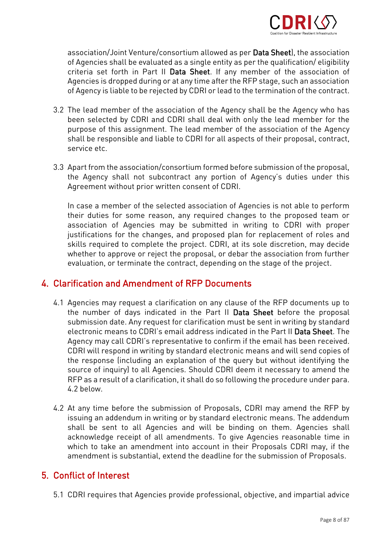

association/Joint Venture/consortium allowed as per **Data Sheet**), the association<br>of Agencies shall be evaluated as a single entity as per the qualification/eligibility criteria set forth in Part II Data Sheet. If any member of the association of Agencies is dropped during or at any time after the RFP stage, such an association Agencies is dropped during or at any time after the RFP stage, such an association.<br>Of Agency is liable to be rejected by CDRI or lead to the termination of the contract of Agency is liable to be rejected by CDRI or lead to the termination of the contract.

- 3.2 The lead member of the association of the Agency shall be the Agency who has purpose of this assignment. The lead member of the association of the Agency purpose of this assignment. The lead member of the association of the Agency<br>shall he responsible and liable to CDRI for all aspects of their proposal contract s and liable and liable and liable to  $C$  for all aspects of the contract, contract, contract, contract, contract, contract, contract, contract, contract, contract, contract, contract, contract, contract, contract, contra
- 3.3 Apart from the association/consortium formed before submission of the proposal,<br>the Agency shall not subcontract any portion of Agency's duties under this  $\frac{1}{2}$  or  $\frac{1}{2}$  are agency shall not subcontract any portion of  $\frac{1}{2}$  are  $\frac{1}{2}$  are  $\frac{1}{2}$  are  $\frac{1}{2}$  are  $\frac{1}{2}$  are  $\frac{1}{2}$  are  $\frac{1}{2}$  are  $\frac{1}{2}$  are  $\frac{1}{2}$  are  $\frac{1}{2}$  are  $\frac{1}{2}$  Agreement without prior written consent of CDRI.

In case a member of the selected association of Agencies is not able to perform<br>their duties for some reason, any required changes to the proposed team or association of Agencies may be submitted in writing to CDRI with proper justifications for the changes, and proposed plan for replacement of roles and skills required to complete the project. CDRI, at its sole discretion, may decide whether to approve or reject the proposal, or debar the association from further evaluation, or terminate the contract, depending on the stage of the project. evaluation, or terminate the contract, depending on the stage of the project.

#### 4. Clarification and Amendment of RFP Documents 4. Clarification and Amendment of RFP Documents

- 4.1 Agencies may request a clarification on any clause of the RFP documents up to<br>the number of days indicated in the Part II Data Sheet before the proposal submission date. Any request for clarification must be sent in writing by standard electronic means to CDRI's email address indicated in the Part II Data Sheet. The Agency may call CDRI's representative to confirm if the email has been received. CDRI will respond in writing by standard electronic means and will send copies of the response (including an explanation of the query but without identifying the source of inquiry) to all Agencies. Should CDRI deem it necessary to amend the RFP as a result of a clarification, it shall do so following the procedure under para. RFP as a result of a clarification, it shall do so following the procedure under para.
- 4.2 At any time before the submission of Proposals, CDRI may amend the RFP by issuing an addendum in writing or by standard electronic means. The addendum shall be sent to all Agencies and will be binding on them. Agencies shall acknowledge receipt of all amendments. To give Agencies reasonable time in which to take an amendment into account in their Proposals CDRI may, if the which to take an amendment into account in their Proposals CDRI may, if the sympathy and  $\alpha$ amendment is substantial, extend the deadline for the submission of Proposals.

#### 5. Conflict of Interest 5. Conflict of Interest

5.1 CDRI requires that Agencies provide professional, objective, and impartial advice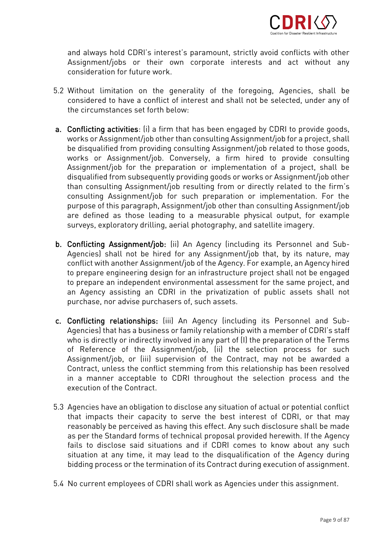

and always hold CDRI's interest's paramount, strictly avoid conflicts with other<br>Assignment/jobs or their own corporate interests and act without any consideration for future work

- 5.2 Without limitation on the generality of the foregoing, Agencies, shall be the circumstances set forth below:
- a. Conflicting activities: (i) a firm that has been engaged by CDRI to provide goods,<br>works or Assignment/job other than consulting Assignment/job for a project, shall be disqualified from providing consulting Assignment/job related to those goods, works or Assignment/job. Conversely, a firm hired to provide consulting Assignment/job for the preparation or implementation of a project, shall be disqualified from subsequently providing goods or works or Assignment/iob other than consulting Assignment/job resulting from or directly related to the firm's consulting Assignment/job for such preparation or implementation. For the purpose of this paragraph, Assignment/job other than consulting Assignment/job are defined as those leading to a measurable physical output, for example are defined as these leading to a measurable physical output, for example surveys, exploratory drilling, aerial photography, and satellite imagery.
- b. Conflicting Assignment/job: (ii) An Agency (including its Personnel and Sub-<br>Agencies) shall not be hired for any Assignment/job that, by its nature, may conflict with another Assignment/job of the Agency. For example, an Agency hired to prepare engineering design for an infrastructure project shall not be engaged to prepare an independent environmental assessment for the same project, and an Agency assisting an CDRI in the privatization of public assets shall not purchase, nor advise purchasers of, such assets. purchase, nor advise purchasers of, such assets.
- c. Conflicting relationships: (iii) An Agency (including its Personnel and Sub-<br>Agencies) that has a business or family relationship with a member of CDRI's staff who is directly or indirectly involved in any part of (I) the preparation of the Terms of Reference of the Assignment/job, (ii) the selection process for such Assignment/job, or (iii) supervision of the Contract, may not be awarded a Contract, unless the conflict stemming from this relationship has been resolved in a manner acceptable to CDRI throughout the selection process and the execution of the Contract.
- 5.3 Agencies have an obligation to disclose any situation of actual or potential conflict reasonably be perceived as having this effect. Any such disclosure shall be made as per the Standard forms of technical proposal provided herewith. If the Agency fails to disclose said situations and if CDRI comes to know about any such situation at any time, it may lead to the disqualification of the Agency during situation at any time, it may lead to the disqualification of the Agency during bidding process or the termination of its Contract during execution of assignment.
- 5.4 No current employees of CDRI shall work as Agencies under this assignment.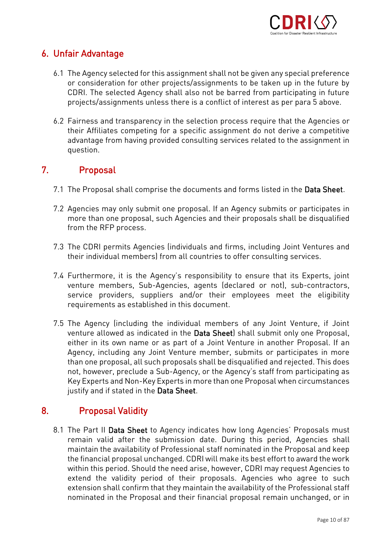

# 6. Unfair Advantage

- 6.1 The Agency selected for this assignment shall not be given any special preference CDRI. The selected Agency shall also not be barred from participating in future  $\frac{1}{2}$ . The selection of the set of the selection in function  $\frac{1}{2}$  and  $\frac{1}{2}$  and  $\frac{1}{2}$  and  $\frac{1}{2}$  and  $\frac{1}{2}$  and  $\frac{1}{2}$  and  $\frac{1}{2}$  and  $\frac{1}{2}$  and  $\frac{1}{2}$  and  $\frac{1}{2}$  and  $\frac{1}{2}$  and  $\$ projects/assignments unless there is a conflict of interest as per para 5 above.
- 6.2 Fairness and transparency in the selection process require that the Agencies or advantage from having provided consulting services related to the assignment in advantage from having provided consulting services related to the assignment in question.

#### $7<sub>1</sub>$ 7. Proposal

- 7.1 The Proposal shall comprise the documents and forms listed in the Data Sheet.
- 7.2 Agencies may only submit one proposal. If an Agency submits or participates in from the RFP process. from the RFP process.
- 7.3 The CDRI permits Agencies (individuals and firms, including Joint Ventures and their individual members) from all countries to offer consulting services.
- 7.4 Furthermore, it is the Agency's responsibility to ensure that its Experts, joint service providers, suppliers and/or their employees meet the eligibility requirements as established in this document. requirements as established in this document.
- 7.5 The Agency (including the individual members of any Joint Venture, if Joint<br>venture allowed as indicated in the **Data Sheet**) shall submit only one Proposal. either in its own name or as part of a Joint Venture in another Proposal. If an Agency, including any Joint Venture member, submits or participates in more than one proposal, all such proposals shall be disqualified and rejected. This does not, however, preclude a Sub-Agency, or the Agency's staff from participating as Key Experts and Non-Key Experts in more than one Proposal when circumstances  $\frac{1}{\sqrt{1-\frac{1}{\pi}}}$ justify and if stated in the Data Sheet.

#### $8<sub>1</sub>$ 8. Proposal Validity

8.1 The Part II Data Sheet to Agency indicates how long Agencies' Proposals must<br>remain valid after the submission date. During this period, Agencies shall maintain the availability of Professional staff nominated in the Proposal and keep the financial proposal unchanged. CDRI will make its best effort to award the work within this period. Should the need arise, however, CDRI may request Agencies to extend the validity period of their proposals. Agencies who agree to such extension shall confirm that they maintain the availability of the Professional staff nominated in the Proposal and their financial proposal remain unchanged, or in nominated in the Proposal and their financial proposal remain unchanged, or in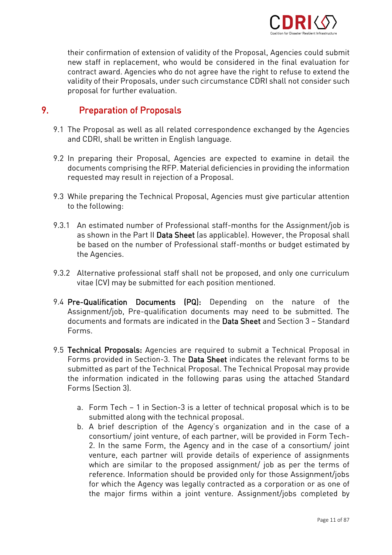

their confirmation of extension of validity of the Proposal, Agencies could submit contract award. Agencies who do not agree have the right to refuse to extend the validity of their Proposals, under such circumstance CDRI shall not consider such proposal for further evaluation. proposal for further evaluation.

#### 9. **Preparation of Proposals**

- er.<br>1 The Proposal as weitten in Fralish language and CDRI, shall be written in English language.
- 9.2 In preparing their Proposal, Agencies are expected to examine in detail the requested may result in rejection of a Proposal. requested may result in rejection of a Proposal.
- 9.3 While preparing the Technical Proposal, Agencies must give particular attention to the following:
- 9.3.1 An estimated number of Professional staff-months for the Assignment/job is<br>as shown in the Part II **Data Sheet** (as applicable). However, the Proposal shall as shown in the Part II Data Sheet (as applicable). However, the Proposal shall be based on the number of Professional staff-months or budget estimated by the Agencies.
- 9.3.2 Alternative professional staff shall not be proposed, and only one curriculum<br>vitae (CV) may be submitted for each position mentioned. vitae (CV) may be submitted for each position mentioned.
- 9.4 Pre-Qualification Documents (PQ): Depending on the nature of the Assignment/job, Pre-qualification documents may need to be submitted. The documents and formats are indicated in the Data Sheet and Section 3 - Standard documents and formats are indicated in the Data Sheet and Section 3 – Standard
- 9.5 Technical Proposals: Agencies are required to submit a Technical Proposal in<br>Forms provided in Section-3. The Data Sheet indicates the relevant forms to be submitted as part of the Technical Proposal. The Technical Proposal may provide the information indicated in the following paras using the attached Standard Forms (Section 3). Forms (Section 3).
	- a. Form Tech 1 in Section-3 is a letter of technical proposal which is to be
	- b. A brief description of the Agency's organization and in the case of a consortium/joint venture, of each partner, will be provided in Form Tech-2. In the same Form, the Agency and in the case of a consortium/ joint venture, each partner will provide details of experience of assignments which are similar to the proposed assignment/ job as per the terms of reference. Information should be provided only for those Assignment/jobs for which the Agency was legally contracted as a corporation or as one of the major firms within a joint venture. Assignment/jobs completed by the major firms within a joint venture. Assignment/jobs completed by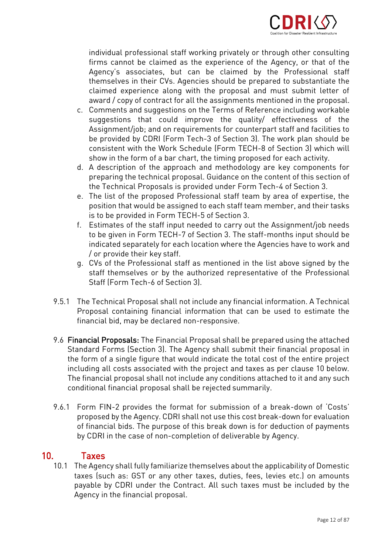

individual professional staff working privately or through other consulting Agency's associates, but can be claimed by the Professional staff themselves in their CVs. Agencies should be prepared to substantiate the claimed experience along with the proposal and must submit letter of award / copy of contract for all the assignments mentioned in the proposal.

- c. Comments and suggestions on the Terms of Reference including workable suggestions that could improve the quality/ effectiveness of the Assignment/job; and on requirements for counterpart staff and facilities to be provided by CDRI (Form Tech-3 of Section 3). The work plan should be consistent with the Work Schedule (Form TECH-8 of Section 3) which will show in the form of a bar chart, the timing proposed for each activity.
- d. A description of the approach and methodology are key components for preparing the technical proposal. Guidance on the content of this section of the Technical Proposals is provided under Form Tech-4 of Section 3.
- e. The list of the proposed Professional staff team by area of expertise, the position that would be assigned to each staff team member, and their tasks is to be provided in Form TECH-5 of Section 3.
- f. Estimates of the staff input needed to carry out the Assignment/job needs to be given in Form TECH-7 of Section 3. The staff-months input should be indicated separately for each location where the Agencies have to work and  $\ell$  or provide their key staff.
- g. CVs of the Professional staff as mentioned in the list above signed by the staff themselves or by the authorized representative of the Professional Staff (Form Tech-6 of Section 3). Staff (Form Tech-6 of Section 3).
- 9.5.1 The Technical Proposal shall not include any financial information. A Technical financial bid, may be declared non-responsive. financial bid, may be declared non-responsive.
- 9.6 Financial Proposals: The Financial Proposal shall be prepared using the attached<br>Standard Forms (Section 3). The Agency shall submit their financial proposal in the form of a single figure that would indicate the total cost of the entire project including all costs associated with the project and taxes as per clause 10 below. The financial proposal shall not include any conditions attached to it and any such The minimizipal proposal shall not include any conditions at the any such conditional financial proposal shall he rejected summarily conditional financial proposal shall be rejected summarily.
- 9.6.1 Form FIN-2 provides the format for submission of a break-down of 'Costs' of financial bids. The purpose of this break down is for deduction of payments of members and the purpose of this down down is for deduction of payments. by CDRI in the case of non-completion of deliverable by Agency.

#### $10<sub>1</sub>$

Taxes<br>10.1 The Agency shall fully familiarize themselves about the applicability of Domestic taxes (such as: GST or any other taxes, duties, fees, levies etc.) on amounts payable by CDRI under the Contract. All such taxes must be included by the Agency in the financial proposal. Agency in the financial proposal.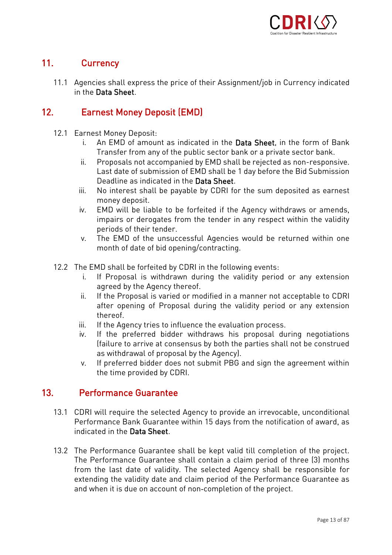

#### $11<sub>1</sub>$ 11. Currency

11.1 Agencies shall express the price of their Assignment/job in Currency indicated<br>in the Data Sheet in the Data Sheet.

#### $12.$  $12.$  Exemployment  $\sum_{i=1}^{n}$

- 
- 12.1 Earnest Money Deposit:<br>i. An EMD of amount as indicated in the **Data Sheet**, in the form of Bank Transfer from any of the public sector bank or a private sector bank.
	- ii. Proposals not accompanied by EMD shall be rejected as non-responsive. Last date of submission of EMD shall be 1 day before the Bid Submission Deadline as indicated in the Data Sheet.
	- iii. No interest shall be payable by CDRI for the sum deposited as earnest money deposit.
	- iv. EMD will be liable to be forfeited if the Agency withdraws or amends, impairs or derogates from the tender in any respect within the validity periods of their tender.
	- The EMD of the unsuccessful Agencies would be returned within one V. month of date of bid opening/contracting. month of date of bid opening.
- 
- 12.2 The EMD shall be forfeited by CDRI in the following events:<br>i. If Proposal is withdrawn during the validity period or any extension agreed by the Agency thereof.
	- ii. If the Proposal is varied or modified in a manner not acceptable to CDRI i<br>after opening of Proposal during the validity period or any extension after opening of Proposal during the validity period or any extension.<br>thereof
	- If the Agency tries to influence the evaluation process.
	- iii. If the Agency tries to influence the evaluation process.<br>iv. If the preferred bidder withdraws his proposal during negotiations If ailure to arrive at consensus by both the parties shall not be construed as withdrawal of proposal by the Agency).
	- If preferred bidder does not submit PBG and sign the agreement within v. If preferred bidder does not submit Page and sign the time provided by CDRI.  $\mathbf t$  time provided by CDRI.

#### $13<sub>1</sub>$ **Performance Guarantee** 13. Performance Guarantee

- 13.1 CDRI will require the selected Agency to provide an irrevocable, unconditional indicated in the Data Sheet indicated in the Data Sheet.
- 13.2 The Performance Guarantee shall be kept valid till completion of the project. from the last date of validity. The selected Agency shall be responsible for extending the validity date and claim period of the Performance Guarantee as extending the validity date and claim period of the Performance Guarantee as and when it is due on account of non-completion of the project.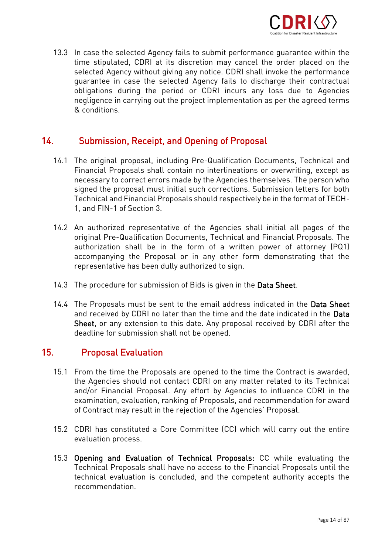

13.3 In case the selected Agency fails to submit performance guarantee within the selected Agency without giving any notice. CDRI shall invoke the performance guarantee in case the selected Agency fails to discharge their contractual obligations during the period or CDRI incurs any loss due to Agencies negligence in carrying out the project implementation as per the agreed terms & conditions

#### $14.$ 14. Submission, Receipt, and Opening of Proposal

- 14.1 The original proposal, including Pre-Qualification Documents, Technical and necessary to correct errors made by the Agencies themselves. The person who signed the proposal must initial such corrections. Submission letters for both Technical and Financial Proposals should respectively be in the format of TECH-1. and FIN-1 of Section 3.  $1$ , and  $F = \frac{1}{100}$  of  $\frac{1}{100}$  of  $\frac{1}{100}$
- 14.2 An authorized representative of the Agencies shall initial all pages of the<br>original Pre-Qualification Documents, Technical and Financial Proposals. The authorization shall be in the form of a written power of attorney (PQ1) accompanying the Proposal or in any other form demonstrating that the representative has been dully authorized to sign. representative has been dully authorized to sign.
- 14.3 The procedure for submission of Bids is given in the Data Sheet.
- 14.4 The Proposals must be sent to the email address indicated in the **Data Sheet**<br>and received by CDRI no later than the time and the date indicated in the **Data** Sheet, or any extension to this date. Any proposal received by CDRI after the deadline for submission shall not be opened. deadline for submission shall not be opened.

#### $15.$ 15. Proposal Evaluation

- 15.1 From the time the Proposals are opened to the time the Contract is awarded, and/or Financial Proposal. Any effort by Agencies to influence CDRI in the examination, evaluation, ranking of Proposals, and recommendation for award examination, evaluation, ranking of Proposals, and recommendation for award of Contract may result in the rejection of the Agencies' Proposal.
- 15.2 CDRI has constituted a Core Committee (CC) which will carry out the entire evaluation process.
- 15.3 Opening and Evaluation of Technical Proposals: CC while evaluating the<br>Technical Proposals shall have no access to the Financial Proposals until the technical evaluation is concluded, and the competent authority accepts the recommendation.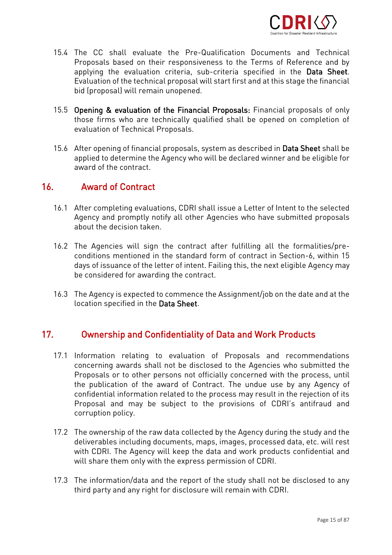

- 15.4 The CC shall evaluate the Pre-Qualification Documents and Technical applying the evaluation criteria, sub-criteria specified in the Data Sheet. Evaluation of the technical proposal will start first and at this stage the financial bid (proposal) will remain unopened. bid (proposal) will remain unopened.
- 15.5 Opening & evaluation of the Financial Proposals: Financial proposals of only<br>those firms who are technically qualified shall be opened on completion of evaluation of Technical Proposals. evaluation of Technical Proposals.
- 15.6 After opening of financial proposals, system as described in **Data Sheet** shall be<br>applied to determine the Agency who will be declared winner and be eligible for award of the contract

#### $16<sub>1</sub>$ **Award of Contract** 16. Award of Contract

- 16.1 After completing evaluations, CDRI shall issue a Letter of Intent to the selected about the decision taken.
- 16.2 The Agencies will sign the contract after fulfilling all the formalities/predays of issuance of the letter of intent. Failing this, the next eligible Agency may be considered for awarding the contract. be considered for awarding the contract.
- 16.3 The Agency is expected to commence the Assignment/job on the date and at the location specified in the Data Sheet. location specified in the Data Sheet.

# 17. Ownership and Confidentiality of Data and Work Products

- 17.1 Information relating to evaluation of Proposals and recommendations Proposals or to other persons not officially concerned with the process, until the publication of the award of Contract. The undue use by any Agency of confidential information related to the process may result in the rejection of its Proposal and may be subject to the provisions of CDRI's antifraud and corruption policy. corruption policy.
- 17.2 The ownership of the raw data collected by the Agency during the study and the<br>deliverables including documents, maps, images, processed data, etc. will rest with CDRI. The Agency will keep the data and work products confidential and will share them only with the express permission of CDRI. will share them only with the express permission of CDRI.
- 17.3 The information/data and the report of the study shall not be disclosed to any<br>third party and any right for disclosure will remain with CDRI. third party and any right for disclosure will remain with CDRI.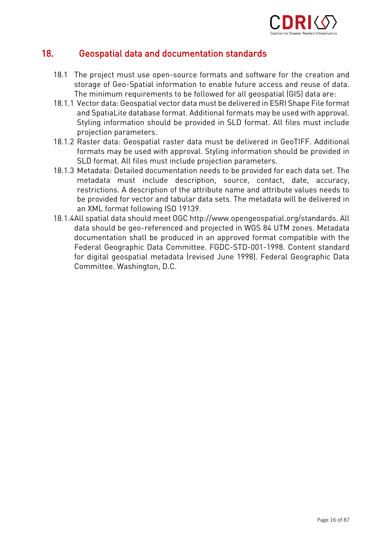

#### 18 18. Geospatial data and documentation standards

- 18.1 The project must use open-source formats and software for the creation and<br>storage of Geo-Spatial information to enable future access and reuse of data. The minimum requirements to be followed for all geospatial (GIS) data are:
- 18.1.1 Vector data: Geospatial vector data must be delivered in ESRI Shape File format and SpatiaLite database format. Additional formats may be used with approval. Styling information should be provided in SLD format. All files must include projection parameters.
- 18.1.2 Raster data: Geospatial raster data must be delivered in GeoTIFF. Additional formats may be used with approval. Styling information should be provided in SLD format. All files must include projection parameters.
- 18.1.3 Metadata: Detailed documentation needs to be provided for each data set. The metadata must include description, source, contact, date, accuracy, restrictions. A description of the attribute name and attribute values needs to be provided for vector and tabular data sets. The metadata will be delivered in an XML format following ISO 19139.
- 18.1.4All spatial data should meet OGC http://www.opengeospatial.org/standards. All data should be geo-referenced and projected in WGS 84 UTM zones. Metadata documentation shall be produced in an approved format compatible with the Federal Geographic Data Committee. FGDC-STD-001-1998. Content standard for digital geospatial metadata (revised June 1998). Federal Geographic Data Committee. Washington, D.C. Committee. Washington, D.C.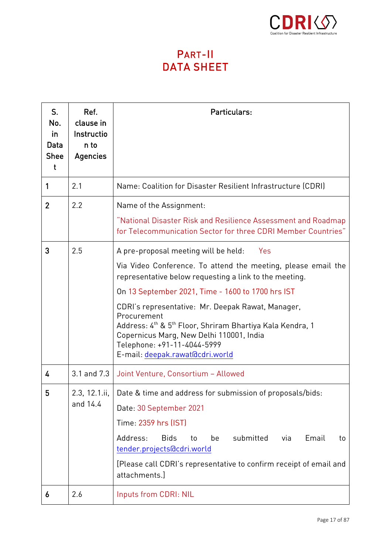

# TA SHEI DATA SHEET

| S.<br>No.<br>in<br>Data<br><b>Shee</b><br>$\mathbf t$ | Ref.<br>clause in<br>Instructio<br>n to<br><b>Agencies</b> | Particulars:                                                                                                                                                                                                                                                                                                                                                                                                                                                                                       |  |  |  |
|-------------------------------------------------------|------------------------------------------------------------|----------------------------------------------------------------------------------------------------------------------------------------------------------------------------------------------------------------------------------------------------------------------------------------------------------------------------------------------------------------------------------------------------------------------------------------------------------------------------------------------------|--|--|--|
| 1                                                     | 2.1                                                        | Name: Coalition for Disaster Resilient Infrastructure (CDRI)                                                                                                                                                                                                                                                                                                                                                                                                                                       |  |  |  |
| $\overline{2}$                                        | 2.2                                                        | Name of the Assignment:<br>"National Disaster Risk and Resilience Assessment and Roadmap<br>for Telecommunication Sector for three CDRI Member Countries"                                                                                                                                                                                                                                                                                                                                          |  |  |  |
| 3                                                     | 2.5                                                        | A pre-proposal meeting will be held:<br>Yes<br>Via Video Conference. To attend the meeting, please email the<br>representative below requesting a link to the meeting.<br>On 13 September 2021, Time - 1600 to 1700 hrs IST<br>CDRI's representative: Mr. Deepak Rawat, Manager,<br>Procurement<br>Address: 4 <sup>th</sup> & 5 <sup>th</sup> Floor, Shriram Bhartiya Kala Kendra, 1<br>Copernicus Marg, New Delhi 110001, India<br>Telephone: +91-11-4044-5999<br>E-mail: deepak.rawat@cdri.world |  |  |  |
| 4                                                     | 3.1 and 7.3                                                | Joint Venture, Consortium - Allowed                                                                                                                                                                                                                                                                                                                                                                                                                                                                |  |  |  |
| 5                                                     | 2.3, 12.1.ii,<br>and 14.4                                  | Date & time and address for submission of proposals/bids:<br>Date: 30 September 2021<br>Time: 2359 hrs (IST)<br>Address:<br><b>Bids</b><br>submitted<br>Email<br>be<br>via<br>to<br>to<br>tender.projects@cdri.world<br>[Please call CDRI's representative to confirm receipt of email and<br>attachments.]                                                                                                                                                                                        |  |  |  |
| 6                                                     | 2.6                                                        | Inputs from CDRI: NIL                                                                                                                                                                                                                                                                                                                                                                                                                                                                              |  |  |  |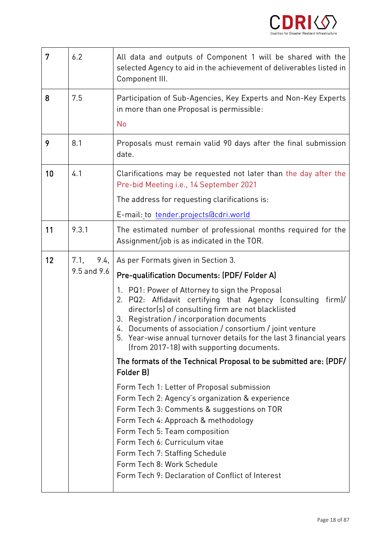

| 7  | 6.2                                     | All data and outputs of Component 1 will be shared with the<br>selected Agency to aid in the achievement of deliverables listed in<br>Component III.                                                                                                                                                                                                                                                                                                                                                                                                                                                                                                                                                                                                                                                                                                                                                                                                  |
|----|-----------------------------------------|-------------------------------------------------------------------------------------------------------------------------------------------------------------------------------------------------------------------------------------------------------------------------------------------------------------------------------------------------------------------------------------------------------------------------------------------------------------------------------------------------------------------------------------------------------------------------------------------------------------------------------------------------------------------------------------------------------------------------------------------------------------------------------------------------------------------------------------------------------------------------------------------------------------------------------------------------------|
| 8  | 7.5                                     | Participation of Sub-Agencies, Key Experts and Non-Key Experts<br>in more than one Proposal is permissible:<br><b>No</b>                                                                                                                                                                                                                                                                                                                                                                                                                                                                                                                                                                                                                                                                                                                                                                                                                              |
| 9  | 8.1                                     | Proposals must remain valid 90 days after the final submission<br>date.                                                                                                                                                                                                                                                                                                                                                                                                                                                                                                                                                                                                                                                                                                                                                                                                                                                                               |
| 10 | 4.1                                     | Clarifications may be requested not later than the day after the<br>Pre-bid Meeting i.e., 14 September 2021<br>The address for requesting clarifications is:<br>E-mail: to tender.projects@cdri.world                                                                                                                                                                                                                                                                                                                                                                                                                                                                                                                                                                                                                                                                                                                                                 |
| 11 | 9.3.1                                   | The estimated number of professional months required for the<br>Assignment/job is as indicated in the TOR.                                                                                                                                                                                                                                                                                                                                                                                                                                                                                                                                                                                                                                                                                                                                                                                                                                            |
| 12 | 7.1 <sub>1</sub><br>9.4.<br>9.5 and 9.6 | As per Formats given in Section 3.<br>Pre-qualification Documents: (PDF/Folder A)<br>1. PQ1: Power of Attorney to sign the Proposal<br>2. PQ2: Affidavit certifying that Agency (consulting<br>firm)/<br>director(s) of consulting firm are not blacklisted<br>3. Registration / incorporation documents<br>4. Documents of association / consortium / joint venture<br>5. Year-wise annual turnover details for the last 3 financial years<br>(from 2017-18) with supporting documents.<br>The formats of the Technical Proposal to be submitted are: (PDF/<br>Folder B)<br>Form Tech 1: Letter of Proposal submission<br>Form Tech 2: Agency's organization & experience<br>Form Tech 3: Comments & suggestions on TOR<br>Form Tech 4: Approach & methodology<br>Form Tech 5: Team composition<br>Form Tech 6: Curriculum vitae<br>Form Tech 7: Staffing Schedule<br>Form Tech 8: Work Schedule<br>Form Tech 9: Declaration of Conflict of Interest |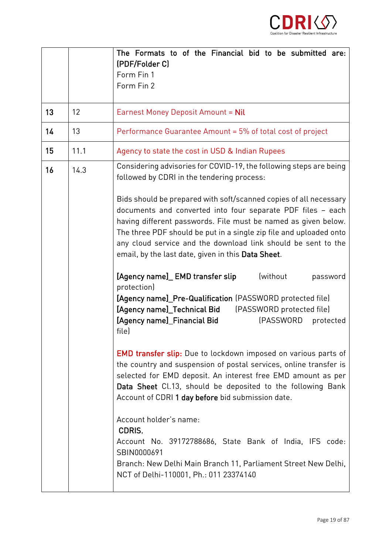

|    |      | The Formats to of the Financial bid to be submitted are:<br>(PDF/Folder C)                                                                                                                                                                                                                                                                                                                      |
|----|------|-------------------------------------------------------------------------------------------------------------------------------------------------------------------------------------------------------------------------------------------------------------------------------------------------------------------------------------------------------------------------------------------------|
|    |      | Form Fin 1<br>Form Fin 2                                                                                                                                                                                                                                                                                                                                                                        |
| 13 | 12   | Earnest Money Deposit Amount = Nil                                                                                                                                                                                                                                                                                                                                                              |
| 14 | 13   | Performance Guarantee Amount = 5% of total cost of project                                                                                                                                                                                                                                                                                                                                      |
| 15 | 11.1 | Agency to state the cost in USD & Indian Rupees                                                                                                                                                                                                                                                                                                                                                 |
| 16 | 14.3 | Considering advisories for COVID-19, the following steps are being<br>followed by CDRI in the tendering process:                                                                                                                                                                                                                                                                                |
|    |      | Bids should be prepared with soft/scanned copies of all necessary<br>documents and converted into four separate PDF files - each<br>having different passwords. File must be named as given below.<br>The three PDF should be put in a single zip file and uploaded onto<br>any cloud service and the download link should be sent to the<br>email, by the last date, given in this Data Sheet. |
|    |      | [Agency name]_ EMD transfer slip<br>(without<br>password<br>protection)<br>[Agency name]_Pre-Qualification (PASSWORD protected file)<br>[Agency name]_Technical Bid [PASSWORD protected file]<br>[Agency name]_Financial Bid<br>(PASSWORD<br>protected<br>file)                                                                                                                                 |
|    |      | <b>EMD transfer slip:</b> Due to lockdown imposed on various parts of<br>the country and suspension of postal services, online transfer is<br>selected for EMD deposit. An interest free EMD amount as per<br>Data Sheet Cl.13, should be deposited to the following Bank<br>Account of CDRI 1 day before bid submission date.                                                                  |
|    |      | Account holder's name:<br>CDRIS,<br>Account No. 39172788686, State Bank of India, IFS code:<br>SBIN0000691<br>Branch: New Delhi Main Branch 11, Parliament Street New Delhi,<br>NCT of Delhi-110001, Ph.: 011 23374140                                                                                                                                                                          |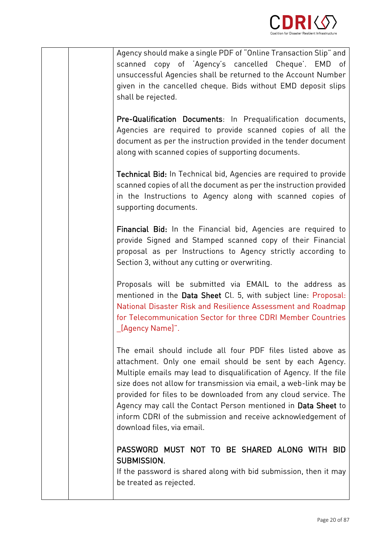

Agency should make a single PDF of "Online Transaction Slip" and unsuccessful Agencies shall be returned to the Account Number given in the cancelled cheque. Bids without EMD deposit slips given in the cancelled cheque. Bids with the cancelled cheque. Bids with the cancelled cheque. Bids with the c<br>Bids with EMD deposited cheque. Bids with the cancelled cheque. Bids with the cancelled cheque. Bids with the shall be rejected.

Pre-Qualification Documents: In Prequalification documents,<br>Agencies are required to provide scanned copies of all the document as per the instruction provided in the tender document document as per the instruction provided in the tender document.<br>Alexandib accuracl control of competition documents along with scanned copies of supporting documents.

Technical Bid: In Technical bid, Agencies are required to provide  $\frac{1}{\sqrt{2}}$  is the instructions to Associated copies of  $\frac{1}{2}$  $\begin{array}{ccc} \text{sum} & \text{sum} & \text{sum} & \text{sum} & \text{sum} & \text{sum} & \text{sum} & \text{sum} & \text{sum} & \text{sum} & \text{sum} & \text{sum} & \text{sum} & \text{sum} & \text{sum} & \text{sum} & \text{sum} & \text{sum} & \text{sum} & \text{sum} & \text{max} & \text{max} & \text{max} & \text{max} & \text{max} & \text{max} & \text{max} & \text{max} & \text{max} & \text{max} & \text{max} & \text{max} & \text{max} & \text{max} & \text{max} & \text{$ supporting documents.

Financial Bid: In the Financial bid, Agencies are required to provide Signed and Stamped scanned copy of their Financial proposal as per Instructions to Agency strictly according to proposal as per Instructions to Agency strictly according to Section 3, without any cutting or overwriting.

Proposals will be submitted via EMAIL to the address as mentioned in the Data Sheet Cl. 5, with subject line: Proposal: National Disaster Risk and Resilience Assessment and Roadmap for Telecommunication Sector for three CDRI Member Countries [Agency Name]". \_[Agency Name]".

The email should include all four PDF files listed above as attachment. Only one email should be sent by each Agency. Multiple emails may lead to disqualification of Agency. If the file size does not allow for transmission via email, a web-link may be provided for files to be downloaded from any cloud service. The Agency may call the Contact Person mentioned in Data Sheet to inform CDRI of the submission and receive acknowledgement of download files, via email. download files, via email.

# PASSWORD MUST NOT TO BE SHARED ALONG WITH BID<br>SUBMISSION.

If the password is shared along with bid submission, then it may  $\begin{array}{ccc} \n \text{I} & & \text{I} & & \text{I} \\
 \text{I} & & \text{I} & & \text{I} \\
 \text{I} & & \text{I} & & \text{I}\n \end{array}$ be treated as rejected.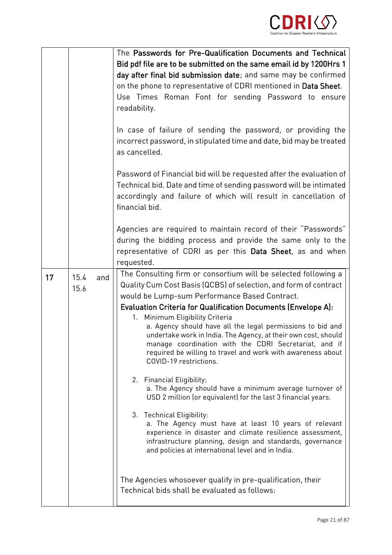

|    |                     | The Passwords for Pre-Qualification Documents and Technical<br>Bid pdf file are to be submitted on the same email id by 1200Hrs 1<br>day after final bid submission date; and same may be confirmed<br>on the phone to representative of CDRI mentioned in Data Sheet.<br>Use Times Roman Font for sending Password to ensure<br>readability.<br>In case of failure of sending the password, or providing the<br>incorrect password, in stipulated time and date, bid may be treated<br>as cancelled.<br>Password of Financial bid will be requested after the evaluation of<br>Technical bid. Date and time of sending password will be intimated<br>accordingly and failure of which will result in cancellation of<br>financial bid.<br>Agencies are required to maintain record of their "Passwords"<br>during the bidding process and provide the same only to the<br>representative of CDRI as per this Data Sheet, as and when                                                                                                                                                                                                     |
|----|---------------------|-------------------------------------------------------------------------------------------------------------------------------------------------------------------------------------------------------------------------------------------------------------------------------------------------------------------------------------------------------------------------------------------------------------------------------------------------------------------------------------------------------------------------------------------------------------------------------------------------------------------------------------------------------------------------------------------------------------------------------------------------------------------------------------------------------------------------------------------------------------------------------------------------------------------------------------------------------------------------------------------------------------------------------------------------------------------------------------------------------------------------------------------|
|    |                     | requested.                                                                                                                                                                                                                                                                                                                                                                                                                                                                                                                                                                                                                                                                                                                                                                                                                                                                                                                                                                                                                                                                                                                                |
| 17 | 15.4<br>and<br>15.6 | The Consulting firm or consortium will be selected following a<br>Quality Cum Cost Basis (QCBS) of selection, and form of contract<br>would be Lump-sum Performance Based Contract.<br><b>Evaluation Criteria for Qualification Documents (Envelope A):</b><br>Minimum Eligibility Criteria<br>$1_{\cdot}$<br>a. Agency should have all the legal permissions to bid and<br>undertake work in India. The Agency, at their own cost, should<br>manage coordination with the CDRI Secretariat, and if<br>required be willing to travel and work with awareness about<br>COVID-19 restrictions.<br>2. Financial Eligibility:<br>a. The Agency should have a minimum average turnover of<br>USD 2 million (or equivalent) for the last 3 financial years.<br>3. Technical Eligibility:<br>a. The Agency must have at least 10 years of relevant<br>experience in disaster and climate resilience assessment,<br>infrastructure planning, design and standards, governance<br>and policies at international level and in India.<br>The Agencies whosoever qualify in pre-qualification, their<br>Technical bids shall be evaluated as follows: |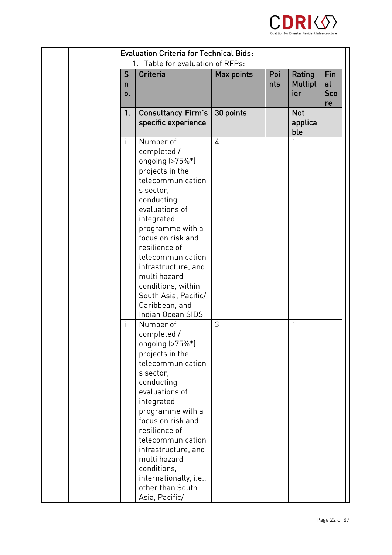

| <b>Evaluation Criteria for Technical Bids:</b><br>Table for evaluation of RFPs:<br>1. |                                                                                                                                                                                                                                                                                                                                                                                                                                                                                                                                                                                                                                                                                                                      |            |            |                                 |                               |
|---------------------------------------------------------------------------------------|----------------------------------------------------------------------------------------------------------------------------------------------------------------------------------------------------------------------------------------------------------------------------------------------------------------------------------------------------------------------------------------------------------------------------------------------------------------------------------------------------------------------------------------------------------------------------------------------------------------------------------------------------------------------------------------------------------------------|------------|------------|---------------------------------|-------------------------------|
| S<br>n<br>0.                                                                          | Criteria                                                                                                                                                                                                                                                                                                                                                                                                                                                                                                                                                                                                                                                                                                             | Max points | Poi<br>nts | Rating<br><b>Multipl</b><br>ier | Fin<br>al<br><b>Sco</b><br>re |
| 1 <sub>1</sub>                                                                        | <b>Consultancy Firm's</b><br>specific experience                                                                                                                                                                                                                                                                                                                                                                                                                                                                                                                                                                                                                                                                     | 30 points  |            | <b>Not</b><br>applica<br>ble    |                               |
| i<br>ii                                                                               | Number of<br>completed /<br>ongoing (>75%*)<br>projects in the<br>telecommunication<br>s sector,<br>conducting<br>evaluations of<br>integrated<br>programme with a<br>focus on risk and<br>resilience of<br>telecommunication<br>infrastructure, and<br>multi hazard<br>conditions, within<br>South Asia, Pacific/<br>Caribbean, and<br>Indian Ocean SIDS,<br>Number of<br>completed /<br>ongoing $(>75\%*)$<br>projects in the<br>telecommunication<br>s sector,<br>conducting<br>evaluations of<br>integrated<br>programme with a<br>focus on risk and<br>resilience of<br>telecommunication<br>infrastructure, and<br>multi hazard<br>conditions,<br>internationally, i.e.,<br>other than South<br>Asia, Pacific/ | 4<br>3     |            | 1<br>1                          |                               |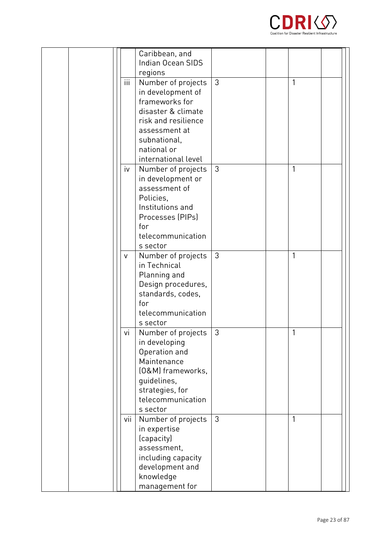

|       | Caribbean, and<br>Indian Ocean SIDS<br>regions                                                                                                                                |   |   |  |
|-------|-------------------------------------------------------------------------------------------------------------------------------------------------------------------------------|---|---|--|
| iii   | Number of projects<br>in development of<br>frameworks for<br>disaster & climate<br>risk and resilience<br>assessment at<br>subnational,<br>national or<br>international level | 3 | 1 |  |
| iv    | Number of projects<br>in development or<br>assessment of<br>Policies.<br>Institutions and<br>Processes (PIPs)<br>for<br>telecommunication<br>s sector                         | 3 | 1 |  |
| V     | Number of projects<br>in Technical<br>Planning and<br>Design procedures,<br>standards, codes,<br>for<br>telecommunication<br>s sector                                         | 3 | 1 |  |
| vi    | Number of projects<br>in developing<br>Operation and<br>Maintenance<br>(0&M) frameworks,<br>guidelines,<br>strategies, for<br>telecommunication<br>s sector                   | 3 | 1 |  |
| vii l | Number of projects<br>in expertise<br>(capacity)<br>assessment,<br>including capacity<br>development and<br>knowledge<br>management for                                       | 3 | 1 |  |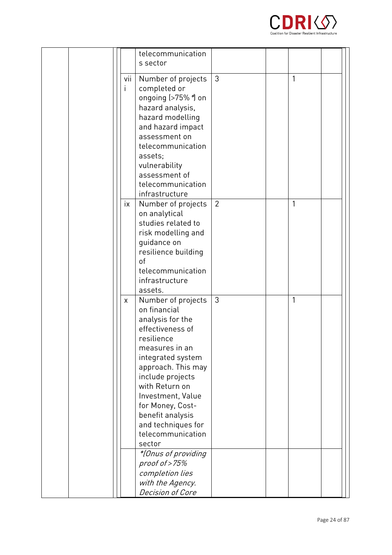

|  |     | telecommunication   |                |   |  |
|--|-----|---------------------|----------------|---|--|
|  |     | s sector            |                |   |  |
|  |     |                     |                |   |  |
|  | VII | Number of projects  | 3              | 1 |  |
|  | i.  | completed or        |                |   |  |
|  |     | ongoing (>75% *) on |                |   |  |
|  |     |                     |                |   |  |
|  |     | hazard analysis,    |                |   |  |
|  |     | hazard modelling    |                |   |  |
|  |     | and hazard impact   |                |   |  |
|  |     | assessment on       |                |   |  |
|  |     | telecommunication   |                |   |  |
|  |     | assets;             |                |   |  |
|  |     | vulnerability       |                |   |  |
|  |     | assessment of       |                |   |  |
|  |     | telecommunication   |                |   |  |
|  |     | infrastructure      |                |   |  |
|  | ix  |                     | $\overline{2}$ | 1 |  |
|  |     | Number of projects  |                |   |  |
|  |     | on analytical       |                |   |  |
|  |     | studies related to  |                |   |  |
|  |     | risk modelling and  |                |   |  |
|  |     | guidance on         |                |   |  |
|  |     | resilience building |                |   |  |
|  |     | of                  |                |   |  |
|  |     | telecommunication   |                |   |  |
|  |     | infrastructure      |                |   |  |
|  |     | assets.             |                |   |  |
|  | X   | Number of projects  | 3              | 1 |  |
|  |     | on financial        |                |   |  |
|  |     |                     |                |   |  |
|  |     | analysis for the    |                |   |  |
|  |     | effectiveness of    |                |   |  |
|  |     | resilience          |                |   |  |
|  |     | measures in an      |                |   |  |
|  |     | integrated system   |                |   |  |
|  |     | approach. This may  |                |   |  |
|  |     | include projects    |                |   |  |
|  |     | with Return on      |                |   |  |
|  |     | Investment, Value   |                |   |  |
|  |     | for Money, Cost-    |                |   |  |
|  |     | benefit analysis    |                |   |  |
|  |     | and techniques for  |                |   |  |
|  |     | telecommunication   |                |   |  |
|  |     |                     |                |   |  |
|  |     | sector              |                |   |  |
|  |     | *{Onus of providing |                |   |  |
|  |     | proof of $>75\%$    |                |   |  |
|  |     | completion lies     |                |   |  |
|  |     | with the Agency.    |                |   |  |
|  |     | Decision of Core    |                |   |  |
|  |     |                     |                |   |  |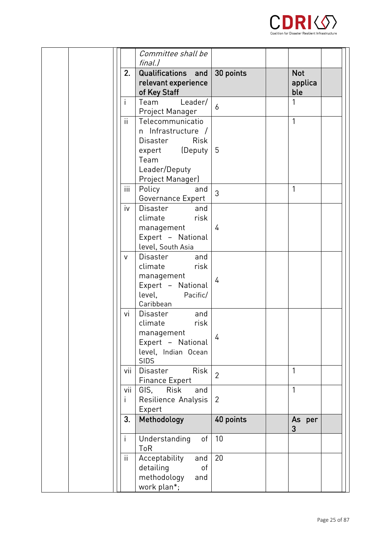

|              | Committee shall be<br>final.)                                                                                                                 |                |                              |
|--------------|-----------------------------------------------------------------------------------------------------------------------------------------------|----------------|------------------------------|
|              | 2.<br>Qualifications and<br>relevant experience<br>of Key Staff                                                                               | 30 points      | <b>Not</b><br>applica<br>ble |
| $\mathsf{I}$ | Team<br>Leader/<br>Project Manager                                                                                                            | 6              | 1                            |
|              | ii<br>Telecommunicatio<br>n Infrastructure /<br><b>Risk</b><br><b>Disaster</b><br>expert (Deputy<br>Team<br>Leader/Deputy<br>Project Manager) | -5             | 1                            |
|              | iii<br>Policy<br>and<br>Governance Expert                                                                                                     | 3              | 1                            |
|              | iv<br>Disaster<br>and<br>climate<br>risk<br>management<br>Expert - National<br>level, South Asia                                              | 4              |                              |
|              | Disaster<br>and<br>v<br>climate<br>risk<br>management<br>Expert - National<br>level,<br>Pacific/<br>Caribbean                                 | 4              |                              |
|              | Disaster<br>and<br>vi<br>climate<br>risk<br>management<br>Expert - National<br>level, Indian Ocean<br><b>SIDS</b>                             | $\frac{1}{4}$  |                              |
|              | vii<br><b>Disaster</b><br>Risk<br><b>Finance Expert</b>                                                                                       | $\overline{2}$ | 1                            |
|              | GIS.<br>Risk<br>vii<br>and<br>Resilience Analysis<br>i.<br>Expert                                                                             | $\overline{2}$ | 1                            |
|              | 3 <sub>1</sub><br>Methodology                                                                                                                 | 40 points      | As per<br>3                  |
| i.           | Understanding<br>of<br>ToR                                                                                                                    | 10             |                              |
|              | ii.<br>Acceptability<br>and<br>detailing<br>of<br>methodology<br>and<br>work plan*;                                                           | 20             |                              |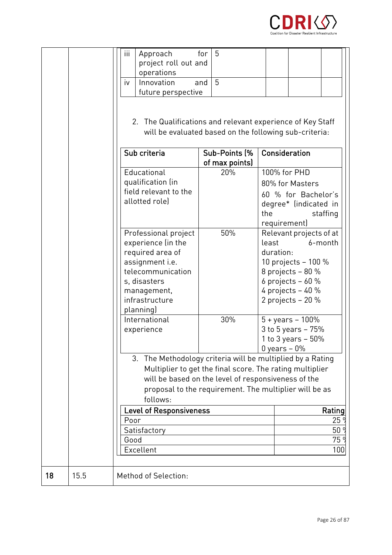

|    |      | iii<br>Approach<br>project roll out and<br>operations<br>iv<br>Innovation<br>future perspective<br>Sub criteria<br>Educational<br>qualification (in<br>field relevant to the<br>allotted role)<br>Professional project | 5<br>for<br>5<br>and<br>Sub-Points (%<br>of max points)<br>20%<br>50% | 2. The Qualifications and relevant experience of Key Staff<br>will be evaluated based on the following sub-criteria:<br>Consideration<br>100% for PHD<br>80% for Masters<br>60 % for Bachelor's<br>degree* (indicated in<br>the<br>staffing<br>requirement)<br>Relevant projects of at |
|----|------|------------------------------------------------------------------------------------------------------------------------------------------------------------------------------------------------------------------------|-----------------------------------------------------------------------|----------------------------------------------------------------------------------------------------------------------------------------------------------------------------------------------------------------------------------------------------------------------------------------|
|    |      | experience (in the<br>required area of<br>assignment i.e.<br>telecommunication<br>s, disasters<br>management,<br>infrastructure<br>planning)                                                                           |                                                                       | least<br>6-month<br>duration:<br>10 projects - 100 %<br>8 projects $-80%$<br>6 projects $-60%$<br>4 projects $-40%$<br>2 projects $-20%$                                                                                                                                               |
|    |      | International<br>experience                                                                                                                                                                                            | 30%                                                                   | $5 + \text{years} - 100\%$<br>3 to 5 years - 75%<br>1 to 3 years $-50\%$<br>$0$ years $-0\%$                                                                                                                                                                                           |
|    |      | follows:                                                                                                                                                                                                               |                                                                       | 3. The Methodology criteria will be multiplied by a Rating<br>Multiplier to get the final score. The rating multiplier<br>will be based on the level of responsiveness of the<br>proposal to the requirement. The multiplier will be as                                                |
|    |      | <b>Level of Responsiveness</b><br>Poor<br>Satisfactory<br>Good<br>Excellent                                                                                                                                            |                                                                       | Rating<br>25<br>50 <sup>o</sup><br>75 <sup>°</sup><br>100                                                                                                                                                                                                                              |
| 18 | 15.5 | <b>Method of Selection:</b>                                                                                                                                                                                            |                                                                       |                                                                                                                                                                                                                                                                                        |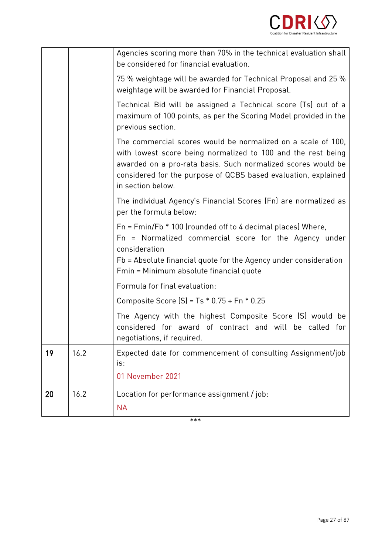

|    |      | Agencies scoring more than 70% in the technical evaluation shall<br>be considered for financial evaluation.                                                                                                                                                                         |
|----|------|-------------------------------------------------------------------------------------------------------------------------------------------------------------------------------------------------------------------------------------------------------------------------------------|
|    |      | 75 % weightage will be awarded for Technical Proposal and 25 %<br>weightage will be awarded for Financial Proposal.                                                                                                                                                                 |
|    |      | Technical Bid will be assigned a Technical score (Ts) out of a<br>maximum of 100 points, as per the Scoring Model provided in the<br>previous section.                                                                                                                              |
|    |      | The commercial scores would be normalized on a scale of 100,<br>with lowest score being normalized to 100 and the rest being<br>awarded on a pro-rata basis. Such normalized scores would be<br>considered for the purpose of QCBS based evaluation, explained<br>in section below. |
|    |      | The individual Agency's Financial Scores (Fn) are normalized as<br>per the formula below:                                                                                                                                                                                           |
|    |      | $Fn = Fmin/Fb * 100$ (rounded off to 4 decimal places) Where,<br>Fn = Normalized commercial score for the Agency under<br>consideration<br>Fb = Absolute financial quote for the Agency under consideration<br>Fmin = Minimum absolute financial quote                              |
|    |      | Formula for final evaluation:                                                                                                                                                                                                                                                       |
|    |      | Composite Score $[S] = Ts * 0.75 + Fn * 0.25$                                                                                                                                                                                                                                       |
|    |      | The Agency with the highest Composite Score (S) would be<br>considered for award of contract and will be called for<br>negotiations, if required.                                                                                                                                   |
| 19 | 16.2 | Expected date for commencement of consulting Assignment/job<br>is:                                                                                                                                                                                                                  |
|    |      | 01 November 2021                                                                                                                                                                                                                                                                    |
| 20 | 16.2 | Location for performance assignment / job:<br><b>NA</b>                                                                                                                                                                                                                             |

 $***$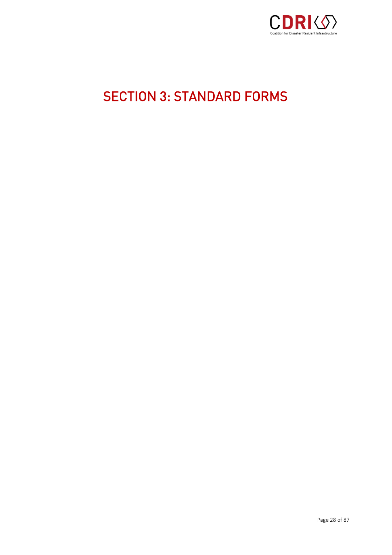

# <span id="page-27-0"></span>SECTION 3: STANDARD FORMS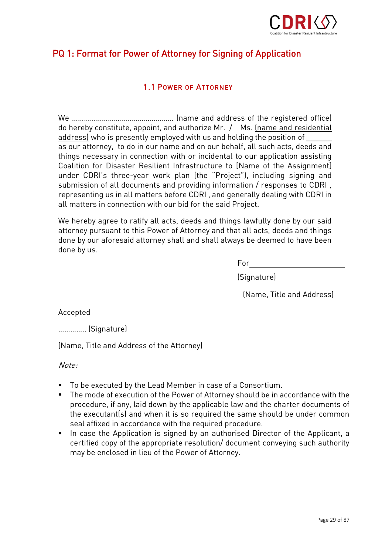

# PQ 1: Format for Power of Attorney for Signing of Application

#### **1.1 POWER OF ATTORNEY** 1.1 POWER OF ATTORNEY

We …………………………………………… (name and address of the registered office) address) who is presently employed with us and holding the position of as our attorney, to do in our name and on our behalf, all such acts, deeds and things necessary in connection with or incidental to our application assisting Coalition for Disaster Resilient Infrastructure to [Name of the Assignment] under CDRI's three-year work plan (the "Project"), including signing and submission of all documents and providing information / responses to CDRI, representing us in all matters before CDRI, and generally dealing with CDRI in representing as in all matrix of corresponding and generally dealing with CDRI in all matters in connection with our hid for the said Project all matters in connection with our bid for the said Project.

We hereby agree to ratify all acts, deeds and things lawfully done by our said<br>attorney pursuant to this Power of Attorney and that all acts, deeds and things attorney pursuant to the Power of Attorney and that acts, doesn't and things done by our aforesaid attorney shall and shall always be deemed to have been done by us.

For (Signature)

 $\sum_{i=1}^{n}$ 

Accepted

 $\ddot{\phantom{1}}$  (Signature)

(Name,  $\frac{1}{2}$  the Attorney) of the Attorney,  $\frac{1}{2}$ 

Note:

- To be executed by the Lead Member in case of a Consortium.
- The mode of execution of the Power of Attorney should be in accordance with the procedure, if any, laid down by the applicable law and the charter documents of the executant(s) and when it is so required the same should be under common seal affixed in accordance with the required procedure.
- In case the Application is signed by an authorised Director of the Applicant, a<br>
certified conv of the appropriate resolution/ document conveying such authority certified copy of the appropriate resolution/ document conveying such authority may be enclosed in lieu of the Power of Attorney.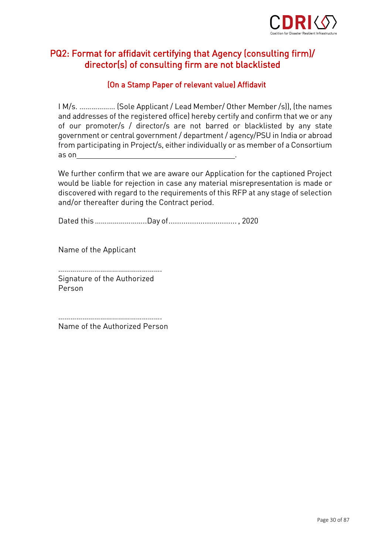

# PQ2: Format for affidavit certifying that Agency (consulting firm)/ director(s) of consulting firm are not blacklisted

#### (On a Stamp Paper of relevant value) Affidavit

I M/s. ……………… (Sole Applicant / Lead Member/ Other Member /s)), (the names and addresses of the registered office) hereby certify and confirm that we or any of our promoter/s / director/s are not barred or blacklisted by any state government or central government / department / agency/PSU in India or abroad government or central government, algomentum, agency, PSU in India or abroad<br>from narticinating in Project/s, either individually or as member of a Consortium from participating in Project/s, either individually or as member of a Consortium as on .

We further confirm that we are aware our Application for the captioned Project would be liable for rejection in case any material misrepresentation is made or discovered with regard to the requirements of this RFP at any stage of selection discovered with regard to the requirements of this RFP at any stage of selection. and/or there are during the Contract period.

Dated this……………………..Day of................................ , 2020

Name of the Applicant

……………………………………………. Person

…………………………………………….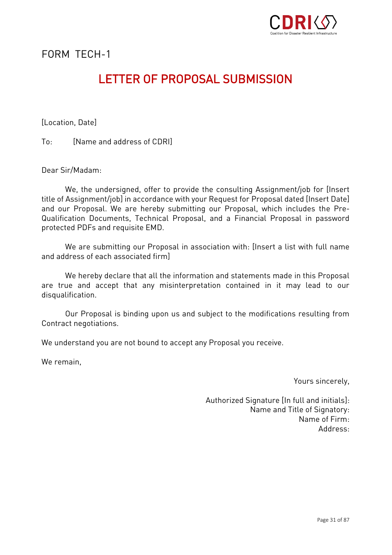

FORM TFCH-1

### **LETTER OF PROPOSAL SUBMISSION** LETTER OF PROPOSAL SUBMISSION CONTROL SUBMISSION

 $\mathcal{L}$  (  $\mathcal{L}$  ) and  $\mathcal{L}$ 

 $To^{\perp}$ [Name and address of CDRI] To: [Name and address of CDRI]]

Dear Sir/Madam: Dear Sir/Madam:

We, the undersigned, offer to provide the consulting Assignment/job for [Insert]<br>title of Assignment/job] in accordance with your Request for Proposal dated [Insert Date] and our Proposal. We are hereby submitting our Proposal, which includes the Pre-Qualification Documents, Technical Proposal, and a Financial Proposal in password protected PDFs and requisite EMD. protected PDFs and requisite EMD.

We are submitting our Proposal in association with: [Insert a list with full name<br>and address of each associated firm] and address of each associated firm]

We hereby declare that all the information and statements made in this Proposal<br>are true and accept that any misinterpretation contained in it may lead to our  $\alpha$  . The accept true and accept that any misinterpretation contained in its may lead to our lead to our lead to our lead to our lead to our lead to our lead to our lead to our lead to our lead to our lead to our lead to disqualification.

our Proposal is amalig upon us and subject to the modifications resulting from Contract negotiations.

We understand you are not bound to accept any Proposal you receive.

We remain,

Yours sincerely,

Authorized Signature [In full and initials]: Name of Firm: Address: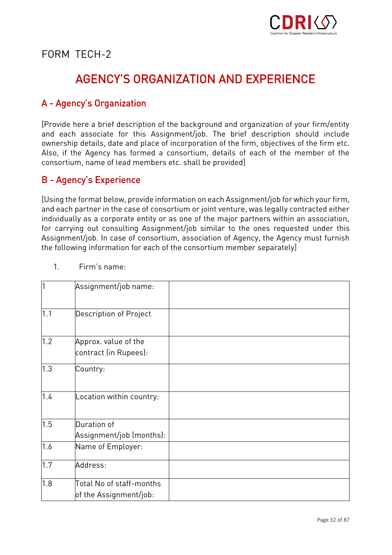

FORM TFCH-2

### **AGENCY'S ORGANIZATION AND EXPERIENCE** AGENCY'S ORGANIZATION AND EXPERIENCE

### A - Agency's Organization

[Provide here a brief description of the background and organization of your firm/entity ownership details, date and place of incorporation of the firm, objectives of the firm etc. Also, if the Agency has formed a consortium, details of each of the member of the consortium, name of lead members etc. shall be provided] consortium, name of lead members etc. shall be provided members etc. shall be provided by provided and the provided of lead members etc. shall be provided by the provided of the provided by the provided by the provided by

#### B - Agency's Experience

[Using the format below, provide information on each Assignment/job for which your firm, individually as a corporate entity or as one of the major partners within an association, for carrying out consulting Assignment/job similar to the ones requested under this Assignment/job. In case of consortium, association of Agency, the Agency must furnish the following information for each of the consortium member separately]  $t_{\rm eff}$  information for each of the constraint member separately.

| 1   | Assignment/job name:                               |  |
|-----|----------------------------------------------------|--|
| 1.1 | Description of Project                             |  |
| 1.2 | Approx. value of the<br>contract (in Rupees):      |  |
| 1.3 | Country:                                           |  |
| 1.4 | Location within country:                           |  |
| 1.5 | Duration of<br>Assignment/job (months):            |  |
| 1.6 | Name of Employer:                                  |  |
| 1.7 | Address:                                           |  |
| 1.8 | Total No of staff-months<br>of the Assignment/job: |  |

 $\mathbf{1}$ Firm's name: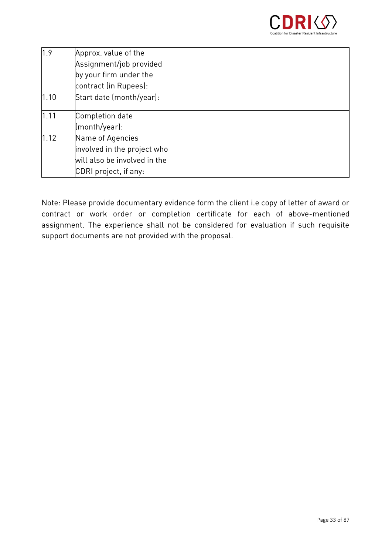

| 1.9  | Approx. value of the                  |  |
|------|---------------------------------------|--|
|      | Assignment/job provided               |  |
|      | by your firm under the                |  |
|      | contract (in Rupees):                 |  |
| 1.10 | Start date (month/year):              |  |
| 1.11 | Completion date                       |  |
|      | $\lbrack \text{month/year} \rbrack$ : |  |
| 1.12 | Name of Agencies                      |  |
|      | involved in the project who           |  |
|      | will also be involved in the          |  |
|      | CDRI project, if any:                 |  |

Note: Please provide documentary evidence form the client i.e copy of letter of award or assignment. The experience shall not be considered for evaluation if such requisite  $\frac{1}{2}$ support documents are not provided with the proposal.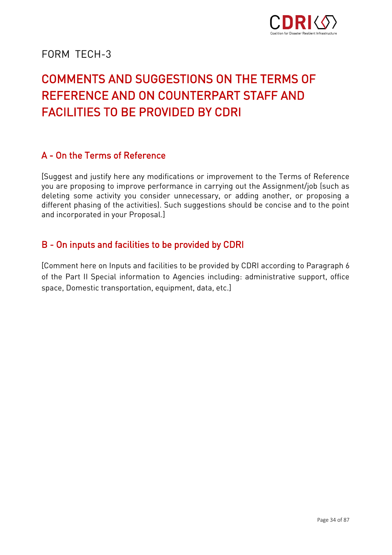

### FORM TFCH-3

## **COMMENTS AND SUGGESTIONS ON THE TERMS OF** REFERENCE AND ON COUNTERPART STAFF AND **FACILITIES TO BE PROVIDED BY CDRI** FACILITIES TO BE PROVIDED BY CDRI

#### A - On the Terms of Reference A - On the Terms of Reference

[Suggest and justify here any modifications or improvement to the Terms of Reference deleting some activity you consider unnecessary, or adding another, or proposing a different phasing of the activities). Such suggestions should be concise and to the point and incorporated in your Proposal.] and incorporated in your Proposal.]

#### B - On inputs and facilities to be provided by CDRI

[Comment here on Inputs and facilities to be provided by CDRI according to Paragraph 6<br>of the Part II Special information to Agencies including: administrative support, office of the Part II Special information to Agencies including: administrative support, office space, Domestic transportation, equipment, data, etc.]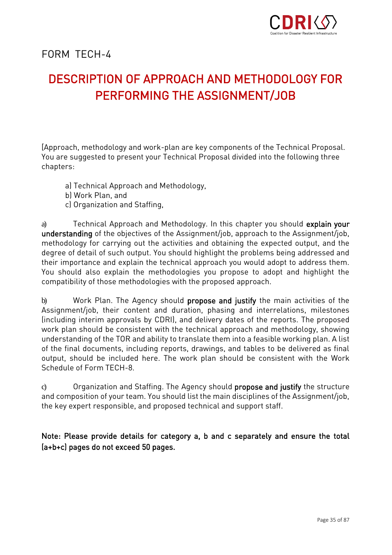

FORM TFCH-4

### DESCRIPTION OF APPROACH AND METHODOLOGY FOR PERFORMING THE ASSIGNMENT/JOB PERFORMING THE ASSIGNMENT  $\mathcal{P}$

[Approach, methodology and work-plan are key components of the Technical Proposal. You are suggested to present your Technical Proposal divided into the following three You are suggested to present your Technical Proposal divided into the following three chapters:

- a) Technical Approach and Methodology,<br>b) Work Plan. and
- 
- n)<br>cl Organization and c) Organization and Staffing,

a) Technical Approach and Methodology. In this chapter you should explain your<br>understanding of the objectives of the Assignment/job, approach to the Assignment/job, methodology for carrying out the activities and obtaining the expected output, and the degree of detail of such output. You should highlight the problems being addressed and their importance and explain the technical approach you would adopt to address them. You should also explain the methodologies you propose to adopt and highlight the  $\frac{y}{y}$   $\frac{y}{y}$  are methodologies with the proposed and compatibility of those methodologies with the proposed and reach compatibility of those methodologies with the proposed approach.

b) Work Plan. The Agency should **propose and justify** the main activities of the Assignment/job, their content and duration, phasing and interrelations, milestones (including interim approvals by CDRI), and delivery dates of the reports. The proposed work plan should be consistent with the technical approach and methodology, showing understanding of the TOR and ability to translate them into a feasible working plan. A list of the final documents, including reports, drawings, and tables to be delivered as final output, should be included here. The work plan should be consistent with the Work Schedule of Form TFCH-8.

c) Organization and Staffing. The Agency should **propose and justify** the structure and composition of your team. You should list the main disciplines of the Assignment/job, and composition of your team. You show the main disciplines of the main disciplines of the Main disciplines of the  $\frac{1}{2}$ the key expert responsible, and proposed technical and support staff.

Note: Please provide details for category a, b and c separately and ensure the total<br>(a+b+c) pages do not exceed 50 pages. (a+b+c) pages do not exceed 50 pages.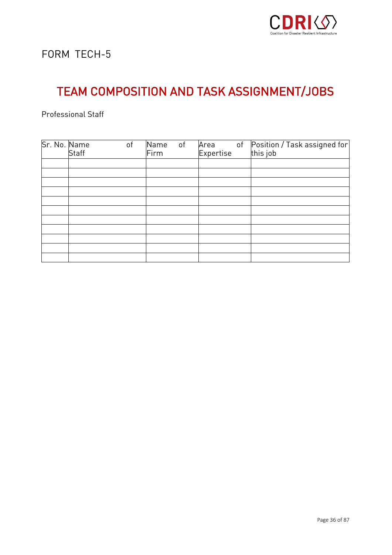

# TEAM COMPOSITION AND TASK ASSIGNMENT/JOBS

| Sr. No. Name | Staff | of | Name<br>Firm | of | Area<br>Expertise | of | Position / Task assigned for<br>this job |
|--------------|-------|----|--------------|----|-------------------|----|------------------------------------------|
|              |       |    |              |    |                   |    |                                          |
|              |       |    |              |    |                   |    |                                          |
|              |       |    |              |    |                   |    |                                          |
|              |       |    |              |    |                   |    |                                          |
|              |       |    |              |    |                   |    |                                          |
|              |       |    |              |    |                   |    |                                          |
|              |       |    |              |    |                   |    |                                          |
|              |       |    |              |    |                   |    |                                          |
|              |       |    |              |    |                   |    |                                          |
|              |       |    |              |    |                   |    |                                          |
|              |       |    |              |    |                   |    |                                          |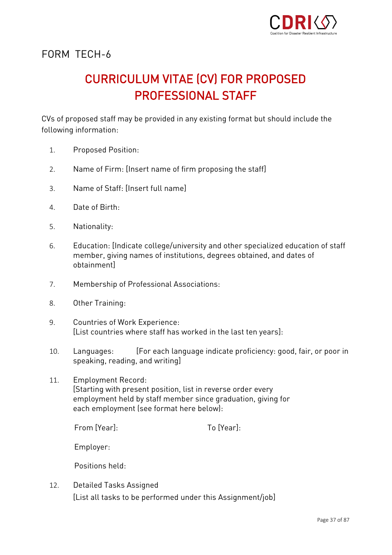

# CURRICULUM VITAE (CV) FOR PROPOSED

cover proposed staff may be provided in any existing format but should include the sho<br>following information following information:

- 1. Proposed Position:
- 2. Name of Firm: [Insert name of firm proposing the staff]
- 3. Name of Staff: [Insert full name]
- 4. Date of Birth:
- 5. Nationality:
- 6. Education: [Indicate college/university and other specialized education of staff ohtainment] obtainment]
- 7. Membership of Professional Associations:
- 8. Other Training:
- 9. Countries of Work Experience: [List countries where staff has worked in the last ten years]:
- 10. Languages: [For each language indicate proficiency: good, fair, or poor in speaking, reading, and writing]
- 11. Employment Record:<br>[Starting with present position, list in reverse order every employment held by staff member since graduation, giving for each employment (see format here below): each employment (see format here below):

From SYearl. From [Year]: To [Year]:

To [Year].

Employer:

Positions held:

12. Detailed Tasks Assigned [List all tasks to be performed under this Assignment/job]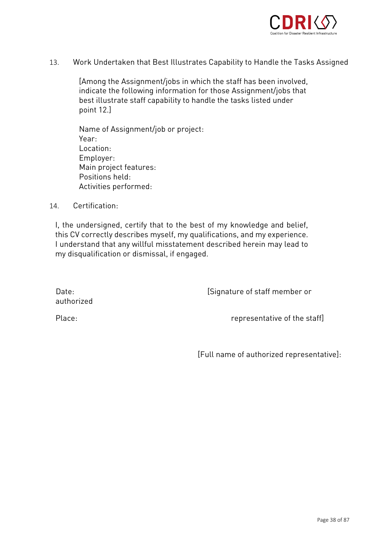

13. Work Undertaken that Best Illustrates Capability to Handle the Tasks Assigned

[Among the Assignment/jobs in which the staff has been involved, indicate the following information for those resignment, jobs that<br>hest illustrate staff canability to bandle the tasks listed under  $\begin{array}{ccc} \text{point} & 12 \end{array}$ point 12.]

Name of Assignment/job or project: Location: Employer: Main project features: Positions held: Activities performed: Activities performed:

14. Certification:

I, the undersigned, certify that to the best of my knowledge and belief, this CV correctly describes myself, my qualifications, and my experience. I understand that any willful misstatement described herein may lead to  $\sum_{i=1}^{N}$  understand that any virtual that any lead to  $\sum_{i=1}^{N}$ my disqualification or dismissal, if engaged.

Date:<br>
authorized<br>
Date:<br>
authorized Date:

Place:

Place: representative of the staff]

[Full name of authorized representative]: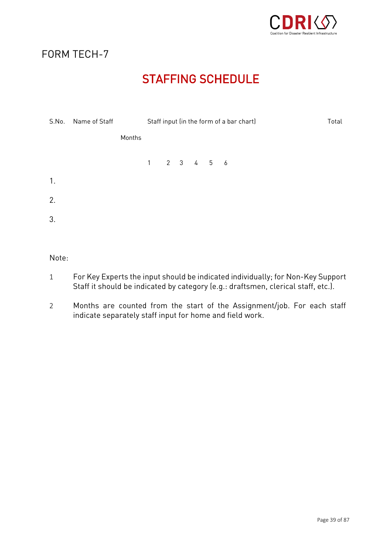

# STAFFING SCHEDULE SCHEDULE

| S.No. | Name of Staff |        | Staff input (in the form of a bar chart)         |  |  |  | Total |  |
|-------|---------------|--------|--------------------------------------------------|--|--|--|-------|--|
|       |               | Months |                                                  |  |  |  |       |  |
|       |               |        | $1 \qquad 2 \qquad 3 \qquad 4 \qquad 5 \qquad 6$ |  |  |  |       |  |
| 1.    |               |        |                                                  |  |  |  |       |  |
| 2.    |               |        |                                                  |  |  |  |       |  |
| 3.    |               |        |                                                  |  |  |  |       |  |

Note:

- <sup>1</sup> For Key Experts the input should be indicated individually; for Non-Key Support Staff it should be indicated by category (e.g.: draftsmen, clerical staff, etc.).
- <sup>2</sup> Months are counted from the start of the Assignment/job. For each staff indicate separately staff input for home and field work.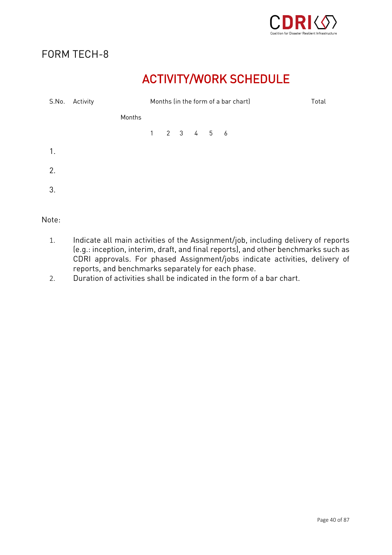

# ACTIVITY/WORK SCHEDULE

| S.No.          | Activity |        | Months (in the form of a bar chart) |  |  |                                                  | Total |  |
|----------------|----------|--------|-------------------------------------|--|--|--------------------------------------------------|-------|--|
|                |          | Months |                                     |  |  |                                                  |       |  |
|                |          |        |                                     |  |  | $1 \qquad 2 \qquad 3 \qquad 4 \qquad 5 \qquad 6$ |       |  |
| $\mathbf{1}$ . |          |        |                                     |  |  |                                                  |       |  |
| 2.             |          |        |                                     |  |  |                                                  |       |  |
| 3.             |          |        |                                     |  |  |                                                  |       |  |
|                |          |        |                                     |  |  |                                                  |       |  |

- 1. Indicate all main activities of the Assignment/job, including delivery of reports CDRI approvals. For phased Assignment/jobs indicate activities, delivery of reports, and benchmarks separately for each phase.
- 2. Duration of activities shall be indicated in the form of a bar chart.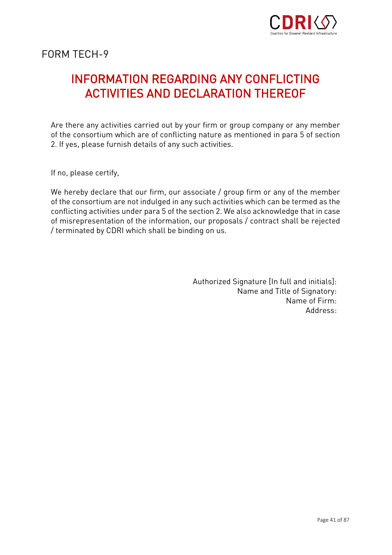

# **INFORMATION REGARDING ANY CONFLICTING ACTIVITIES AND DECLARATION THEREOF** ACTIVITIES AND DECLARATION THEREOF

Are there any activities carried out by your firm or group company or any member<br>of the consortium which are of conflicting nature as mentioned in para 5 of section  $\alpha$  of the consortium which defines a measure are of  $\alpha$  of  $\alpha$  of any curb activities  $2.$  If yes, please further details of any such activities.

If no, please certify,

We hereby declare that our firm, our associate / group firm or any of the member<br>of the consortium are not indulged in any such activities which can be termed as the conflicting activities under para 5 of the section 2. We also acknowledge that in case of misrepresentation of the information, our proposals / contract shall be rejected / terminated by CDRI which shall be binding on us. / terminated by CDRI which shall be binding on us.

> Authorized Signature [In full and initials]: Name of Firm: Address.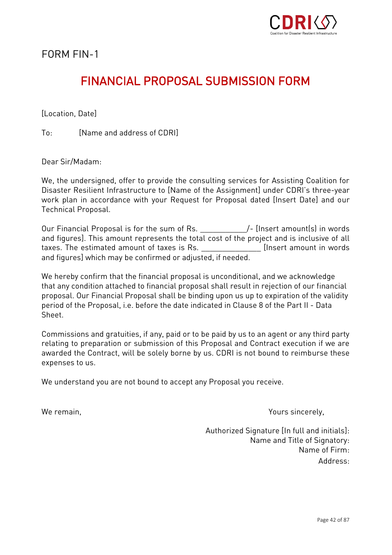

FORM FIN-1

## **FINANCIAL PROPOSAL SUBMISSION FORM** FINANCIAL PROPOSAL SUBMISSION FORMAT AND A SUBMISSION FORMAT AND A SUBMISSION FOR A SUBMISSION FOR A SUBMISSION

Il ocation, Datel  $\mathcal{L}$  (  $\mathcal{L}$  ) and  $\mathcal{L}$ 

 $To^{\ldots}$ [Name and address of CDRI] To: [Name and address of CDRI]]

Dear Sir/Madam:

We, the undersigned, offer to provide the consulting services for Assisting Coalition for<br>Disaster Resilient Infrastructure to [Name of the Assignment] under CDRI's three-year work plan in accordance with your Request for Proposal dated [Insert Date] and our Technical Proposal. Technical Proposal.

Our Financial Proposal is for the sum of Rs. \_\_\_\_\_\_\_\_\_\_\_\_\_/- [Insert amount(s) in words<br>and figures]. This amount represents the total cost of the project and is inclusive of all taxes. The estimated amount of taxes is Rs. The extended in words and figures] which may be confirmed or adiusted, if needed. and figures] which may be confirmed or adjusted, if needed.

We hereby confirm that the financial proposal is unconditional, and we acknowledge<br>that any condition attached to financial proposal shall result in rejection of our financial proposal. Our Financial Proposal shall be binding upon us up to expiration of the validity proposal. Our Financial Proposal. Our Financial Britain and the value of the value of the value of the validit<br>Proposal is a before the data indicated in Clause 8 of the Part II - Data period of the Proposal, i.e. before the date indicated indicated in Clause 8 of the Part II - Data II - Data I<br>Shaat

Commissions and gratuities, if any, paid or to be paid by us to an agent or any third party relative to preparation of the preparation of the collapse of the contract will be collabored and CORI is not hound to reimburse these  $\alpha$  contracted the Contract is not borne by us. Contract is not bound to reimburse these these these these these these theorems the  $\alpha$ expenses to us.

We understand you are not bound to accept any Proposal you receive.

We remain, Yours since  $\mathcal{V}$  remains since  $\mathcal{V}$ 

Authorized Signature [In full and initials]: Name of Firm-Address: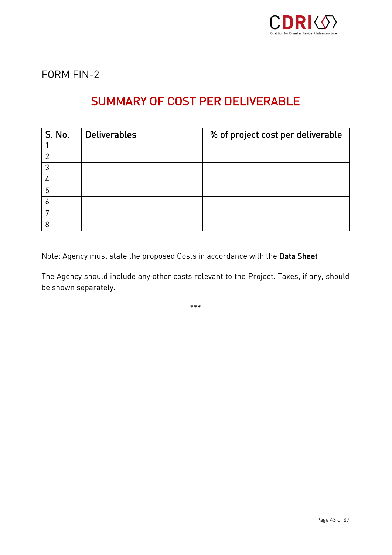

FORM FIN-2

# SUMMARY OF COST PER DELIVERABLE

| S. No. | <b>Deliverables</b> | % of project cost per deliverable |
|--------|---------------------|-----------------------------------|
|        |                     |                                   |
| ◠      |                     |                                   |
| 3      |                     |                                   |
| 4      |                     |                                   |
| 5      |                     |                                   |
| O      |                     |                                   |
| 7      |                     |                                   |
| 8      |                     |                                   |

Note: Agency must state the proposed Costs in accordance with the Data Sheet

The Agency should include any other costs relevant to the Project. Taxes, if any, should be shown separately.

 $***$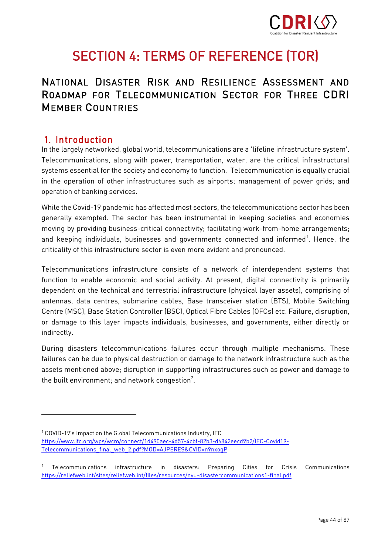

# SECTION 4: TERMS OF REFERENCE (TOR)

# NATIONAL DISASTER RISK AND RESILIENCE ASSESSMENT AND **MEMBER COUNTRIES** MEMBER COUNTRIES

### 1. Introduction

In the largely networked, global world, telecommunications are a 'lifeline infrastructure system'.<br>Telecommunications, along with a very a transportation, water, and the pritical infrastructural. Telecommunications, along with power, transportation, water, are the critical infrastructural systems essential for the society and economy to function. Telecommunication is equally crucial in the operation of other infrastructures such as airports; management of power grids; and operation of banking services.

While the Covid-19 pandemic has affected most sectors, the telecommunications sector has been<br>generally exempted. The sector has been instrumental in keeping societies and economies moving by providing business-critical connectivity; facilitating work-from-home arrangements; moving by providing business-critical connectivity; facilitating work-from-home arrangements; and keeping individuals, businesses and governments connected and informed . Hence, the<br>exitiality of this infoacts where eacher is even many avident and associated. criticality of this infrastructure sector is evident and proposed. In this evident and proposed and proposed.

Telecommunications infrastructure consists of a network of interdependent systems that dependent on the technical and terrestrial infrastructure (physical layer assets), comprising of antennas, data centres, submarine cables, Base transceiver station (BTS), Mobile Switching Centre (MSC), Base Station Controller (BSC), Optical Fibre Cables (OFCs) etc. Failure, disruption, Centre (MSC), Base Station Controller (BSC), Optical Fibre Cables (OFCs) etc. Failure, disruption, or damage to this layer impacts individuals, businesses, and governments, either directly or indirectly.

During disasters telecommunications failures occur through multiple mechanisms. These assets mentioned above; disruption in supporting infrastructures such as power and damage to assets mentioned above; disruption in supporting infrastructures such as power and damage to the built environment; and network congestion

<sup>&</sup>lt;sup>1</sup> COVID-19's Impact on the Global Telecommunications Industry, IFC<br>https://www.ifc.org/wps/wcm/connect/1d490aec-4d57-4cbf-82b3-d6842eecd9b2/IFC-Covid19-Telecommunications final web 2.pdf?MOD=AJPERES&CVID=n9nxoqP  $\overline{\phantom{a}}$  , and the components  $\overline{\phantom{a}}$  and  $\overline{\phantom{a}}$  and  $\overline{\phantom{a}}$ 

<sup>&</sup>lt;sup>2</sup> Telecommunications infrastructure in disasters: Preparing Cities for Crisis Communications<br>https://reliefweb.int/sites/reliefweb.int/files/resources/nyu-disastercommunications1-final.pdf <https://reliefweb.int/sites/reliefweb.int/files/resources/nyu-disastercommunications1-final.pdf>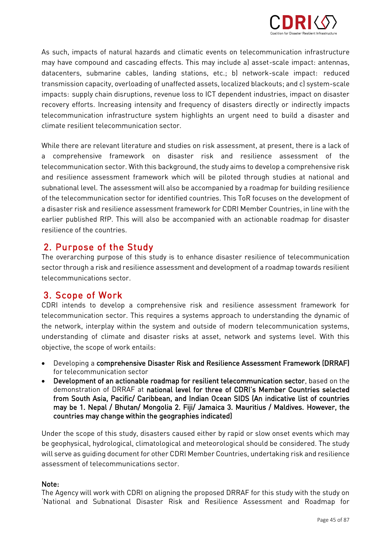

As such, impacts of natural hazards and climatic events on telecommunication infrastructure<br>may have compound and cascading effects. This may include a) asset-scale impact: antennas, datacenters, submarine cables, landing stations, etc.; b) network-scale impact: reduced transmission capacity, overloading of unaffected assets, localized blackouts; and c) system-scale impacts: supply chain disruptions, revenue loss to ICT dependent industries, impact on disaster recovery efforts. Increasing intensity and frequency of disasters directly or indirectly impacts telecommunication infrastructure system highlights an urgent need to build a disaster and climate resilient telecommunication sector.

While there are relevant literature and studies on risk assessment, at present, there is a lack of the variant<br>a comprehensive framework on disaster risk and resilience assessment of the telecommunication sector. With this background, the study aims to develop a comprehensive risk and resilience assessment framework which will be piloted through studies at national and subnational level. The assessment will also be accompanied by a roadmap for building resilience of the telecommunication sector for identified countries. This ToR focuses on the development of a disaster risk and resilience assessment framework for CDRI Member Countries, in line with the earlier published RfP. This will also be accompanied with an actionable roadmap for disaster resilience of the countries.

2. Purpose of the Study<br>The overarching purpose of this study is to enhance disaster resilience of telecommunication The overarching purpose of this study is to enhance disaster resilience of telecommunication sector through a risk and resilience assessment and development of a roadmap towards resilient

**3. Scope of Work**<br>CDRI intends to develop a comprehensive risk and resilience assessment framework for telecommunication sector. This requires a systems approach to understanding the dynamic of the network, interplay within the system and outside of modern telecommunication systems, the network, interplay within the system and outside of modern telecommunication systems,  $\mathcal{L}_{\text{in}}$  and disaster risks at asset, network and systems level. With this system is this system is the system of  $\mathcal{L}_{\text{in}}$ objective, the scope of work entails:

- Developing a comprehensive Disaster Risk and Resilience Assessment Framework (DRRAF)
- Development of an actionable roadmap for resilient telecommunication sector, based on the<br>demonstration of DRRAE at pational level for three of CDRI's Member Countries selected demonstration of DRRAF at national level for three of CDRI's Member Countries selected from South Asia, Pacific/ Caribbean, and Indian Ocean SIDS (An indicative list of countries may be 1. Nepal / Bhutan/ Mongolia 2. Fiji/ Jamaica 3. Mauritius / Maldives. However, the may be 1. Nepal / Bhatan/ Mongolia 2. Fiji/ Jamaica 3. Malamae / Malameer Moneter, the<br>countries may change within the geographies indicated! countries may change within the geographics indicated,

Under the scope of this study, disasters caused either by rapid or slow onset events which may<br>be geophysical, hydrological, climatological and meteorological should be considered. The study will serve as quiding document for other CDRI Member Countries, undertaking risk and resilience  $\frac{1}{2}$  server as guiding document of the other CDRI Member Countries, under resilience residence resilience resilience resilience resilience resilience resilience resilience resilience resilience resilience resilience

Note:<br>The Agency will work with CDRI on aligning the proposed DRRAF for this study with the study on National and Subnational Disaster Risk and Resilience Assessment and Roadmap for 'National and Subnational Disaster Risk and Resilience Assessment and Roadmap for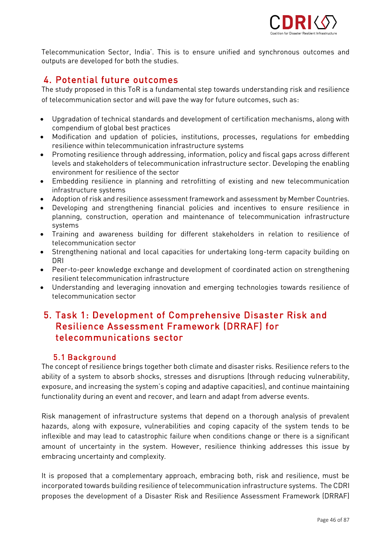

 $T_{\text{c}}$  and  $T_{\text{c}}$  is to ensure unified and synchronous  $T_{\text{c}}$  and synchronous  $T_{\text{c}}$ outputs are developed for both the studies.

## 4. Potential future outcomes

The study proposed in this ToR is a fundamental step towards understanding risk and resilience of telecommunication sector and will pave the way for future outcomes, such as: of telecommunication sector and will pave the way for future outcomes, such as:

- Upgradation of technical standards and development of certification mechanisms, along with
- Modification and updation of policies, institutions, processes, regulations for embedding<br>resilience within telecommunication infrastructure systems
- Promoting resilience through addressing, information, policy and fiscal gaps across different<br>levels and stakeholders of telecommunication infrastructure sector. Developing the enabling levels and stakeholders of telecommunication infrastructure sector. Developing the enabling
- Embedding resilience in planning and retrofitting of existing and new telecommunication<br>infrastructure systems
- Adoption of risk and resilience assessment framework and assessment by Member Countries.<br>• Developing, and strengthening, financial, policies, and incentives, to ensure, resilience, in.
- Developing and strengthening financial policies and incentives to ensure resilience in planning, construction, operation and maintenance of telecommunication infrastructure
- Training and awareness building for different stakeholders in relation to resilience of<br>telecommunication sector
- Strengthening national and local capacities for undertaking long-term capacity building on<br>DRI
- Peer-to-peer knowledge exchange and development of coordinated action on strengthening<br>resilient telecommunication infrastructure
- Understanding and leveraging innovation and emerging technologies towards resilience of<br>telecommunication sector

# 5. Task 1: Development of Comprehensive Disaster Risk and telecommunications sector telecommunications sector

**5.1 Background**<br>The concept of resilience brings together both climate and disaster risks. Resilience refers to the ability of a system to absorb shocks, stresses and disruptions (through reducing vulnerability, exposure, and increasing the system's coping and adaptive capacities), and continue maintaining exposure, and increasing the system of  $\frac{1}{2}$ , and  $\frac{1}{2}$ , and  $\frac{1}{2}$ , and coping and coping and continue maintaining and continue maintaining and continue maintaining  $\frac{1}{2}$ functionality during an event and recover, and learn and adapt from adverse events.

Risk management of infrastructure systems that depend on a thorough analysis of prevalent<br>hazards, along with exposure, vulnerabilities and coping capacity of the system tends to be inflexible and may lead to catastrophic failure when conditions change or there is a significant amount of uncertainty in the system. However, resilience thinking addresses this issue by  $\frac{1}{2}$  amount  $\frac{1}{2}$  and semploy it is issue by  $\frac{1}{2}$ embracing uncertainty and complexity.

It is proposed that a complementary approach, embracing both, risk and resilience, must be incorporated towards building resilience of telecommunication infrastructure systems. The CDRI proposes the development of a Disaster Risk and Resilience Assessment Framework (DRRAF) proposes the development of a Disaster Risk and Resilience Assessment Framework (DRRAF)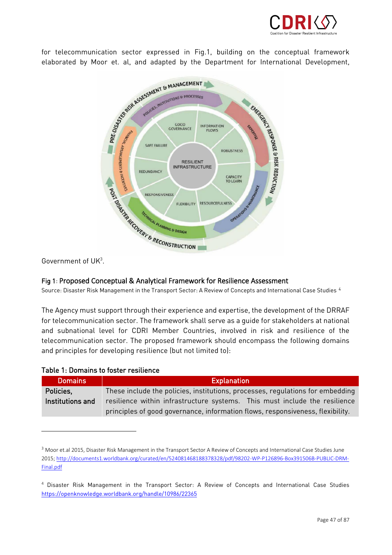

for telecommunication sector expressed in Fig.1, building on the conceptual framework<br>elaborated by Moor et. al, and adapted by the Department for International Development,



Government of  $UK<sup>3</sup>$ .

### Fig 1: Proposed Conceptual & Analytical Framework for Resilience Assessment

4 Source: Disaster Risk Management in the Transport Sector: A Review of Concepts and International Case Studies

The Agency must support through their experience and expertise, the development of the DRRAF<br>for telecommunication sector. The framework shall serve as a guide for stakeholders at national and subnational level for CDRI Member Countries, involved in risk and resilience of the telecommunication sector. The proposed framework should encompass the following domains and principles for developing resilience (but not limited to): and principles for developing resilience (but not limited to):

| Table T. Domanis to loster residence |                                                                                                                                                              |  |  |  |  |  |  |
|--------------------------------------|--------------------------------------------------------------------------------------------------------------------------------------------------------------|--|--|--|--|--|--|
| <b>Domains</b>                       | <b>Explanation</b>                                                                                                                                           |  |  |  |  |  |  |
| Policies,                            | These include the policies, institutions, processes, regulations for embedding                                                                               |  |  |  |  |  |  |
| Institutions and                     | resilience within infrastructure systems. This must include the resilience<br>principles of good governance, information flows, responsiveness, flexibility. |  |  |  |  |  |  |
|                                      |                                                                                                                                                              |  |  |  |  |  |  |

### Toble 1. Demoine to fector reciliance

<sup>&</sup>lt;sup>3</sup> Moor et.al 2015, Disaster Risk Management in the Transport Sector A Review of Concepts and International Case Studies June 2015[; http://documents1.worldbank.org/curated/en/524081468188378328/pdf/98202-WP-P126896-Box391506B-PUBLIC-DRM-](http://documents1.worldbank.org/curated/en/524081468188378328/pdf/98202-WP-P126896-Box391506B-PUBLIC-DRM-Final.pdf)[Final.pdf](http://documents1.worldbank.org/curated/en/524081468188378328/pdf/98202-WP-P126896-Box391506B-PUBLIC-DRM-Final.pdf)

<sup>4</sup> Disaster Risk Management in the Transport Sector: A Review of Concepts and International Case Studies <https://openknowledge.worldbank.org/handle/10986/22365>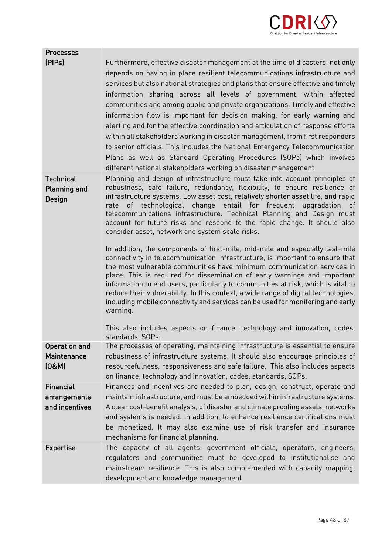

| <b>Processes</b>                                   |                                                                                                                                                                                                                                                                                                                                                                                                                                                                                                                                                                                                                                                                                                                                                                                                                                                                                                                                                                                                                                                                                                                                                                                                                          |
|----------------------------------------------------|--------------------------------------------------------------------------------------------------------------------------------------------------------------------------------------------------------------------------------------------------------------------------------------------------------------------------------------------------------------------------------------------------------------------------------------------------------------------------------------------------------------------------------------------------------------------------------------------------------------------------------------------------------------------------------------------------------------------------------------------------------------------------------------------------------------------------------------------------------------------------------------------------------------------------------------------------------------------------------------------------------------------------------------------------------------------------------------------------------------------------------------------------------------------------------------------------------------------------|
| [PIPs]                                             | Furthermore, effective disaster management at the time of disasters, not only<br>depends on having in place resilient telecommunications infrastructure and<br>services but also national strategies and plans that ensure effective and timely<br>information sharing across all levels of government, within affected<br>communities and among public and private organizations. Timely and effective<br>information flow is important for decision making, for early warning and<br>alerting and for the effective coordination and articulation of response efforts<br>within all stakeholders working in disaster management, from first responders<br>to senior officials. This includes the National Emergency Telecommunication<br>Plans as well as Standard Operating Procedures (SOPs) which involves<br>different national stakeholders working on disaster management                                                                                                                                                                                                                                                                                                                                        |
| <b>Technical</b><br><b>Planning and</b><br>Design  | Planning and design of infrastructure must take into account principles of<br>robustness, safe failure, redundancy, flexibility, to ensure resilience of<br>infrastructure systems. Low asset cost, relatively shorter asset life, and rapid<br>rate of technological change entail for frequent upgradation of<br>telecommunications infrastructure. Technical Planning and Design must<br>account for future risks and respond to the rapid change. It should also<br>consider asset, network and system scale risks.<br>In addition, the components of first-mile, mid-mile and especially last-mile<br>connectivity in telecommunication infrastructure, is important to ensure that<br>the most vulnerable communities have minimum communication services in<br>place. This is required for dissemination of early warnings and important<br>information to end users, particularly to communities at risk, which is vital to<br>reduce their vulnerability. In this context, a wide range of digital technologies,<br>including mobile connectivity and services can be used for monitoring and early<br>warning.<br>This also includes aspects on finance, technology and innovation, codes,<br>standards, SOPs. |
| <b>Operation and</b><br>Maintenance<br>(0&M)       | The processes of operating, maintaining infrastructure is essential to ensure<br>robustness of infrastructure systems. It should also encourage principles of<br>resourcefulness, responsiveness and safe failure. This also includes aspects<br>on finance, technology and innovation, codes, standards, SOPs.                                                                                                                                                                                                                                                                                                                                                                                                                                                                                                                                                                                                                                                                                                                                                                                                                                                                                                          |
| <b>Financial</b><br>arrangements<br>and incentives | Finances and incentives are needed to plan, design, construct, operate and<br>maintain infrastructure, and must be embedded within infrastructure systems.<br>A clear cost-benefit analysis, of disaster and climate proofing assets, networks<br>and systems is needed. In addition, to enhance resilience certifications must<br>be monetized. It may also examine use of risk transfer and insurance<br>mechanisms for financial planning.                                                                                                                                                                                                                                                                                                                                                                                                                                                                                                                                                                                                                                                                                                                                                                            |
| <b>Expertise</b>                                   | The capacity of all agents: government officials, operators, engineers,<br>regulators and communities must be developed to institutionalise and<br>mainstream resilience. This is also complemented with capacity mapping,<br>development and knowledge management                                                                                                                                                                                                                                                                                                                                                                                                                                                                                                                                                                                                                                                                                                                                                                                                                                                                                                                                                       |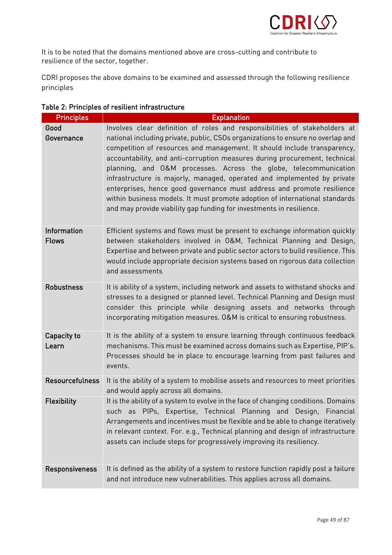

 $\frac{1}{2}$  resilience of the sector together resilience of the sector, together.

CDRI proposes the above domains to be examined and assessed through the following resilience principles

| <b>Principles</b>           | <b>Explanation</b>                                                                                                                                                                                                                                                                                                                                                                                                                                                                                                                                                                                                                                                                                      |
|-----------------------------|---------------------------------------------------------------------------------------------------------------------------------------------------------------------------------------------------------------------------------------------------------------------------------------------------------------------------------------------------------------------------------------------------------------------------------------------------------------------------------------------------------------------------------------------------------------------------------------------------------------------------------------------------------------------------------------------------------|
| Good<br>Governance          | Involves clear definition of roles and responsibilities of stakeholders at<br>national including private, public, CSOs organizations to ensure no overlap and<br>competition of resources and management. It should include transparency,<br>accountability, and anti-corruption measures during procurement, technical<br>planning, and O&M processes. Across the globe, telecommunication<br>infrastructure is majorly, managed, operated and implemented by private<br>enterprises, hence good governance must address and promote resilience<br>within business models. It must promote adoption of international standards<br>and may provide viability gap funding for investments in resilience. |
| Information<br><b>Flows</b> | Efficient systems and flows must be present to exchange information quickly<br>between stakeholders involved in O&M, Technical Planning and Design,<br>Expertise and between private and public sector actors to build resilience. This<br>would include appropriate decision systems based on rigorous data collection<br>and assessments                                                                                                                                                                                                                                                                                                                                                              |
| <b>Robustness</b>           | It is ability of a system, including network and assets to withstand shocks and<br>stresses to a designed or planned level. Technical Planning and Design must<br>consider this principle while designing assets and networks through<br>incorporating mitigation measures. O&M is critical to ensuring robustness.                                                                                                                                                                                                                                                                                                                                                                                     |
| Capacity to<br>Learn        | It is the ability of a system to ensure learning through continuous feedback<br>mechanisms. This must be examined across domains such as Expertise, PIP's.<br>Processes should be in place to encourage learning from past failures and<br>events.                                                                                                                                                                                                                                                                                                                                                                                                                                                      |
| <b>Resourcefulness</b>      | It is the ability of a system to mobilise assets and resources to meet priorities<br>and would apply across all domains.                                                                                                                                                                                                                                                                                                                                                                                                                                                                                                                                                                                |
| Flexibility                 | It is the ability of a system to evolve in the face of changing conditions. Domains<br>such as PIPs, Expertise, Technical Planning and Design, Financial<br>Arrangements and incentives must be flexible and be able to change iteratively<br>in relevant context. For. e.g., Technical planning and design of infrastructure<br>assets can include steps for progressively improving its resiliency.                                                                                                                                                                                                                                                                                                   |
| <b>Responsiveness</b>       | It is defined as the ability of a system to restore function rapidly post a failure<br>and not introduce new vulnerabilities. This applies across all domains.                                                                                                                                                                                                                                                                                                                                                                                                                                                                                                                                          |

### Table 2: Principles of resilient infrastructure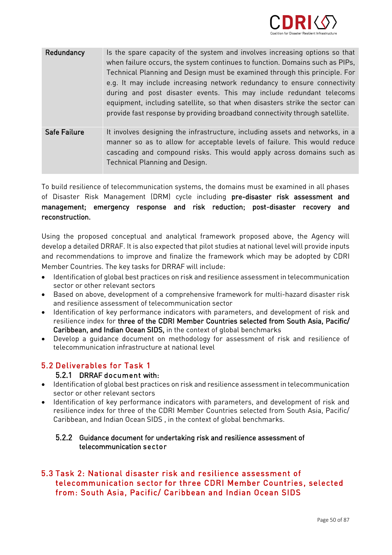

| Redundancy          | Is the spare capacity of the system and involves increasing options so that<br>when failure occurs, the system continues to function. Domains such as PIPs,<br>Technical Planning and Design must be examined through this principle. For<br>e.g. It may include increasing network redundancy to ensure connectivity<br>during and post disaster events. This may include redundant telecoms<br>equipment, including satellite, so that when disasters strike the sector can<br>provide fast response by providing broadband connectivity through satellite. |
|---------------------|---------------------------------------------------------------------------------------------------------------------------------------------------------------------------------------------------------------------------------------------------------------------------------------------------------------------------------------------------------------------------------------------------------------------------------------------------------------------------------------------------------------------------------------------------------------|
| <b>Safe Failure</b> | It involves designing the infrastructure, including assets and networks, in a<br>manner so as to allow for acceptable levels of failure. This would reduce<br>cascading and compound risks. This would apply across domains such as<br>Technical Planning and Design.                                                                                                                                                                                                                                                                                         |

To build resilience of telecommunication systems, the domains must be examined in all phases<br>of Disaster Risk Management (DRM) cycle including **pre-disaster risk assessment and** of Disaster Risk Management (DRM) cycle including pre-disaster risk assessment and management; emergency response and risk reduction; post-disaster recovery and reconstruction.

Using the proposed conceptual and analytical framework proposed above, the Agency will<br>develop a detailed DRRAF. It is also expected that pilot studies at national level will provide inputs and recommendations to improve and finalize the framework which may be adopted by CDRI Member Countries. The key tasks for DRRAF will include:

- $\bullet$  Identification of global best practices on risk and resilience assessment in telecommunication<br>sector or other relevant sectors
- Based on above, development of a comprehensive framework for multi-hazard disaster risk<br>and resilience assessment of telecommunication sector
- Identification of key performance indicators with parameters, and development of risk and<br>resilience index for three of the CDRI Member Countries selected from South Asia. Pacific/ resilience index for three of the CDRI Member Countries selected from South Asia, Pacific/<br>Caribbean, and Indian Ocean SIDS, in the context of global benchmarks
- Develop a guidance document on methodology for assessment of risk and resilience of<br>telecommunication infrastructure at national level

# 5.2 Deliverables for Task 1

### 5.2.1 DRRAF document with:

- Identification of global best practices on risk and resilience assessment in telecommunication<br>sector or other relevant sectors
- Identification of key performance indicators with parameters, and development of risk and<br>resilience index for three of the CDRI Member Countries selected from South Asia. Pacific/ resilience index for three of the CDRI Member Countries selected from South Asia, Pacific/ Caribbean, and Indian Ocean SIDS , in the context of global benchmarks.

## 5.2.2 Guidance document for undertaking risk and resilience assessment of telecommunication sector

### 5.3 Task 2: National disaster risk and resilience assessment of telecommunication sector for three CDRI Member Countries, selected telecommunication sector for the Countries of the Countries, sensors from: South Asia, Pacific/ Caribbean and Indian Ocean SIDS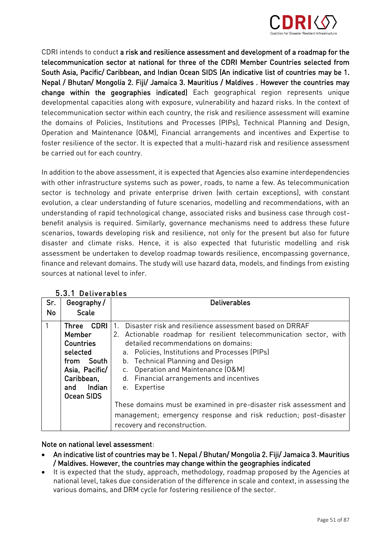

CDRI intends to conduct a risk and resilience assessment and development of a roadmap for the telecommunication sector at national for three of the CDRI Member Countries selected from South Asia, Pacific/ Caribbean, and Indian Ocean SIDS (An indicative list of countries may be 1. Nepal / Bhutan/ Mongolia 2. Fiji/ Jamaica 3. Mauritius / Maldives . However the countries may change within the geographies indicated) Each geographical region represents unique developmental capacities along with exposure, vulnerability and hazard risks. In the context of telecommunication sector within each country, the risk and resilience assessment will examine the domains of Policies, Institutions and Processes (PIPs), Technical Planning and Design, Operation and Maintenance (O&M), Financial arrangements and incentives and Expertise to foster resilience of the sector, It is expected that a multi-hazard risk and resilience assessment be carried out for each country. be carried out for each country.

In addition to the above assessment, it is expected that Agencies also examine interdependencies sector is technology and private enterprise driven (with certain exceptions), with constant evolution, a clear understanding of future scenarios, modelling and recommendations, with an understanding of rapid technological change, associated risks and business case through costbenefit analysis is required. Similarly, governance mechanisms need to address these future scenarios, towards developing risk and resilience, not only for the present but also for future disaster and climate risks. Hence, it is also expected that futuristic modelling and risk assessment be undertaken to develop roadmap towards resilience, encompassing governance, finance and relevant domains. The study will use hazard data, models, and findings from existing sources at national level to infer.

| Sr.       | Geography/                                                                                                                           | <b>Deliverables</b>                                                                                                                                                                                                                                                                                                                                                                                                                                        |  |  |  |
|-----------|--------------------------------------------------------------------------------------------------------------------------------------|------------------------------------------------------------------------------------------------------------------------------------------------------------------------------------------------------------------------------------------------------------------------------------------------------------------------------------------------------------------------------------------------------------------------------------------------------------|--|--|--|
| <b>No</b> | <b>Scale</b>                                                                                                                         |                                                                                                                                                                                                                                                                                                                                                                                                                                                            |  |  |  |
| 1         | CDRI<br>Three<br>Member<br><b>Countries</b><br>selected<br>from South<br>Asia, Pacific/<br>Caribbean,<br>Indian<br>and<br>Ocean SIDS | Disaster risk and resilience assessment based on DRRAF<br>$\mathbf{1}$ .<br>Actionable roadmap for resilient telecommunication sector, with<br>2.<br>detailed recommendations on domains:<br>a. Policies, Institutions and Processes (PIPs)<br>b. Technical Planning and Design<br>Operation and Maintenance (O&M)<br>C.<br>d. Financial arrangements and incentives<br>e. Expertise<br>These domains must be examined in pre-disaster risk assessment and |  |  |  |
|           |                                                                                                                                      | management; emergency response and risk reduction; post-disaster<br>recovery and reconstruction.                                                                                                                                                                                                                                                                                                                                                           |  |  |  |

### 5.3.1 Deliverables

### Note on national level assessment:

- An indicative list of countries may be 1. Nepal / Bhutan/ Mongolia 2. Fiji/ Jamaica 3. Mauritius<br>• An indicative However, the countries may change within the geographies indicated
- It is expected that the study, approach, methodology, roadmap proposed by the Agencies at<br>national level, takes due consideration of the difference in scale and context, in assessing the national level, takes due consideration of the difference in scale and context, in assessing the<br>various domains, and DRM cycle for fostering resilience of the sector. various domains, and DRM cycle for fostering resilience of the sector.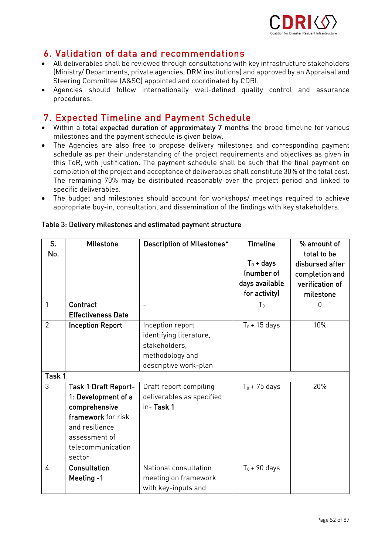

## 6. Validation of data and recommendations

- All deliverables shall be reviewed through consultations with key infrastructure stakeholders<br>Ministry/Denartments, private agencies, DRM institutions) and approved by an Appraisal and (Ministry/ Departments, private agencies, DRM institutions) and approved by an Appraisal and
- Agencies should follow internationally well-defined quality control and assurance<br>procedures procedures.

- Within a total expected duration of approximately 7 months the broad timeline for various<br>milestones and the nayment schedule is given below.
- The Agencies are also free to propose delivery milestones and corresponding payment<br>schedule as ner their understanding of the project requirements and objectives as given in schedule as per their understanding of the project requirements and objectives as given in<br>this ToR, with justification. The payment schedule shall be such that the final payment on completion of the project and acceptance of deliverables shall constitute 30% of the total cost. The remaining 70% may be distributed reasonably over the project period and linked to specific deliverables.
- The budget and milestones should account for workshops/ meetings required to achieve appropriate buy-in, consultation, and dissemination of the findings with key stakeholders.

| S.<br>No.      | <b>Milestone</b>            | <b>Description of Milestones*</b> | <b>Timeline</b><br>$T_0$ + days<br>(number of<br>days available<br>for activity) | % amount of<br>total to be<br>disbursed after<br>completion and<br>verification of |
|----------------|-----------------------------|-----------------------------------|----------------------------------------------------------------------------------|------------------------------------------------------------------------------------|
| 1              | Contract                    |                                   |                                                                                  | milestone<br>$\overline{0}$                                                        |
|                |                             | $\overline{a}$                    | T <sub>0</sub>                                                                   |                                                                                    |
|                | <b>Effectiveness Date</b>   |                                   |                                                                                  |                                                                                    |
| $\overline{2}$ | <b>Inception Report</b>     | Inception report                  | $T_0 + 15$ days                                                                  | 10%                                                                                |
|                |                             | identifying literature,           |                                                                                  |                                                                                    |
|                |                             | stakeholders,                     |                                                                                  |                                                                                    |
|                |                             | methodology and                   |                                                                                  |                                                                                    |
|                |                             | descriptive work-plan             |                                                                                  |                                                                                    |
| Task 1         |                             |                                   |                                                                                  |                                                                                    |
| 3              | <b>Task 1 Draft Report-</b> | Draft report compiling            | $T_0$ + 75 days                                                                  | 20%                                                                                |
|                | 1: Development of a         | deliverables as specified         |                                                                                  |                                                                                    |
|                | comprehensive               | in-Task 1                         |                                                                                  |                                                                                    |
|                | framework for risk          |                                   |                                                                                  |                                                                                    |
|                | and resilience              |                                   |                                                                                  |                                                                                    |
|                | assessment of               |                                   |                                                                                  |                                                                                    |
|                | telecommunication           |                                   |                                                                                  |                                                                                    |
|                | sector                      |                                   |                                                                                  |                                                                                    |
| 4              | <b>Consultation</b>         | National consultation             | $T_0 + 90$ days                                                                  |                                                                                    |
|                | Meeting -1                  | meeting on framework              |                                                                                  |                                                                                    |
|                |                             | with key-inputs and               |                                                                                  |                                                                                    |

### Table 3: Delivery milestones and estimated payment structure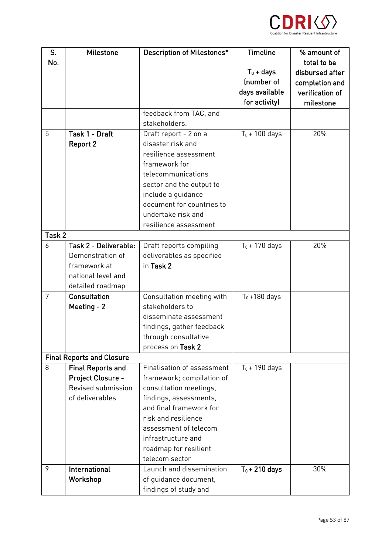

| S.     | <b>Milestone</b>                 | <b>Description of Milestones*</b>            | <b>Timeline</b>  | % amount of     |
|--------|----------------------------------|----------------------------------------------|------------------|-----------------|
| No.    |                                  |                                              |                  | total to be     |
|        |                                  |                                              | $T_0$ + days     | disbursed after |
|        |                                  |                                              | Inumber of       | completion and  |
|        |                                  |                                              | days available   | verification of |
|        |                                  |                                              | for activity)    | milestone       |
|        |                                  | feedback from TAC, and                       |                  |                 |
|        |                                  | stakeholders.                                |                  |                 |
| 5      | Task 1 - Draft                   | Draft report - 2 on a                        | $T_0$ + 100 days | 20%             |
|        | <b>Report 2</b>                  | disaster risk and                            |                  |                 |
|        |                                  | resilience assessment                        |                  |                 |
|        |                                  | framework for                                |                  |                 |
|        |                                  | telecommunications                           |                  |                 |
|        |                                  | sector and the output to                     |                  |                 |
|        |                                  | include a guidance                           |                  |                 |
|        |                                  | document for countries to                    |                  |                 |
|        |                                  | undertake risk and                           |                  |                 |
|        |                                  | resilience assessment                        |                  |                 |
| Task 2 |                                  |                                              |                  |                 |
| 6      | Task 2 - Deliverable:            | Draft reports compiling                      | $T_0$ + 170 days | 20%             |
|        | Demonstration of<br>framework at | deliverables as specified<br>in Task 2       |                  |                 |
|        |                                  |                                              |                  |                 |
|        | national level and               |                                              |                  |                 |
| 7      | detailed roadmap<br>Consultation |                                              |                  |                 |
|        | Meeting - 2                      | Consultation meeting with<br>stakeholders to | $T_0 + 180$ days |                 |
|        |                                  | disseminate assessment                       |                  |                 |
|        |                                  | findings, gather feedback                    |                  |                 |
|        |                                  | through consultative                         |                  |                 |
|        |                                  | process on Task 2                            |                  |                 |
|        | <b>Final Reports and Closure</b> |                                              |                  |                 |
| 8      | <b>Final Reports and</b>         | Finalisation of assessment                   | $T_0$ + 190 days |                 |
|        | Project Closure -                | framework; compilation of                    |                  |                 |
|        | Revised submission               | consultation meetings,                       |                  |                 |
|        | of deliverables                  | findings, assessments,                       |                  |                 |
|        |                                  | and final framework for                      |                  |                 |
|        |                                  | risk and resilience                          |                  |                 |
|        |                                  | assessment of telecom                        |                  |                 |
|        |                                  | infrastructure and                           |                  |                 |
|        |                                  | roadmap for resilient                        |                  |                 |
|        |                                  | telecom sector                               |                  |                 |
| 9      | International                    | Launch and dissemination                     | $T_0 + 210$ days | 30%             |
|        | Workshop                         | of guidance document,                        |                  |                 |
|        |                                  | findings of study and                        |                  |                 |
|        |                                  |                                              |                  |                 |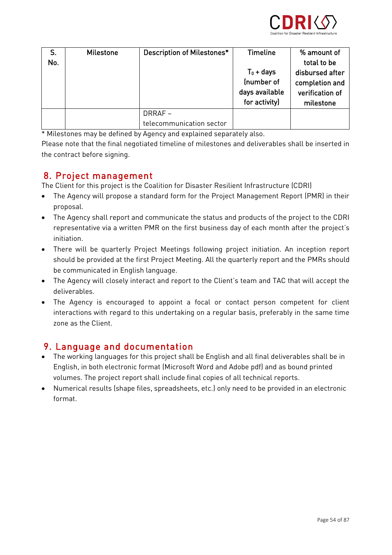

| S.<br>No. | <b>Milestone</b> | Description of Milestones*         | Timeline<br>$T_0$ + days<br>(number of<br>days available<br>for activity) | % amount of<br>total to be<br>disbursed after<br>completion and<br>verification of<br>milestone |
|-----------|------------------|------------------------------------|---------------------------------------------------------------------------|-------------------------------------------------------------------------------------------------|
|           |                  | DRRAF-<br>telecommunication sector |                                                                           |                                                                                                 |

\* Milestones may be defined by Agency and explained separately also.

Please note that the final negotiated timeline of milestones and deliverables shall be inserted in Please note that the final negotiated timeline of milestones and deliverables shall be inserted in the contract before signing.

**8. Project management**<br>The Client for this project is the Coalition for Disaster Resilient Infrastructure (CDRI)

- The Client for this project is the Collition of Disaster Resident Infrastructure (CDRI)<br>• The Agency will propose a standard form for the Project Management Report (PMR) in their
- The Agency shall report and communicate the status and products of the project to the CDRI<br>• expresentative via a vurition DMD on the first hypiness day of seek meath often the project's representative via a written PMR on the first business day of each month after the projection of each month af<br>International
- There will be quarterly Project Meetings following project initiation. An inception report should be provided at the first Project Meeting. All the quarterly report and the PMRs should<br>be communicated in English language.
- The Agency will closely interact and report to the Client's team and TAC that will accept the<br>deliverables
- The Agency is encouraged to appoint a focal or contact person competent for client interactions with regard to this undertaking on a regular basis, preferably in the same time

- The working languages for this project shall be English and all final deliverables shall be in English, in both electronic format (Microsoft Word and Adobe pdf) and as bound printed
- Numerical results (shape files, spreadsheets, etc.) only need to be provided in an electronic<br>farmed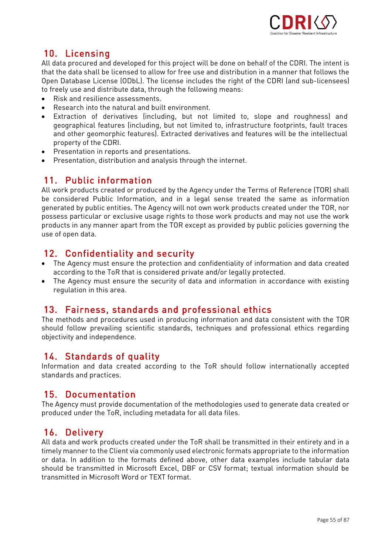

10. Licensing<br>All data procured and developed for this project will be done on behalf of the CDRI. The intent is that the data shall be licensed to allow for free use and distribution in a manner that follows the Open Database License (ODbL). The license includes the right of the CDRI (and sub-licensees) to freely use and distribute data, through the following means:

- to freely use and distribute data, through the following means: Risk and resilience assessments.
- Research into the natural and built environment.
- Extraction of derivatives (including, but not limited to, slope and roughness) and<br>geographical features (including, but not limited to, infrastructure footprints, fault traces and other geomorphic features). Extracted derivatives and features will be the intellectual property of the CDRI.
- Presentation in reports and presentations.<br>• Presentation distribution and analysis three
- Presentation, distribution and analysis through the internet.

## 11. Public information

All work products created or produced by the Agency under the Terms of Reference (TOR) shall be considered Public Information, and in a legal sense treated the same as information generated by public entities. The Agency will not own work products created under the TOR, nor possess particular or exclusive usage rights to those work products and may not use the work products in any manner apart from the TOR except as provided by public policies governing the products in any manner apart from the TOR except as provided by public policies governing the use of open data.

- The Agency must ensure the protection and confidentiality of information and data created<br>according to the ToR that is considered private and/or legally protected
- The Agency must ensure the security of data and information in accordance with existing<br>regulation in this area regulation in this area.

**13. Fairness, standards and professional ethics**<br>The methods and procedures used in producing information and data consistent with the TOR should follow prevailing scientific standards, techniques and professional ethics regarding objectivity and independence. objectivity and independence.

14. Standards of quality<br>Information and data created according to the ToR should follow internationally accepted standards and practices. standards and practices.

### 15. Documentation

The Agency must provide documentation of the methodologies used to generate data created or The Agency must provide documentation of the methodologies used to generate data created to the methodologies<br>produced under the ToR including metadata for all data files produced under the ToR, including metadata for all data files.

16. Delivery<br>All data and work products created under the ToR shall be transmitted in their entirety and in a timely manner to the Client via commonly used electronic formats appropriate to the information or data. In addition to the formats defined above, other data examples include tabular data should be transmitted in Microsoft Excel, DBF or CSV format; textual information should be transmitted in Microsoft Word or TEXT format.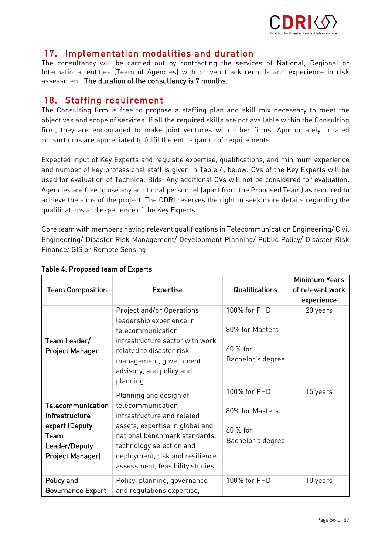

# 17. Implementation modalities and duration<br>The consultancy will be carried out by contracting the services of National, Regional or

International entities (Team of Agencies) with proven track records and experience in risk assessment. The duration of the consultancy is 7 months. assessment. The duration of the consultancy is 7 months.

18. Staffing requirement<br>The Consulting firm is free to propose a staffing plan and skill mix necessary to meet the objectives and scope of services. If all the required skills are not available within the Consulting firm, they are encouraged to make joint ventures with other firms. Appropriately curated firm, they are encouraged to fulfil the entire generate fire gravitages with  $\frac{1}{2}$ consortiums are appreciated to fulfil the entire gamut of requirements of requirements of requirements of requirements of requirements of requirements of requirements of requirements of requirements of requirements of requ

Expected input of Key Experts and requisite expertise, qualifications, and minimum experience used for evaluation of Technical Bids. Any additional CVs will not be considered for evaluation. Agencies are free to use any additional personnel (apart from the Proposed Team) as required to achieve the aims of the project. The CDRI reserves the right to seek more details regarding the achieve the aims of the project. The contribution the right to seek more details regarding the right qualifications and experience of the Key Experts.

Core team with members having relevant qualifications in Telecommunication Engineering/ Civil Finance/ GIS or Remote Sensing Finance/ GIS or Remote Sensing

|                                                                                                                  |                                                                                                                                                                                                                                                 |                                                                   | <b>Minimum Years</b> |
|------------------------------------------------------------------------------------------------------------------|-------------------------------------------------------------------------------------------------------------------------------------------------------------------------------------------------------------------------------------------------|-------------------------------------------------------------------|----------------------|
| <b>Team Composition</b>                                                                                          | <b>Expertise</b>                                                                                                                                                                                                                                | <b>Qualifications</b>                                             | of relevant work     |
|                                                                                                                  |                                                                                                                                                                                                                                                 |                                                                   | experience           |
| Team Leader/<br><b>Project Manager</b>                                                                           | Project and/or Operations<br>leadership experience in<br>telecommunication<br>infrastructure sector with work<br>related to disaster risk<br>management, government<br>advisory, and policy and<br>planning.                                    | 100% for PHD<br>80% for Masters<br>$60%$ for<br>Bachelor's degree | 20 years             |
| <b>Telecommunication</b><br>Infrastructure<br>expert (Deputy<br>Team<br>Leader/Deputy<br><b>Project Manager)</b> | Planning and design of<br>telecommunication<br>infrastructure and related<br>assets, expertise in global and<br>national benchmark standards,<br>technology selection and<br>deployment, risk and resilience<br>assessment, feasibility studies | 100% for PHD<br>80% for Masters<br>$60%$ for<br>Bachelor's degree | 15 years             |
| Policy and<br><b>Governance Expert</b>                                                                           | Policy, planning, governance<br>and regulations expertise,                                                                                                                                                                                      | 100% for PHD                                                      | 10 years             |

### Table 4: Proposed team of Experts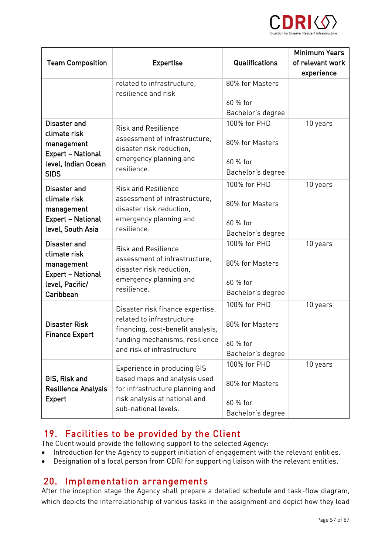

|                                                                              |                                                               |                   | <b>Minimum Years</b> |
|------------------------------------------------------------------------------|---------------------------------------------------------------|-------------------|----------------------|
| <b>Team Composition</b>                                                      | <b>Expertise</b>                                              | Qualifications    | of relevant work     |
|                                                                              |                                                               |                   | experience           |
|                                                                              | related to infrastructure,                                    | 80% for Masters   |                      |
|                                                                              | resilience and risk                                           |                   |                      |
|                                                                              |                                                               | 60 % for          |                      |
|                                                                              |                                                               | Bachelor's degree |                      |
| Disaster and                                                                 | <b>Risk and Resilience</b>                                    | 100% for PHD      | 10 years             |
| climate risk                                                                 | assessment of infrastructure,                                 |                   |                      |
| management<br><b>Expert - National</b><br>level, Indian Ocean<br><b>SIDS</b> | disaster risk reduction,                                      | 80% for Masters   |                      |
|                                                                              | emergency planning and<br>resilience.                         | 60 % for          |                      |
|                                                                              |                                                               | Bachelor's degree |                      |
|                                                                              |                                                               | 100% for PHD      | 10 years             |
| Disaster and<br>climate risk                                                 | <b>Risk and Resilience</b>                                    |                   |                      |
|                                                                              | assessment of infrastructure,                                 | 80% for Masters   |                      |
| management                                                                   | disaster risk reduction,                                      |                   |                      |
| <b>Expert - National</b>                                                     | emergency planning and                                        | 60 % for          |                      |
| level, South Asia                                                            | resilience.                                                   | Bachelor's degree |                      |
| Disaster and<br>climate risk                                                 | <b>Risk and Resilience</b>                                    | 100% for PHD      | 10 years             |
|                                                                              | assessment of infrastructure,                                 |                   |                      |
| management                                                                   | disaster risk reduction,                                      | 80% for Masters   |                      |
| <b>Expert - National</b>                                                     | emergency planning and                                        |                   |                      |
| level, Pacific/                                                              | resilience.                                                   | 60 % for          |                      |
| Caribbean                                                                    |                                                               | Bachelor's degree |                      |
| <b>Disaster Risk</b><br><b>Finance Expert</b>                                | Disaster risk finance expertise,<br>related to infrastructure | 100% for PHD      | 10 years             |
|                                                                              |                                                               |                   |                      |
|                                                                              | financing, cost-benefit analysis,                             | 80% for Masters   |                      |
|                                                                              | funding mechanisms, resilience<br>and risk of infrastructure  | 60 % for          |                      |
|                                                                              |                                                               | Bachelor's degree |                      |
| GIS, Risk and                                                                | Experience in producing GIS<br>based maps and analysis used   | 100% for PHD      | 10 years             |
|                                                                              |                                                               |                   |                      |
|                                                                              |                                                               | 80% for Masters   |                      |
| <b>Resilience Analysis</b>                                                   | for infrastructure planning and                               |                   |                      |
| <b>Expert</b>                                                                | risk analysis at national and<br>sub-national levels.         | 60 % for          |                      |
|                                                                              |                                                               | Bachelor's degree |                      |

# 19. Facilities to be provided by the Client<br>The Client would provide the following support to the selected Agency:

- Introduction for the Agency to support initiation of engagement with the relevant entities.<br>• Designation of a focal person from CDRI for supporting liaison with the relevant entities.
- Designation of a focal person from CDRI for supporting liaison with the relevant entities.

20. Implementation arrangements<br>After the inception stage the Agency shall prepare a detailed schedule and task-flow diagram, After the inception stage the inception state the Agency shall prepare a detailed schedule and task-flow diagram,<br>Agency shall prepare a detailed schedule and task-flow diagram, and task-flow diagram, and task-flow diagram which depicts the interrelationship of various tasks in the assignment and depict how they lead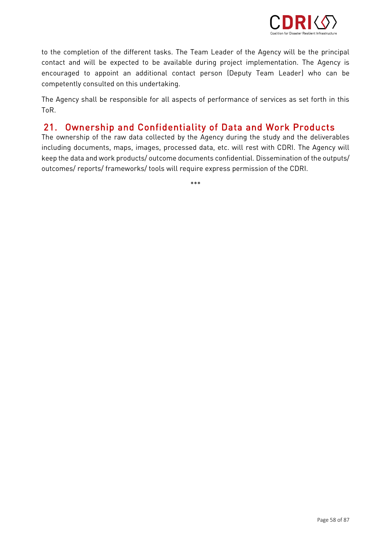

to the completion of the different tasks. The Team Leader of the Agency will be the principal<br>contact and will be expected to be available during project implementation. The Agency is encouraged to appoint an additional contact person (Deputy Team Leader) who can be competently consulted on this undertaking. competently consulted on this undertaking.

The Agency shall be responsible for all aspects of performance of services as set forth in this

### 21. Ownership and Confidentiality of Data and Work Products<br>The ownership of the raw data collected by the Agency during the study and the deliverables  $21.$

including documents, maps, images, processed data, etc. will rest with CDRI. The Agency will keep the data and work products/ outcome documents confidential. Dissemination of the outputs/  $k$ eep the data and work products/ outputs/ outputs/ outputs/ outputs/ outputs/  $\frac{1}{2}$ outcomes/ reports/ frameworks/ tools will require express permission of the CDRI.

 $+ + +$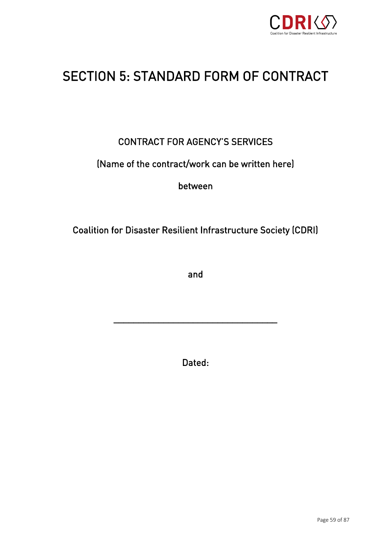

# SECTION 5: STANDARD FORM OF CONTRACT OF CONTRACT  $\overline{\mathcal{S}}$

# CONTRACT FOR AGENCY'S SERVICES

## (Name of the contract/work can be written here)

between

## Coalition for Disaster Resilient Infrastructure Society (CDRI)

and

Dated:

\_\_\_\_\_\_\_\_\_\_\_\_\_\_\_\_\_\_\_\_\_\_\_\_\_\_\_\_\_\_\_\_\_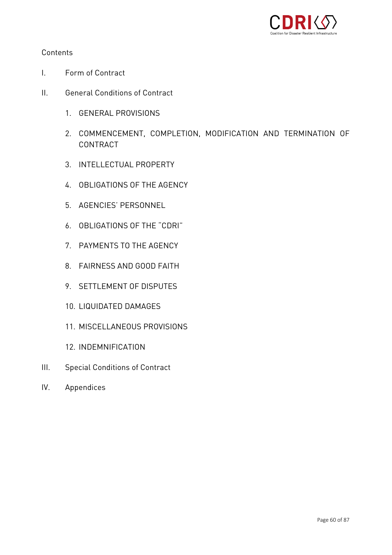

- $\mathbf{L}$
- $II.$ 
	-
	- 2. COMMENCEMENT, COMPLETION, MODIFICATION AND TERMINATION OF
	- 3. INTELLECTUAL PROPERTY
	- 4. OBLIGATIONS OF THE AGENCY
	-
	- 6. OBLIGATIONS OF THE "CDRI"
	- 7. PAYMENTS TO THE AGENCY
	- 8. FAIRNESS AND GOOD FAITH
	- 9. SETTLEMENT OF DISPUTES
	-
	-
	-
- III. Special Conditions of Contract
- IV. Appendices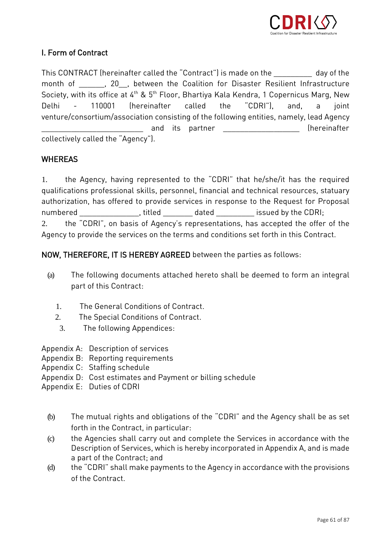

### I. Form of Contract I. Form of Contract

This CONTRACT (hereinafter called the "Contract") is made on the \_\_\_\_\_\_\_\_\_\_\_ day of the month of \_\_\_\_\_\_\_, 20\_\_, between the Coalition for Disaster Resilient Infrastructure  $\frac{1}{\sqrt{1-\frac{1}{n}}},$  20.  $\frac{1}{\sqrt{1-\frac{1}{n}}}$ , between the Coasting Kale Kandra 1 Canarajaug Marg. Now Society, with its office at 4th & 5th Floor, Bhartiya Kala Kendra, 1 Copernicus Marg, New Delhi - 110001 (hereinafter called the "CDRI"), and, a joint<br>venture/consortium/association consisting of the following entities, namely, lead Agency and its partner \_\_\_\_\_\_\_\_\_\_\_\_\_\_\_\_\_\_(hereinafter \_\_\_\_\_\_\_\_\_\_\_\_\_\_\_\_\_\_\_\_\_\_\_\_ and its partner \_\_\_\_\_\_\_\_\_\_\_\_\_\_\_\_\_\_ (hereinafter collectively called the "Agency"  $\mathcal{L}$ 

### **WHEREAS**

1. the Agency, having represented to the "CDRI" that he/she/it has the required<br>qualifications professional skills, personnel, financial and technical resources, statuary authorization, has offered to provide services in response to the Request for Proposal numbered to provide titled to provide the services in response to the CDRI; 2. the "CDRI", on basis of Agency's representations, has accepted the offer of the  $\frac{1}{2}$ Agency to provide the services on the terms and conditions set forth in this Contract.

NOW, THEREFORE, IT IS HEREBY AGREED between the parties as follows:

- (a) The following documents attached hereto shall be deemed to form an integral part of this Contract:
	- 1. The General Conditions of Contract.<br>2. The Special Conditions of Contract.
	- 2. The Special Conditions of Contract.<br>3. The following Appendices:
	- The following Appendices:
- Appendix A: Description of services
- 
- Appendix C: Staffing schedule
- Appendix D: Cost estimates and Payment or billing schedule
- Appendix E: Duties of CDRI Appendix E: Duties of CDRI
	- (b) The mutual rights and obligations of the "CDRI" and the Agency shall be as set
	- (c) the Agencies shall carry out and complete the Services in accordance with the  $\overline{a}$ Description of Services, which is hereby incorporated in Appendix A, and is made
	- (d) the "CDRI" shall make payments to the Agency in accordance with the provisions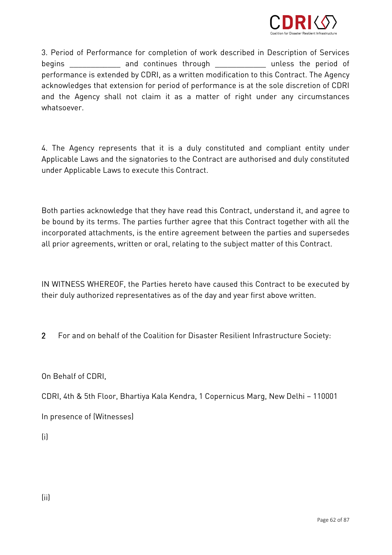

3. Period of Performance for completion of work described in Description of Services<br>begins and continues through unless the period of performance is extended by CDRI, as a written modification to this Contract. The Agency acknowledges that extension for period of performance is at the sole discretion of CDRI activities that extension for performance is at the sole discretion of CDRI.  $\begin{array}{cc} \text{substensor} \end{array}$ 

4. The Agency represents that it is a duly constituted and compliant entity under<br>Applicable Laws and the signatories to the Contract are authorised and duly constituted under Applicable Laws to execute this Contract. under Applicable Laws to execute this Contract.

Both parties acknowledge that they have read this Contract, understand it, and agree to<br>be bound by its terms. The parties further agree that this Contract together with all the incorporated attachments, is the entire agreement between the parties and supersedes incorporated attachments, is the entire agreement between the parties and supersedes.<br>all prior agreements, written ar and, relating to the subject matter of this Centrest. all prior agreements, written or oral, relating to the subject matter of this Contract.

In  $\frac{1}{2}$  . their duly authorized representatives as of the day and year first above written.

2 For and on behalf of the Coalition for Disaster Resilient Infrastructure Society:

On Behalf of CDRI,

CDRI, 4th & 5th Floor, Bhartiya Kala Kendra, 1 Copernicus Marg, New Delhi – 110001

In presence of (Witnesses)

 $\mathcal{L}$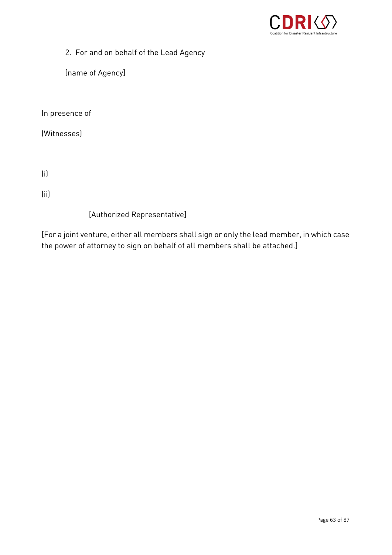

2. For and on behalf of the Lead Agency

[name of Agency]

In presence of

 $\cdots$ 

 $\ddot{\phantom{0}}$ 

 $\ddot{\phantom{0}}$ 

[Authorized Representative]

 $\begin{bmatrix} \cdot & \cdot & \cdot & \cdot \\ \cdot & \cdot & \cdot & \cdot \\ \end{bmatrix}$ the power of attorney to sign on behalf of all members shall be attached.]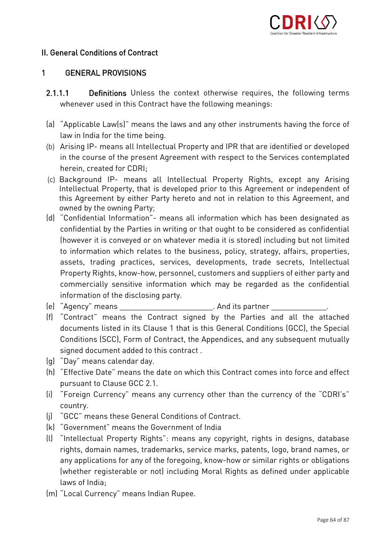

### II. General Conditions of Contract II. General Conditions of Contract

### $\mathbf{1}$ 1 GENERAL PROVISIONS

- $2.1.1.1$ 2.1.1.1 Definitions Unless the context otherwise requires, the following terms  $\mathcal{L}$  used in this Contract have the following means  $\mathcal{L}$
- (a) "Applicable Law(s)" means the laws and any other instruments having the force of
- (b) Arising IP- means all Intellectual Property and IPR that are identified or developed<br>in the seures of the present Arresment with respect to the Services septemplated in the course of the present Agreement with respect to the Services contemplated<br>herein, created for CDRI:
- ending the computer of CDRI;<br>(c) Background IP- means all Intellectual Property Rights, except any Arising<br>Intellectual Property that is developed prior to this Agreement or independent of Intellectual Property, that is a set of the common test in the Agreement or intellectual property has a set of independent of this Agreement on intellectual property has a set of the Agreement of the Agreement of the Agree this Agreement by either Party hereto and not in relation to this Agreement, and owned by the owning Party;<br>(d) "Confidential Information"- means all information which has been designated as
- confidential by the Parties in writing or that ought to be considered as confidential (however it is conveyed or on whatever media it is stored) including but not limited to information which relates to the business, policy, strategy, affairs, properties, assets, trading practices, services, developments, trade secrets, Intellectual Property Rights, know-how, personnel, customers and suppliers of either party and commercially sensitive information which may be regarded as the confidential information of the disclosing party.
- (e) "Agency" means
- (e) "Agency" means \_\_\_\_\_\_\_\_\_\_\_\_\_\_\_\_\_\_\_\_\_\_\_\_\_. And its partner \_\_\_\_\_\_\_\_\_\_\_\_\_\_\_.<br>(f) "Contract" means the Contract signed by the Parties and all the attached documents listed in its Clause 1 that is this General Conditions (GCC), the Special Conditions (SCC), Form of Contract, the Appendices, and any subsequent mutually signed document added to this contract,
- (q) "Day" means calendar day.
- (h) "Effective Date" means the date on which this Contract comes into force and effect pursuant to Clause GCC 2.1.
- (i) "Foreign Currency" means any currency other than the currency of the "CDRI's" (i) "Foreign Currency" means any currency other than the currency of the "CDRI's" country.<br>(i) "GCC" means these General Conditions of Contract.
- 
- (k) "Government" means the Government of India
- (I) "Intellectual Property Rights": means any copyright, rights in designs, database rights, domain names, trademarks, service marks, patents, logo, brand names, or any applications for any of the foregoing, know-how or similar rights or obligations any applications for any of the foregoing, most form of similar rights or sanganons.  $\begin{array}{cccc} \text{iv} & \text{v} & \text{v} & \text{v} & \text{v} & \text{v} & \text{v} & \text{v} & \text{v} & \text{v} & \text{v} & \text{v} & \text{v} & \text{v} & \text{v} & \text{v} & \text{v} & \text{v} & \text{v} & \text{v} & \text{v} & \text{v} & \text{v} & \text{v} & \text{v} & \text{v} & \text{v} & \text{v} & \text{v} & \text{v} & \text{v} & \text{v} & \text{v} & \text{v} & \text{v} & \text{$
- laws of India; (m) "Local Currency" means Indian Rupee.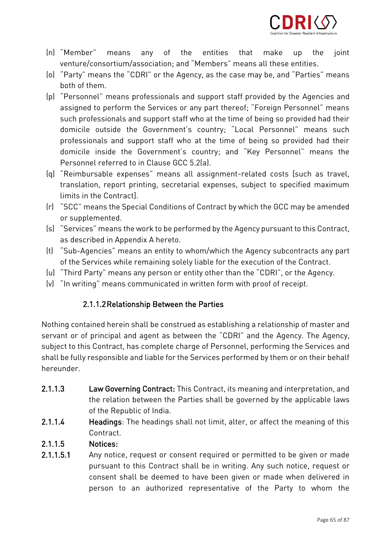

- "Member" means any of the entities that make up the joint<br>venture/consortium/association; and "Members" means all these entities. Inl "Member"  $\mathsf{u}\mathsf{p}$ the
- venture/consortium/association; and "Members" means and "Members" means the "CDDI" external theorem and "Members"  $\sim$  $\begin{array}{cc} \n\hline\n\end{array}$  , as the  $\begin{array}{cc} \n\hline\n\end{array}$  of the  $\mathfrak{m}$
- both of them.<br>(p) "Personnel" means professionals and support staff provided by the Agencies and assigned to perform the Services or any part thereof; "Foreign Personnel" means such professionals and support staff who at the time of being so provided had their domicile outside the Government's country; "Local Personnel" means such professionals and support staff who at the time of being so provided had their domicile inside the Government's country; and "Key Personnel" means the Personnel referred to in Clause GCC 5.2(a).
- (q) "Reimbursable expenses" means all assignment-related costs [such as travel, translation, report printing, secretarial expenses, subject to specified maximum limits in the Contractl.
- [r] "SCC" means the Special Conditions of Contract by which the GCC may be amended  $\begin{array}{c} \hline \text{or } \text{comorphom} \end{array}$
- or supplemented.  $\left( \begin{array}{cc} \cdot & \cdot & \cdot & \cdot & \cdot \\ \cdot & \cdot & \cdot & \cdot & \cdot \\ \cdot & \cdot & \cdot & \cdot & \cdot \end{array} \right)$ as described in Appendix A hereto.<br>(t) "Sub-Agencies" means an entity to whom/which the Agency subcontracts any part
- of the Services while remaining solely liable for the execution of the Contract.
- (u) "Third Party" means any person or entity other than the "CDRI", or the Agency.
- (u) "Third Party" means any person or entity other than the "CDRI", or the Agency.  $\mathcal{L}$  in written form with proof of receipt. The communicated in written form with proof of receipt.

### 2.1.1.2Relationship Between the Parties

Nothing contained herein shall be construed as establishing a relationship of master and subject to this Contract, has complete charge of Personnel, performing the Services and shall be fully responsible and liable for the Services performed by them or on their behalf shall be fully responsible and liable for the Services performed by them or on their behalf

- $2.1.1.3$ Law Governing Contract: This Contract, its meaning and interpretation, and the relation between the Parties shall be governed by the applicable laws of the Republic of India.
- $2.1.1.4$ Headings: The headings shall not limit, alter, or affect the meaning of this 2.1.1.4 Headings: The headings shall not limit, alter, or affect the meaning of this

### Notices:

2.1.1.5 **Notices:**<br>2.1.1.5.1 Any notice, request or consent required or permitted to be given or made pursuant to this Contract shall be in writing. Any such notice, request or consent shall be deemed to have been given or made when delivered in consent to an outborized representative of the Darty to where the person to an authorized representative of the Party to whom the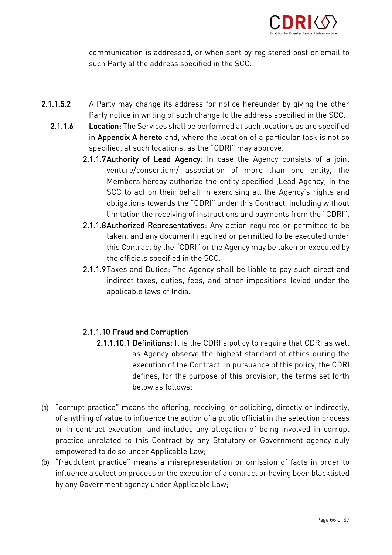

communication is addressed, or when sent by registered post or email to such Party at the address specified in the SCC.

- $2.1.1.5.2$ A Party may change its address for notice hereunder by giving the other<br>Party notice in writing of such change to the address specified in the SCC.
	- Location: The Services shall be performed at such locations as are specified 2.1.1.6 Location: The Services shall be performed at such locations as are specified<br>in Appendix A hereto and, where the location of a particular task is not so specified, at such locations, as the "CDRI" may approve.
		- 2.1.1.7 Authority of Lead Agency: In case the Agency consists of a joint venture/consortium/ association of more than one entity, the Members hereby authorize the entity specified (Lead Agency) in the SCC to act on their behalf in exercising all the Agency's rights and obligations towards the "CDRI" under this Contract, including without limitation the receiving of instructions and payments from the "CDRI".
		- 2.1.1.8 Authorized Representatives: Any action required or permitted to be taken, and any document required or permitted to be executed under this Contract by the "CDRI" or the Agency may be taken or executed by the officials specified in the SCC.
		- 2.1.1.9 Taxes and Duties: The Agency shall be liable to pay such direct and indirect taxes, duties, fees, and other impositions levied under the indirect taxes, duties, fees, and other impositions levied under the applicable laws of India.

- 2.1.1.10 Fraud and Corruption<br>2.1.1.10.1 Definitions: It is the CDRI's policy to require that CDRI as well as Agency observe the highest standard of ethics during the execution of the Contract. In pursuance of this policy, the CDRI defines, for the purpose of this provision, the terms set forth below as follows:
- (a) "corrupt practice" means the offering, receiving, or soliciting, directly or indirectly, or in contract execution, and includes any allegation of being involved in corrupt practice unrelated to this Contract by any Statutory or Government agency duly empowered to do so under Applicable Law;
- (b) "fraudulent practice" means a misrepresentation or omission of facts in order to<br>influence a coloction presense or the execution of a contract or baying been blacklisted influence a selection process or the execution of a contract or having been blackling between blackling between blackling between blackling between blackling between blackling between blackling blackling between blackling  $\begin{bmatrix} 1 & 1 \\ 1 & 1 \end{bmatrix}$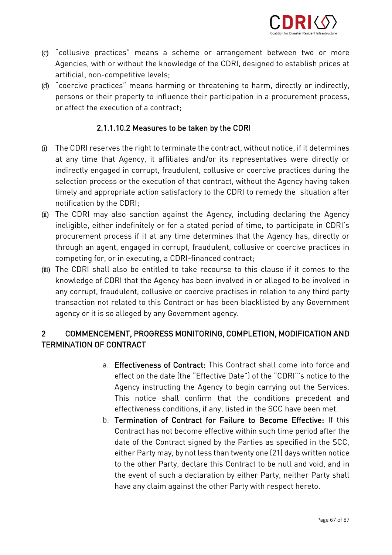

- (c) "collusive practices" means a scheme or arrangement between two or more artificial, non-competitive levels;
- (d) "coercive practices" means harming or threatening to harm, directly or indirectly, persons or their property to influence their participation in a procurement process,<br>or affect the execution of a contract: or affect the execution of a contract;

### 2.1.1.10.2 Measures to be taken by the CDRI

- (i) The CDRI reserves the right to terminate the contract, without notice, if it determines at any time that Agency, it affiliates and/or its representatives were directly or indirectly engaged in corrupt, fraudulent, collusive or coercive practices during the selection process or the execution of that contract, without the Agency having taken timely and appropriate action satisfactory to the CDRI to remedy the situation after notification by the CDRI:
- (ii) The CDRI may also sanction against the Agency, including declaring the Agency<br>inclinible either indefinitely ar far a stated paried of time, to participate in CDDI's ineligible, either indefinitely or for a stated period of time, to participate in CDRI's through an agent, engaged in corrupt, fraudulent, collusive or coercive practices in competing for, or in executing, a CDRI-financed contract:
- (iii) The CDRI-shall also be entitled to take recourse to this clause if it comes to the knowledge of CDRI that the Agency has been involved in or alleged to be involved in transaction not related to this Contract or has been blacklisted by any Government agency or it is so alleged by any Government agency. agency or it is so alleged by any Government agency.

### $\overline{2}$ 2 COMMENCEMENT, PROGRESS MONITORING, COMPLETION, MODIFICATION AND<br>TERMINATION OF CONTRACT TERMINATION OF CONTRACT

- a. **Effectiveness of Contract:** This Contract shall come into force and effect on the date (the "Effective Date") of the "CDRI"'s notice to the Agency instructing the Agency to begin carrying out the Services. This notice shall confirm that the conditions precedent and effectiveness conditions, if any, listed in the SCC have been met.
- b. Termination of Contract for Failure to Become Effective: If this Contract has not become effective within such time period after the date of the Contract signed by the Parties as specified in the SCC, either Party may, by not less than twenty one (21) days written notice to the other Party, declare this Contract to be null and void, and in the event of such a declaration by either Party, neither Party shall the event of such a declaration by either Party, neither Party shall have any claim against the other Party with respect hereto.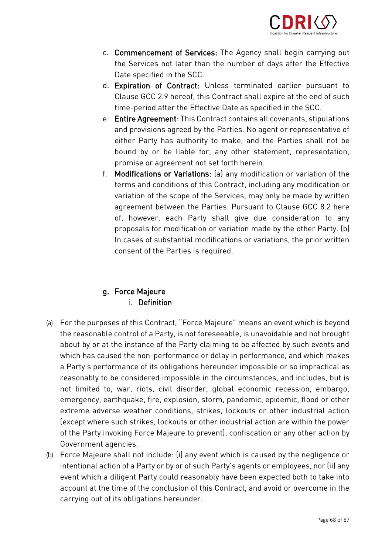

- c. **Commencement of Services:** The Agency shall begin carrying out the Services not later than the number of days after the Effective Date specified in the SCC.
- d. Expiration of Contract: Unless terminated earlier pursuant to Clause GCC 2.9 hereof, this Contract shall expire at the end of such time-period after the Effective Date as specified in the SCC.
- e. Entire Agreement: This Contract contains all covenants, stipulations and provisions agreed by the Parties. No agent or representative of either Party has authority to make, and the Parties shall not be bound by or be liable for, any other statement, representation, promise or agreement not set forth herein.
- f. Modifications or Variations: (a) any modification or variation of the terms and conditions of this Contract, including any modification or variation of the scope of the Services, may only be made by written agreement between the Parties. Pursuant to Clause GCC 8.2 here of, however, each Party shall give due consideration to any proposals for modification or variation made by the other Party. (b) In cases of substantial modifications or variations, the prior written In cases of substantial modifications or variations, the prior written consent of the Parties is required. The Parties is required.

# g. Force Majeure<br>i. Definition

- (a) For the purposes of this Contract, "Force Majeure" means an event which is beyond about by or at the instance of the Party claiming to be affected by such events and which has caused the non-performance or delay in performance, and which makes a Party's performance of its obligations hereunder impossible or so impractical as reasonably to be considered impossible in the circumstances, and includes, but is not limited to, war, riots, civil disorder, global economic recession, embargo, emergency, earthquake, fire, explosion, storm, pandemic, epidemic, flood or other extreme adverse weather conditions, strikes, lockouts or other industrial action (except where such strikes, lockouts or other industrial action are within the power of the Party invoking Force Majeure to prevent), confiscation or any other action by Government agencies.
- (b) Force Majeure shall not include: (i) any event which is caused by the negligence or intentional action of a Party or by or of such Party's agents or employees, nor (ii) any account at the time of the conclusion of this Contract, and avoid or overcome in the account at the time of the conclusion of this Contract, and avoid or overcome in the model carrying out of its objective out of its objective out of its objective out of its objective out of its objective out of its objective out of its objective out of its objective out of its objective out of its objective out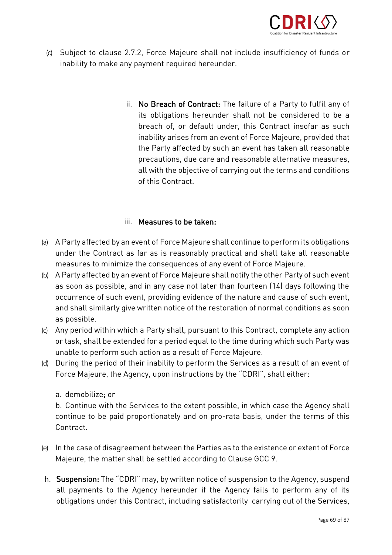

- (c) Subject to clause 2.7.2, Force Majeure shall not include insufficiency of funds or inability to make any payment required hereunder.
	- ii. No Breach of Contract: The failure of a Party to fulfil any of its obligations hereunder shall not be considered to be a breach of, or default under, this Contract insofar as such inability arises from an event of Force Majeure, provided that the Party affected by such an event has taken all reasonable precautions, due care and reasonable alternative measures, all with the objective of carrying out the terms and conditions of this Contract.

### iii. Measures to be taken: iii. Measures to be taken:

- (a) A Party affected by an event of Force Majeure shall continue to perform its obligations measures to minimize the consequences of any event of Force Majeure.
- (b) A Party affected by an event of Force Majeure shall notify the other Party of such event<br>Se seen as pessible, and in any esse not loter than feurteen (1/1 days following the as soon as possible, and in any case not later than fourteen (14) days following the<br>occurrence of such event, providing evidence of the nature and cause of such event,  $\frac{1}{2}$ , providence of the nature of the nature and cause of such event, and cause of such event,  $\frac{1}{2}$ and shall similarly give written notice of the restoration of normal conditions as soon
- (c) Any period within which a Party shall, pursuant to this Contract, complete any action<br>Contract, chall be extended for a period squal to the time during which such Party was or task, shall be extended for a period equal to the time during which such Party was<br>unable to perform such action as a result of Force Majeure.
- (d) During the period of their inability to perform the Services as a result of an event of Force Majeure, the Agency, upon instructions by the "CDRI", shall either:
	-

a. demobilize; or<br>b. Continue with the Services to the extent possible, in which case the Agency shall be continue with the Services to the extent possible, in which case the Agency shall continue to be paid proportional proportional and on pro-rata basis, under the terms of the terms of the terms of this term of this term of the terms of this term of the terms of this term of the terms of the terms of this

- (e) In the case of disagreement between the Parties as to the existence or extent of Force Majeure, the matter shall be settled according to Clause GCC 9.
- h. Suspension: The "CDRI" may, by written notice of suspension to the Agency, suspend<br>all payments to the Agency hereunder if the Agency fails to perform any of its all  $\frac{1}{2}$  by  $\frac{1}{2}$  by  $\frac{1}{2}$  for the Agency fails to perform any of the Centices obligations under this Contract, including satisfactorily carrying out of the Services,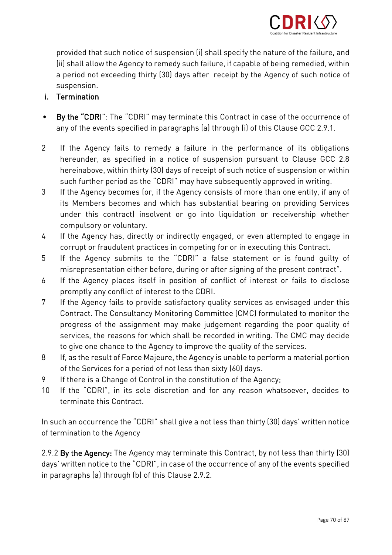

provided that such notice of suspension (i) shall specify the nature of the failure, and<br>(ii) shall allow the Agency to remedy such failure, if capable of being remedied, within (ii) shall allow the Agency to remedy such failure, if capable of being remedied, within a period not exceed not exceed the Agency of such notice of such notice of such notice of such notice of such  $\frac{1}{2}$ 

# suspension.<br>**i.** Termination i. Termination

- $\bullet$  $\frac{1}{2}$ , the "CDR"  $\frac{1}{2}$  is the contract of the  $\frac{1}{2}$  may term  $\frac{1}{2}$  of the occurrence of the occurrence of the occurrence of the occurrence of the occurrence of the occurrence of the occurrence of the occur any of the events specified in paragraphs (a) through (i) of this Clause GCC 2.9.1.1.1.<br>.
- $\mathcal{P}$ If the Agency fails to remedy a failure in the performance of its obligations<br>hereunder, as specified in a notice of suspension pursuant to Clause GCC 2.8 hereinabove, within thirty (30) days of receipt of such notice of suspension or within such further period as the "CDRI" may have subsequently approved in writing.
- $\mathcal{R}$ If the Agency becomes (or, if the Agency consists of more than one entity, if any of its Members becomes and which has substantial bearing on providing Services under this contract) insolvent or go into liquidation or receivership whether compulsory or voluntary.
- If the Agency has, directly or indirectly engaged, or even attempted to engage in 4 If the Agency has, directly or indirectly engaged, or even attempted to enga<br>corrupt or fraudulent practices in competing for or in executing this Contract.
- 5 If the Agency submits to the "CDRI" a false statement or is found quilty of misrepresentation either before, during or after signing of the present contract".
- If the Agency places itself in position of conflict of interest or fails to disclose 6 If the Agency places itself in position of conflict of interest to the CDRI.
- 7 If the Agency fails to provide satisfactory quality services as envisaged under this Contract. The Consultancy Monitoring Committee (CMC) formulated to monitor the progress of the assignment may make judgement regarding the poor quality of services, the reasons for which shall be recorded in writing. The CMC may decide to give one chance to the Agency to improve the quality of the services.
- If, as the result of Force Majeure, the Agency is unable to perform a material portion 8 If, as the result of Force Majeure, the Agency is unable to perform a period of not less than sixty (60) days.
- If there is a Change of Control in the constitution of the Agency:
- 9 If there is a Change of Control in the constitution of the Agency;<br>10 If the "CDRI", in its sole discretion and for any reason whatsoever, decides to terminate this Contract

 $\begin{array}{c} \text{of termination to the } \text{Nons} \end{array}$ of termination to the Agency

2.9.2 By the Agency: The Agency may terminate this Contract, by not less than thirty (30)<br>days' written notice to the "CDRI", in case of the occurrence of any of the events specified  $\alpha$  matrice to the "CDRI", in case of any of the correction of the occurrence of any of the events specified of the events specified of any of  $\alpha$  $\cdots$  paragraphs (a) through (b) (b) of this Clause 2.9.2.2.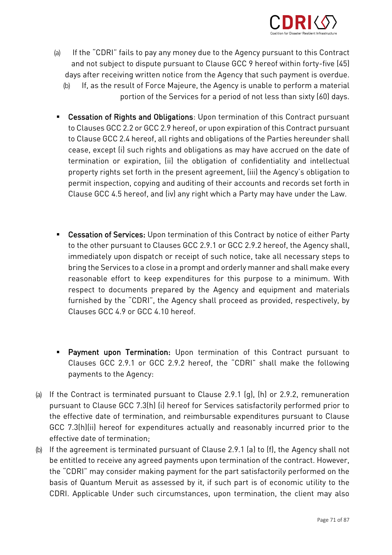

- (a) If the "CDRI" fails to pay any money due to the Agency pursuant to this Contract days after receiving written notice from the Agency that such payment is overdue.
	- $\frac{d}{dt}$  (b) If, as the result of Force Majeure, the Agency is unable to perform a material portion of the Services for a period of not less than sixty (60) days.
- **Cessation of Rights and Obligations**: Upon termination of this Contract pursuant to Clauses GCC 2.2 or GCC 2.9 hereof, or upon expiration of this Contract pursuant to Clause GCC 2.4 hereof, all rights and obligations of the Parties hereunder shall cease, except (i) such rights and obligations as may have accrued on the date of termination or expiration, (ii) the obligation of confidentiality and intellectual property rights set forth in the present agreement, (iii) the Agency's obligation to permit inspection, copying and auditing of their accounts and records set forth in permit inspection, copying and auditing of their accounts and records set forth in Clause GCC 4.5 hereof, and (iv) any right which a Party may have under the Law.
- Cessation of Services: Upon termination of this Contract by notice of either Party<br>to the other pursuant to Clauses GCC 2.9.1 or GCC 2.9.2 hereof, the Agency shall, immediately upon dispatch or receipt of such notice, take all necessary steps to bring the Services to a close in a prompt and orderly manner and shall make every reasonable effort to keep expenditures for this purpose to a minimum. With respect to documents prepared by the Agency and equipment and materials furnished by the "CDRI", the Agency shall proceed as provided, respectively, by Clauses GCC 4.9 or GCC 4.10 hereof.
- **E** Payment upon Termination: Upon termination of this Contract pursuant to Clauses GCC 2.9.1 or GCC 2.9.2 hereof, the "CDRI" shall make the following payments to the Agency:
- (a) If the Contract is terminated pursuant to Clause 2.9.1 (g), (h) or 2.9.2, remuneration the effective date of termination, and reimbursable expenditures pursuant to Clause GCC 7.3(h)(ii) hereof for expenditures actually and reasonably incurred prior to the effective date of termination:
- (b) If the agreement is terminated pursuant of Clause 2.9.1 (a) to (f), the Agency shall not be entitled to receive any agreed payments upon termination of the contract. However,<br>the "CDRI" may consider making payment for the part satisfactorily performed on the basis of Quantum Meruit as assessed by it, if such part is of economic utility to the basis of Juanual Meruit as assessed by it, it such part is of economic utility to the communications upon the under such circumstances, upon termination, the client may also be computed with may a<br>The client may also be computed with may also be computed with may also be computed with may also be computed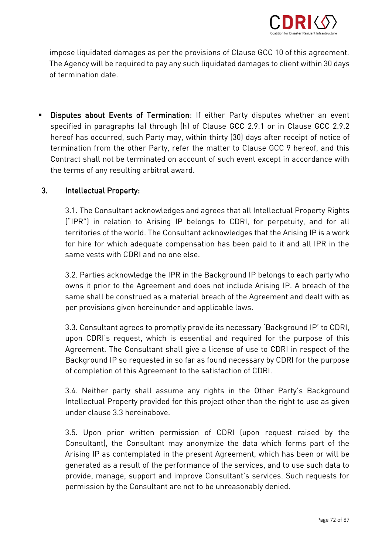

impose liquidated damages as per the provisions of Clause GCC 10 of this agreement. of termination date.

■ Disputes about Events of Termination: If either Party disputes whether an event specified in paragraphs (a) through (h) of Clause GCC 2.9.1 or in Clause GCC 2.9.2 hereof has occurred, such Party may, within thirty (30) days after receipt of notice of termination from the other Party, refer the matter to Clause GCC 9 hereof, and this Contract shall not be terminated on account of such event except in accordance with the terms of any resulting arbitral award. the terms of any resulting arbitral award.

### $3<sub>1</sub>$ 3. Intellectual Property:

3.1. The Consultant acknowledges and agrees that all Intellectual Property Rights<br>("IPR") in relation to Arising IP belongs to CDRI, for perpetuity, and for all territories of the world. The Consultant acknowledges that the Arising IP is a work for hire for which adequate compensation has been paid to it and all IPR in the same vests with CDRI and no one else.

3.2. Parties acknowledge the IPR in the Background IP belongs to each party who same shall be construed as a material breach of the Agreement and dealt with as same shall be constructed as a material breach of the Agreement and dealt with as per provisions given hereinunder and applicable laws.

3.3. Consultant agrees to promptly provide its necessary 'Background IP' to CDRI, Agreement. The Consultant shall give a license of use to CDRI in respect of the Background IP so requested in so far as found necessary by CDRI for the purpose  $B$  so requested in so far as found in so far as  $\frac{1}{2}$  for the found  $\frac{1}{2}$  for  $\frac{1}{2}$ of completion of this Agreement to the satisfaction of CDRI.

3.4. Neither party shall assume any rights in the Other Party's Background under clause 3.3 hereinabove.

3.5. Upon prior written permission of CDRI (upon request raised by the Arising IP as contemplated in the present Agreement, which has been or will be generated as a result of the performance of the services, and to use such data to provide, manage, support and improve Consultant's services. Such requests for permission by the Consultant are not to be unreasonably denied. permission by the Consultant are not to be unreasonably denied.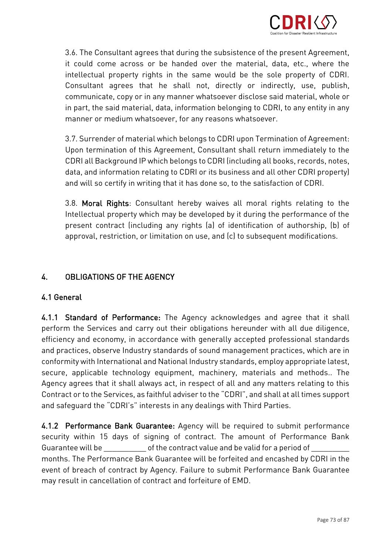

3.6. The Consultant agrees that during the subsistence of the present Agreement, intellectual property rights in the same would be the sole property of CDRI. Consultant agrees that he shall not, directly or indirectly, use, publish, communicate, copy or in any manner whatsoever disclose said material, whole or in part, the said material, data, information belonging to CDRI, to any entity in any manner or medium whatsoever, for any reasons whatsoever. manner or medium whatsoever, for any reasons whatsoever.

3.7. Surrender of material which belongs to CDRI upon Termination of Agreement: CDRI all Background IP which belongs to CDRI (including all books, records, notes, data, and information relating to CDRI or its business and all other CDRI property) data, and information  $\frac{d}{dt}$  or its best it because as the the cettefection of CDDI and will so certify in writing that it has done so, to the satisfaction of CDRI.

3.8. Moral Rights: Consultant hereby waives all moral rights relating to the Intellectual property which may be developed by it during the performance of the present contract (including any rights (a) of identification of authorship, (b) of approval, restriction, or limitation on use, and (c) to subsequent modifications. approval, restriction, or limitation on use, and (c) to subsequent modifications.

# 4. OBLIGATIONS OF THE AGENCY

# 4.1 General

4.1.1 Standard of Performance: The Agency acknowledges and agree that it shall perform the Services and carry out their obligations hereunder with all due diligence. efficiency and economy, in accordance with generally accepted professional standards and practices, observe Industry standards of sound management practices, which are in conformity with International and National Industry standards, employ appropriate latest, secure, applicable technology equipment, machinery, materials and methods.. The Agency agrees that it shall always act, in respect of all and any matters relating to this Contract or to the Services, as faithful adviser to the "CDRI", and shall at all times support Contract or to the Services, as faithful adviser to the "CDRI", and shall at all times support and safeguard the "CDRI's" interests in any dealings with Third Parties.

4.1.2 Performance Bank Guarantee: Agency will be required to submit performance security within 15 days of signing of contract. The amount of Performance Bank Guarantee will be \_\_\_\_\_\_\_\_\_\_\_\_\_ of the contract value and be valid for a period of \_ months. The Performance Bank Guarantee will be forfeited and encashed by CDRI in the event of breach of contract by Agency. Failure to submit Performance Bank Guarantee may result in cancellation of contract and forfeiture of EMD. may result in cancellation of contract and forfeiture of EMD.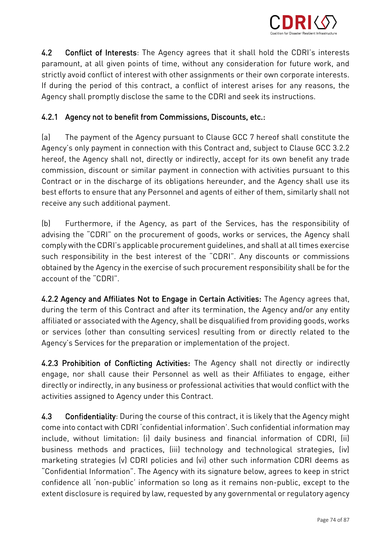

4.2 Conflict of Interests: The Agency agrees that it shall hold the CDRI's interests paramount, at all given points of time, without any consideration for future work, and strictly avoid conflict of interest with other assignments or their own corporate interests. If during the period of this contract, a conflict of interest arises for any reasons, the If during the period of this contract, a conflict of interest arises for any reasons, the Agency shall promptly disclose the same to the CDRI and seek its instructions.

## 4.2.1 Agency not to benefit from Commissions, Discounts, etc.:

 $[a]$ (a) The payment of the Agency pursuant to Clause GCC 7 hereof shall constitute the<br>Agency's only payment in connection with this Contract and, subject to Clause GCC 3.2.2 hereof, the Agency shall not, directly or indirectly, accept for its own benefit any trade commission, discount or similar payment in connection with activities pursuant to this Contract or in the discharge of its obligations hereunder, and the Agency shall use its best efforts to ensure that any Personnel and agents of either of them, similarly shall not receive any such additional payment. receive any such additional payment.

(b) Furthermore, if the Agency, as part of the Services, has the responsibility of advising the "CDRI" on the procurement of goods, works or services, the Agency shall comply with the CDRI's applicable procurement quidelines, and shall at all times exercise such responsibility in the best interest of the "CDRI". Any discounts or commissions obtained by the Agency in the exercise of such procurement responsibility shall be for the account of the "CDRI".

4.2.2 Agency and Affiliates Not to Engage in Certain Activities: The Agency agrees that, during the term of this Contract and after its termination, the Agency and/or any entity affiliated or associated with the Agency, shall be disqualified from providing goods, works or services (other than consulting services) resulting from or directly related to the Agency's Services for the preparation or implementation of the project. Agency's Services for the preparation or implementation of the project.

4.2.3 Prohibition of Conflicting Activities: The Agency shall not directly or indirectly engage, either directly or indirectly, in any business or professional activities that would conflict with the an early or indirectly, in any business or professional activities that would conflict with the conflict with the activities assigned to Agency under this Contract.

 $4.3$ 4.3 Confidentiality: During the course of this contract, it is likely that the Agency might<br>come into contact with CDRI 'confidential information'. Such confidential information may include, without limitation: (i) daily business and financial information of CDRI, (ii) business methods and practices, (iii) technology and technological strategies, (iv) marketing strategies (v) CDRI policies and (vi) other such information CDRI deems as "Confidential Information". The Agency with its signature below, agrees to keep in strict confidence all 'non-public' information so long as it remains non-public, except to the confidence all 'non-public' information so long as it remains non-public, except to the extent disclosure is required by law, requested by any governmental or regulatory agency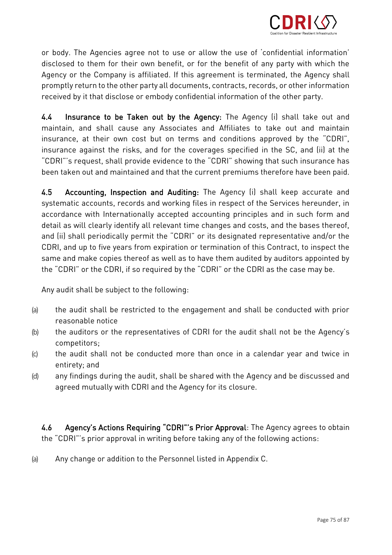

or body. The Agencies agree not to use or allow the use of 'confidential information'<br>disclosed to them for their own benefit, or for the benefit of any party with which the Agency or the Company is affiliated. If this agreement is terminated, the Agency shall promptly return to the other party all documents, contracts, records, or other information promptly return to the other party all documents, contracts, records, or other information received by it that disclose or embody confidential information of the other party.

4.4 Insurance to be Taken out by the Agency: The Agency (i) shall take out and maintain<br>maintain, and shall cause any Associates and Affiliates to take out and maintain insurance, at their own cost but on terms and conditions approved by the "CDRI", insurance against the risks, and for the coverages specified in the SC, and (ii) at the "CDRI"'s request, shall provide evidence to the "CDRI" showing that such insurance has been taken out and maintained and that the current premiums therefore have been paid. been taken out and maintained and that the current premiums therefore have been paid.

4.5 4.5 Accounting, Inspection and Auditing: The Agency (i) shall keep accurate and<br>systematic accounts, records and working files in respect of the Services hereunder, in accordance with Internationally accepted accounting principles and in such form and detail as will clearly identify all relevant time changes and costs, and the bases thereof, and (ii) shall periodically permit the "CDRI" or its designated representative and/or the CDRI, and up to five years from expiration or termination of this Contract, to inspect the same and make copies thereof as well as to have them audited by auditors appointed by same and make copies there is well as well as well and make a auditors appointed by .<br>the "CDDI" enthe CDDL if se required by the "CDDI" enthe CDDI es the esse moving the "CDRI" or the CDRI, if so required by the "CDRI" or the CDRI as the case may be.

Any audit shall be subject to the following:

- (a) the audit shall be restricted to the engagement and shall be conducted with prior
- (b) the auditors or the representatives of CDRI for the audit shall not be the Agency's
- (c) the audit shall not be conducted more than once in a calendar year and twice in<br>entitaty and
- entirety; and any findings during the audit, shall be shared with the Agency and be discussed and (d) any findings during the audit, shall be shared with the Agency and be discussed and  $\overline{a}$

 $4.6$  $\frac{1}{2}$ . Agency's Actions Requiring "Computer of Actions  $\frac{1}{2}$  of  $\frac{1}{2}$ the "CDRI"'s prior approval in writing before taking any of the following actions:

(a) Any change or addition to the Personnel listed in Appendix C.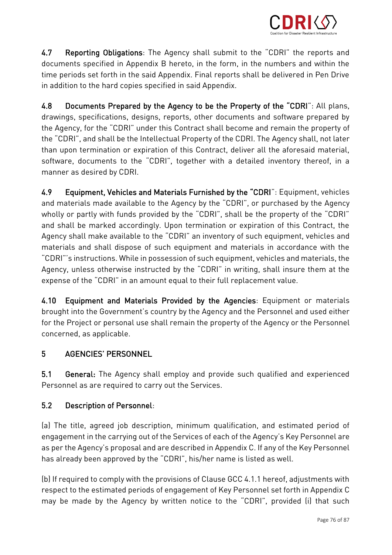

4.7 Reporting Obligations: The Agency shall submit to the "CDRI" the reports and documents specified in Appendix B hereto, in the form, in the numbers and within the time periods set forth in the said Appendix. Final reports shall be delivered in Pen Drive  $\frac{1}{2}$  is addition to the bend cenies specified in eaid Appendix. in addition to the hard copies specified in said Appendix.

4.8 Documents Prepared by the Agency to be the Property of the "CDRI": All plans, drawings, specifications, designs, reports, other documents and software prepared by the Agency, for the "CDRI" under this Contract shall become and remain the property of the "CDRI", and shall be the Intellectual Property of the CDRI. The Agency shall, not later than upon termination or expiration of this Contract, deliver all the aforesaid material, software, documents to the "CDRI", together with a detailed inventory thereof, in a manner as desired by CDRI. manner as desired by CDRI.

4.9 4.9 Equipment, Vehicles and Materials Furnished by the "CDRI": Equipment, vehicles<br>and materials made available to the Agency by the "CDRI", or purchased by the Agency wholly or partly with funds provided by the "CDRI", shall be the property of the "CDRI" and shall be marked accordingly. Upon termination or expiration of this Contract, the Agency shall make available to the "CDRI" an inventory of such equipment, vehicles and materials and shall dispose of such equipment and materials in accordance with the "CDRI"'s instructions. While in possession of such equipment, vehicles and materials, the Agency, unless otherwise instructed by the "CDRI" in writing, shall insure them at the agency, understand by the "CDDI" in an amount equal to their full replacement value. expense of the "CDRI" in an amount equal to their full replacement value.

4.10 Equipment and Materials Provided by the Agencies: Equipment or materials brought into the Government's country by the Agency and the Personnel and used either for the Project or personal use shall remain the property of the Agency or the Personnel for the Project or personal use shall remain the property of the Agency or the Personnel concerned, as applicable.

# 5 AGENCIES' PERSONNEL

 $5.1$  $\begin{array}{c} 5.11 & 5.11174 \text{ m} \end{array}$   $\begin{array}{c} 5.11 & 1.11 & 1.11174 \end{array}$ Personnel as are required to carry out the Services.

## 5.2 Description of Personnel:

(a) The title, agreed job description, minimum qualification, and estimated period of<br>engagement in the carrying out of the Services of each of the Agency's Key Personnel are as per the Agency's proposal and are described in Appendix C. If any of the Key Personnel as per the Agency's proposal and are described in Appendix  $\frac{1}{2}$  and  $\frac{1}{2}$  are described in Appendix C. If any of the Key Personnel is listed as well. has already been approved by the "CDRI", his/her name is listed as well.

(b) If required to comply with the provisions of Clause GCC 4.1.1 hereof, adjustments with respect to the estimated periods of  $\frac{1}{2}$   $\frac{1}{2}$   $\frac{1}{2}$  Personnel set for  $\frac{1}{2}$  and  $\frac{1}{2}$  in Appendix connections of  $\frac{1}{2}$  and  $\frac{1}{2}$  in Appendix CDDI" in Appendix connections of  $\frac{1}{2}$  and  $\frac$ may be made by the Agency by written notice to the "CDRI", provided (i) that such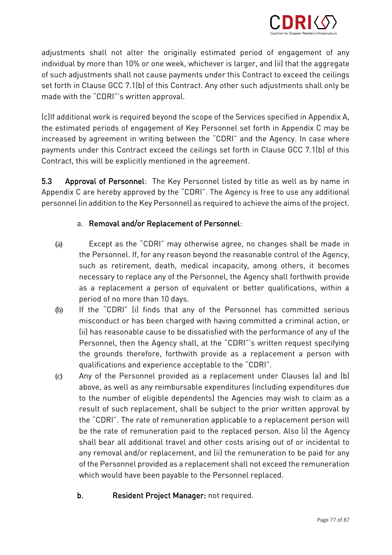

adjustments shall not alter the originally estimated period of engagement of any<br>individual by more than 10% or one week, whichever is larger, and (ii) that the aggregate of such adjustments shall not cause payments under this Contract to exceed the ceilings set forth in Clause GCC 7.1(b) of this Contract. Any other such adjustments shall only be set forth in Clause GCC 7.1(b) of this Contract. Any other such adjustments shall only be made with the "CDRI"'s written approval. The "CDRI"'s written approval. The "CDRI"'s written approval. The "CDRI"

(c)If additional work is required beyond the scope of the Services specified in Appendix A, increased by agreement in writing between the "CDRI" and the Agency. In case where payments under this Contract exceed the ceilings set forth in Clause GCC 7.1(b) of this payments this will be evoligitly mentioned in the cereament Contract, this will be explicitly mentioned in the agreement.

5.3 Approval of Personnel: The Key Personnel listed by title as well as by name in<br>Appendix C are hereby approved by the "CDRI". The Agency is free to use any additional  $5.3$  $\frac{1}{2}$  are denote the  $\frac{1}{2}$  and  $\frac{1}{2}$ . The  $\frac{1}{2}$  consequence of the proved to explore the number of the use and  $\frac{1}{2}$ personnel (in addition to the Key Personnel) as required to achieve the aims of the project.

## a. Removal and/or Replacement of Personnel:

- (a) Except as the "CDRI" may otherwise agree, no changes shall be made in such as retirement, death, medical incapacity, among others, it becomes necessary to replace any of the Personnel, the Agency shall forthwith provide as a replacement a person of equivalent or better qualifications, within a period of no more than 10 days.
- (b) If the "CDRI" (i) finds that any of the Personnel has committed serious<br>misconduct or has been charged with baying committed a criminal action or misconduct or has been charged with having committed a criminal action, or<br>(ii) has reasonable cause to be dissatisfied with the performance of any of the Personnel, then the Agency shall, at the "CDRI"'s written request specifying the grounds therefore, forthwith provide as a replacement a person with qualifications and experience acceptable to the "CDRI".
- qualifications and experience acceptable to the "CDRI".<br>(c) Any of the Personnel provided as a replacement under Clauses (a) and (b) above, as well as any reimbursable expenditures (including expenditures due result of such replacement, shall be subject to the prior written approval by the "CDRI". The rate of remuneration applicable to a replacement person will be the rate of remuneration paid to the replaced person. Also (i) the Agency shall bear all additional travel and other costs arising out of or incidental to any removal and/or replacement, and (ii) the remuneration to be paid for any of the Personnel provided as a replacement shall not exceed the remuneration  $\overline{a}$  the Personnel provided as a replacement shall not exceed the remuneration of the remuneration  $\overline{a}$ which would have been payable to the Personnel replaced.
	- b. Resident Project Manager: not required.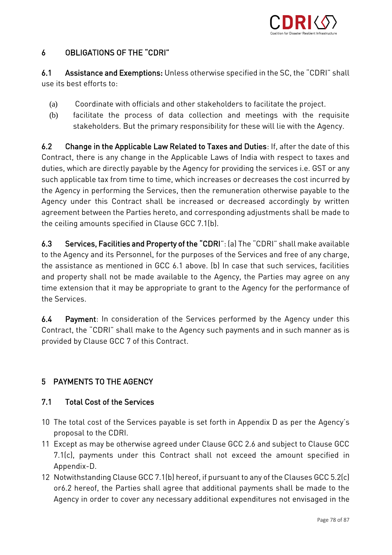

#### $\overline{6}$ **OBLIGATIONS OF THE "CDRI"** 6 OBLIGATIONS OF THE "CDRI"

6.1 Assistance and Exemptions: Unless otherwise specified in the SC, the "CDRI" shall use its best efforts to:

- 
- (a) Coordinate with officials and other stakeholders to facilitate the project. facilitate the process of data collection and meetings with the requisite<br>stakeholders. But the primary responsibility for these will lie with the Agency. stakeholders. But the primary responsibility for these will lie with the Agency.

6.2 Change in the Applicable Law Related to Taxes and Duties: If, after the date of this<br>Contract, there is any change in the Applicable Laws of India with respect to taxes and duties, which are directly payable by the Agency for providing the services i.e. GST or any such applicable tax from time to time, which increases or decreases the cost incurred by the Agency in performing the Services, then the remuneration otherwise payable to the Agency under this Contract shall be increased or decreased accordingly by written agreement between the Parties hereto, and corresponding adjustments shall be made to  $\frac{1}{2}$  $\frac{1}{\sqrt{2}}$ 

 $6.3$ 6.3 Services, Facilities and Property of the "CDRI": (a) The "CDRI" shall make available<br>to the Agency and its Personnel, for the purposes of the Services and free of any charge, the assistance as mentioned in GCC 6.1 above. (b) In case that such services, facilities and property shall not be made available to the Agency, the Parties may agree on any and property shall not be made available to the Agency, for the partermenes of time extension that it may be appropriate to grant to the Agency for the performance of

 $6.4$ 6.4 Payment: In consideration of the Services performed by the Agency under this<br>Contract, the "CDRI" shall make to the Agency such payments and in such manner as is  $\frac{1}{2}$  make the Clouse CCC  $\frac{1}{2}$  of this Centract provided by Clause GCC 7 of this Contract.

### 5 PAYMENTS TO THE AGENCY 5 PAYMENTS TO THE AGENCY

#### $7.1$ **Total Cost of the Services** 7.1 Total Cost of the Services

- 10 The total cost of the Services payable is set forth in Appendix D as per the Agency's
- 11 Except as may be otherwise agreed under Clause GCC 2.6 and subject to Clause GCC 11 Except as may be otherwise agreed under Clause GCC 2.6 and subject to Clause GCC  $\frac{1}{2}$
- Appendix-D.<br>12 Notwithstanding Clause GCC 7.1(b) hereof, if pursuant to any of the Clauses GCC 5.2(c) or6.2 hereof, the Parties shall agree that additional payments shall be made to the or 6.2 hereof, the Parties shall agree that additional payments shall as made to the<br>Additional be made to come only a cooperate additional pure additions and environed in the Agency in order to cover any necessary additional expenditures not envisaged in the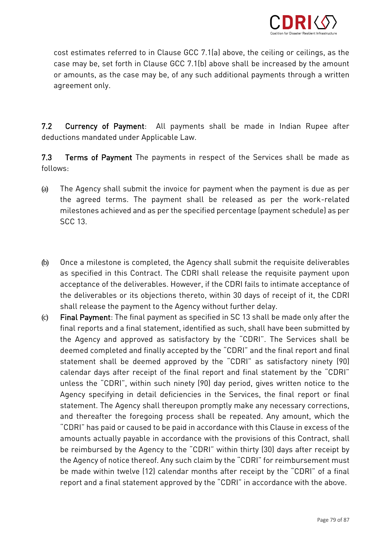

cost estimates referred to in Clause GCC 7.1(a) above, the ceiling or ceilings, as the  $\frac{1}{2}$ ,  $\frac{1}{2}$ or amounts, as the case may be, of any such additional payments through a written payments through a written o<br>The case of any such a written of any such a written of any such a written of any such a written of any such a agreement only.

7.2 Currency of Payment: All payments shall be made in Indian Rupee after deductions mandated under Applicable Law.

 $7.3$ 7.3 Terms of Payment The payments in respect of the Services shall be made as follows:

- (a) The Agency shall submit the invoice for payment when the payment is due as per<br>the agreed terms. The payment shall be released as per the work-related  $\frac{1}{2}$  the agreed terms. The payment shall be released as per the payment shall be related as per the work-relation of  $\frac{1}{2}$ milestones achieved and as per the specified percentage (payment schedule) as per
- (b) Once a milestone is completed, the Agency shall submit the requisite deliverables acceptance of the deliverables. However, if the CDRI fails to intimate acceptance of the deliverables or its objections thereto, within 30 days of receipt of it, the CDRI shall release the payment to the Agency without further delay.
- eshing the payment of the Agency with a comparison to the Agency.<br>(c) Final Payment: The final payment as specified in SC 13 shall be made only after the final reports and a final statement, identified as such, shall have been submitted by<br>the Agency and approved as satisfactory by the "CDRI". The Services shall be deemed completed and finally accepted by the "CDRI" and the final report and final statement shall be deemed approved by the "CDRI" as satisfactory ninety (90) calendar days after receipt of the final report and final statement by the "CDRI" unless the "CDRI", within such ninety (90) day period, gives written notice to the Agency specifying in detail deficiencies in the Services, the final report or final statement. The Agency shall thereupon promptly make any necessary corrections, and thereafter the foregoing process shall be repeated. Any amount, which the "CDRI" has paid or caused to be paid in accordance with this Clause in excess of the amounts actually payable in accordance with the provisions of this Contract, shall be reimbursed by the Agency to the "CDRI" within thirty (30) days after receipt by the Agency of notice thereof. Any such claim by the "CDRI" for reimbursement must be made within twelve (12) calendar months after receipt by the "CDRI" of a final be made within twelve (12) calendar months after receipt by the "CDRI" of a final report and a final statement approved by the "CDRI" in accordance with the above.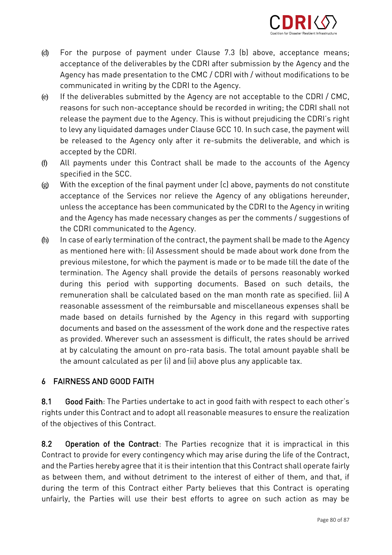

- (d) For the purpose of payment under Clause 7.3 (b) above, acceptance means;<br>acceptance of the deliverables by the CDRI after submission by the Agency and the Agency has made presentation to the CMC / CDRI with / without modifications to be communicated in writing by the CDRI to the Agency.
- e) If the deliverables submitted by the Agency are not acceptable to the CDRI / CMC, reasons for such non-acceptance should be recorded in writing; the CDRI shall not<br>release the payment due to the Agency. This is without prejudicing the CDRI's right to levy any liquidated damages under Clause GCC 10. In such case, the payment will be released to the Agency only after it re-submits the deliverable, and which is accepted by the CDRI.
- (f) All payments under this Contract shall be made to the accounts of the Agency
- (g) With the exception of the final payment under (c) above, payments do not constitute acceptance of the Services nor relieve the Agency of any obligations hereunder,<br>unless the acceptance has been communicated by the CDRI to the Agency in writing and the Agency has made necessary changes as per the comments / suggestions of the CDRI communicated to the Agency.
- (h) In case of early termination of the contract, the payment shall be made to the Agency.<br>So mentioned bere with (i) Accessment shauld be made shout weak dans from the previous milestone, for which the payment is made or to be made till the date of the termination. The Agency shall provide the details of persons reasonably worked during this period with supporting documents. Based on such details, the remuneration shall be calculated based on the man month rate as specified. (ii) A reasonable assessment of the reimbursable and miscellaneous expenses shall be made based on details furnished by the Agency in this regard with supporting documents and based on the assessment of the work done and the respective rates as provided. Wherever such an assessment is difficult, the rates should be arrived at by calculating the amount on pro-rata basis. The total amount payable shall be at by calculating the amount on pro-rata basis. The total amount payable shall be  $\frac{1}{2}$  and  $\frac{1}{2}$  and  $\frac{1}{2}$  and  $\frac{1}{2}$  and  $\frac{1}{2}$  and  $\frac{1}{2}$  and  $\frac{1}{2}$  and  $\frac{1}{2}$  are plus any applicable tax.

### 6 FAIRNESS AND GOOD FAITH 6 FAIRNESS AND GOOD FAITH

 $8.1$ 8.1 Good Faith: The Parties undertake to act in good faith with respect to each other's<br>rights under this Contract and to adopt all reasonable measures to ensure the realization of the objectives of this Contract. of the objectives of this Contract.

8.2 Operation of the Contract: The Parties recognize that it is impractical in this Contract, contract, and the Parties hereby agree that it is their intention that this Contract shall operate fairly as between them, and without detriment to the interest of either of them, and that, if during the term of this Contract either Party believes that this Contract is operating during the term of this Contract either Party believes that this Contract is operating  $\mathcal{L}_{\mathcal{P}}$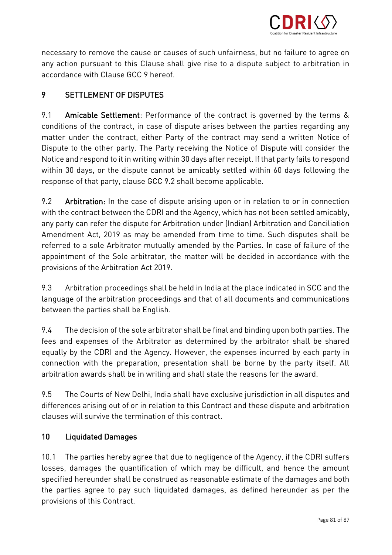

necessary to remove the cause or causes of such unfairness, but no failure to agree on<br>any action pursuant to this Clause shall give rise to a dispute subject to arbitration in accordance with Clause GCC 9 hereof.

#### 9 **SETTLEMENT OF DISPUTES** 9 SETTLEMENT OF DISPUTES

 $9<sub>1</sub>$ 9.1 Amicable Settlement: Performance of the contract is governed by the terms &<br>conditions of the contract, in case of dispute arises between the parties regarding any matter under the contract, either Party of the contract may send a written Notice of Dispute to the other party. The Party receiving the Notice of Dispute will consider the Notice and respond to it in writing within 30 days after receipt. If that party fails to respond within 30 days, or the dispute cannot be amicably settled within 60 days following the  $\frac{1}{2}$  days, or the dispute cannot be amicable with  $\frac{1}{2}$ response of the party of the party of the come applicable. The come applicable become applicable. The come applicable. The come applicable become applicable. The come applicable become applicable. The come applicable. The

9.2 9.2 Arbitration: In the case of dispute arising upon or in relation to or in connection<br>with the contract between the CDRI and the Agency, which has not been settled amicably. any party can refer the dispute for Arbitration under (Indian) Arbitration and Conciliation Amendment Act, 2019 as may be amended from time to time. Such disputes shall be referred to a sole Arbitrator mutually amended by the Parties. In case of failure of the appointment of the Sole arbitrator, the matter will be decided in accordance with the  $\frac{1}{2}$ provisions of the Arbitration Act 2019.

93 9.3 Arbitration proceedings shall be held in India at the place indicated in SCC and the<br>language of the arbitration proceedings and that of all documents and communications between the parties shall be English. between the parties shall be English.

9.4 The decision of the sole arbitrator shall be final and binding upon both parties. The fees and expenses of the Arbitrator as determined by the arbitrator shall be shared  $9<sub>4</sub>$ equally by the CDRI and the Agency. However, the expenses incurred by each party in connection with the preparation, presentation shall be borne by the party itself. All connection with the preparation, presentation shall as a some by the party itself. All arbitration awards shall be in writing and shall state the shall state the award.

9.5 9.5 The Courts of New Delhi, India shall have exclusive jurisdiction in all disputes and clauses will survive the termination of this contract.

#### $10<sup>1</sup>$ 10 Liquidated Damages

10.1 The parties hereby agree that due to negligence of the Agency, if the CDRI suffers<br>losses, damages the quantification of which may be difficult, and hence the amount specified hereunder shall be construed as reasonable estimate of the damages and both the parties agree to pay such liquidated damages, as defined hereunder as per the  $\frac{1}{2}$  of  $\frac{1}{2}$  damages, as defined here  $\frac{1}{2}$  damages, as per the  $\frac{1}{2}$  damages, as per the  $\frac{1}{2}$ provisions of this Contract.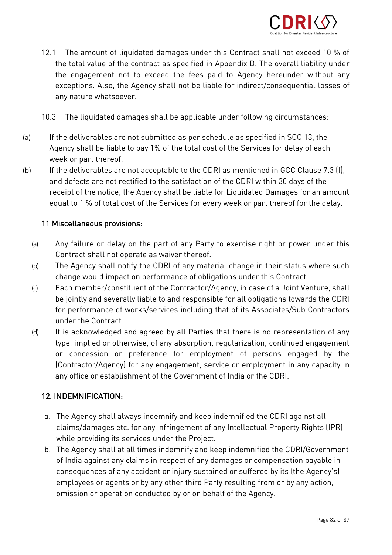

- $12.1$ 1 The amount of liquidated damages under this Contract shall not exceed 10 % of<br>the total value of the contract as specified in Appendix D. The overall liability under the engagement not to exceed the fees paid to Agency hereunder without any the engagement of the exception of the fees paid to the fees paid to a second the fees paid to a second the fees paid to a second the fees paid to a second the fees paid to a second the fees paid to a second the second sec exceptions. Also, the Agency shall not be liable for indirect/consequential losses of any nature whatsoever.
- $10.3$ The liquidated damages shall be applicable under following circumstances:
- (a) If the deliverables are not submitted as per schedule as specified in SCC 13, the week or part thereof.
- (b) If the deliverables are not acceptable to the CDRI as mentioned in GCC Clause 7.3 (f),  $\frac{1}{2}$ and defects are not rectified to the satisfaction of the CDRI within 30 days of the<br>receipt of the notice, the Agency shall be liable for Liguidated Damages for an amount receipt of  $\frac{1}{2}$  ,  $\frac{1}{2}$  ,  $\frac{1}{2}$  and  $\frac{1}{2}$  are not the notice for the delay. equal to 1 % of total cost of the Services for every week or part thereof for the delay.

### 11 Miscellaneous provisions:

- (a) Any failure or delay on the part of any Party to exercise right or power under this
- (b) The Agency shall notify the CDRI of any material change in their status where such<br>express would impact an performance of obligations under this Contract
- change would impact on the Contractor/Agency, in case of a Joint Venture, shall<br>In is is interested as usually liable to and associately for all abligations towards the CDDL be jointly and severally liable to and responsible for an early anti-response to all obligations. for performance of works/services including that of its Associates/Sub Contractors
- (d) It is acknowledged and agreed by all Parties that there is no representation of any<br>type implied anotherwise of any absention, resultriation, continued angegament type, implied or otherwise, of any absorption, regularization, continued engagement<br>or concession or preference for employment of persons engaged by the (Contractor/Agency) for any engagement, service or employment in any capacity in (Contractor/Agency) for any engagement, service or employment in any capacity in any office or establishment of the Government of India or the CDRI.

### 12. INDEMNIFICATION: 12. INDEPENDENT PRODUCTS

- a. The Agency shall always indemnify and keep indemnified the CDRI against all while providing its services under the Project.
- b. The Agency shall at all times indemnify and keep indemnified the CDRI/Government of India against any claims in respect of any damages or compensation payable in consequences of any accident or injury sustained or suffered by its (the Agency's) employees or agents or by any other third Party resulting from or by any action, employees or agents or by any other third Party resulting from or by any action, omission or operation conducted by or on behalf of the Agency.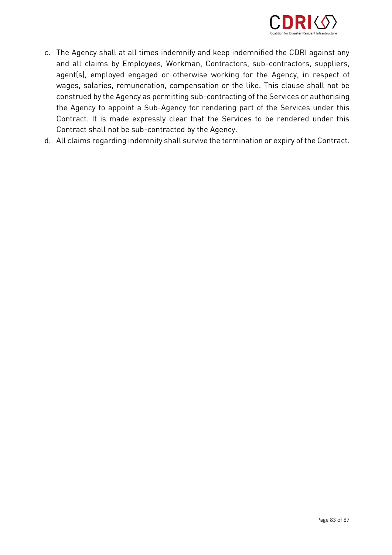

- c. The Agency shall at all times indemnify and keep indemnified the CDRI against any agent(s), employed engaged or otherwise working for the Agency, in respect of wages, salaries, remuneration, compensation or the like. This clause shall not be construed by the Agency as permitting sub-contracting of the Services or authorising the Agency to appoint a Sub-Agency for rendering part of the Services under this Contract. It is made expressly clear that the Services to be rendered under this Contract shall not be sub-contracted by the Agency.
- $\frac{1}{2}$  contracted by the shall sub-contracted by the  $\frac{1}{2}$ d. All claims regarding indemnity shall survive the termination or expiry of the Contract.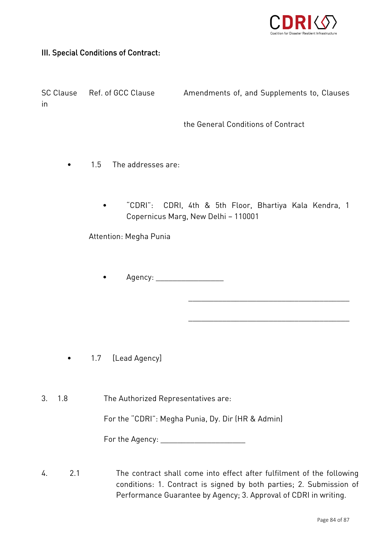

### III. Special Conditions of Contract:

SC Clause SC Clause Ref. of GCC Clause Amendments of, and Supplements to, Clauses

the General Conditions of Contract

\_\_\_\_\_\_\_\_\_\_\_\_\_\_\_\_\_\_\_\_\_\_\_\_\_\_\_\_\_\_\_\_\_\_\_\_\_\_

\_\_\_\_\_\_\_\_\_\_\_\_\_\_\_\_\_\_\_\_\_\_\_\_\_\_\_\_\_\_\_\_\_\_\_\_\_\_

- $1.5$ The addresses are:
	- $\bullet$ • "CDRI": CDRI, 4th & 5th Floor, Bhartiya Kala Kendra, 1 Copernicus Marg, New Delhi – 110001

Attention: Megha Punia

• Agency: \_\_\_\_\_\_\_\_\_\_\_\_\_\_\_\_

- 1.7 [Lead Agency]
- $3.$  $1.8$ The Authorized Representatives are:

For the "CDRI": Megha Punia, Dy. Dir (HR & Admin)

For the Agency: \_\_\_\_\_\_\_\_\_\_\_\_\_\_\_\_\_\_\_\_

 $\overline{4}$  $2<sub>1</sub>$ The contract shall come into effect after fulfilment of the following<br>conditions: 1. Contract is signed by both parties; 2. Submission of community in compact is signed by a companies; 2. Contractive of Performance Guarantee by Agency; 3. Approval of CDRI in writing.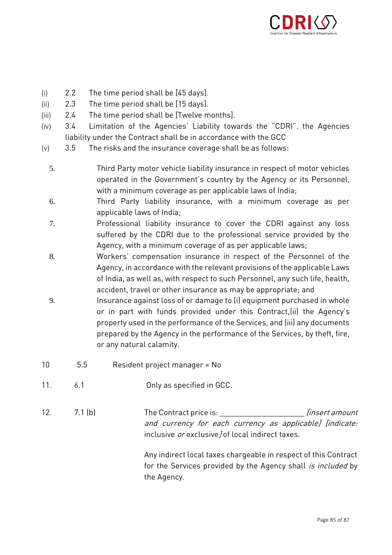

- 
- (i)  $2.2$  The time period shall be [45 days].<br>(ii)  $2.3$  The time period shall be [15 days].
- (ii)  $2.3$  The time period shall be [15 days].<br>(iii)  $2.4$  The time period shall be [Twelve m
- (iii) 2.4 The time period shall be [Twelve months].<br>(iv) 3.4 Limitation of the Agencies' Liability tow 3.4 Limitation of the Agencies' Liability towards the "CDRI". the Agencies<br>liability under the Contract shall be in accordance with the GCC
- (v)  $3.5$  The risks and the insurance coverage shall be as follows:
	- 5. Third Party motor vehicle liability insurance in respect of motor vehicles with a minimum coverage as per applicable laws of India;
	- 6. Third Party liability insurance, with a minimum coverage as per
	- The cover the CDRI against any loss.<br>2. Professional liability insurance to cover the CDRI against any loss suffered by the CDRI due to the professional service provided by the Agency, with a minimum coverage of as per applicable laws;
	- 8. Workers' compensation insurance in respect of the Personnel of the Agency in accordance with the relevant provisions of the applicable laws; Agency, in accordance with the relevant provisions of the applicable Laws<br>of India, as well as, with respect to such Personnel, any such life, health, accident, travel or other insurance as may be appropriate; and
	- accident or other insurance against loss of or damage to (i) equipment purchased in whole<br>9. Insurance against loss of or damage to (i) equipment purchased in whole or in part with funds provided under this Contract, (ii) the Agency's property used in the performance of the Services, and (iii) any documents prepared by the Agency in the performance of the Services, by theft, fire, or any natural calamity. or any natural calamity.
- $10$  $5.5$ 10 5.5 Resident project manager = No
- $11<sub>1</sub>$  $6.1$ 11. 6.1 Only as specified in GCC.
- 12. 12. 7.1 (b) The Contract price is: *[insert amount* and currency for each currency as applicable] [indicate: inclusive *or* exclusive/of local indirect taxes.

Any indirect local taxes charged in respect to this community for the Services provided by the Agency shall *is included* by<br>the Agency the Agency.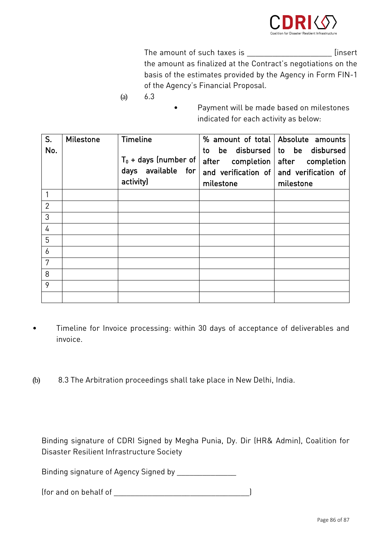

The amount of such taxes is \_\_\_\_\_\_\_\_\_\_\_\_\_\_\_\_\_\_\_\_\_\_\_\_\_\_\_\_ [insert<br>the amount as finalized at the Contract's negotiations on the basis of the estimates provided by the Agency in Form FIN-1  $\begin{array}{c} \n \text{of the } \Lambda \text{ can be a function of } \mathbb{R}^n, \n \end{array}$ of the Agency's Financial Proposal.

- (a) 6.3
- Payment will be made based on milestones indicated for each activity as below:  $\bullet$  $\mathcal{O}(\epsilon)$

| S.<br>No.      | <b>Milestone</b> | <b>Timeline</b>                                            | to                            | % amount of total Absolute amounts<br>be disbursed to be disbursed       |
|----------------|------------------|------------------------------------------------------------|-------------------------------|--------------------------------------------------------------------------|
|                |                  | $T_0$ + days (number of<br>days available for<br>activity) | after completion<br>milestone | after completion<br>and verification of and verification of<br>milestone |
|                |                  |                                                            |                               |                                                                          |
| $\overline{2}$ |                  |                                                            |                               |                                                                          |
| 3              |                  |                                                            |                               |                                                                          |
| 4              |                  |                                                            |                               |                                                                          |
| 5              |                  |                                                            |                               |                                                                          |
| 6              |                  |                                                            |                               |                                                                          |
| 7              |                  |                                                            |                               |                                                                          |
| 8              |                  |                                                            |                               |                                                                          |
| 9              |                  |                                                            |                               |                                                                          |
|                |                  |                                                            |                               |                                                                          |

- Timeline for Invoice processing: within 30 days of acceptance of deliverables and invoice.  $\bullet$
- (b) 8.3 The Arbitration proceedings shall take place in New Delhi, India.

Binding signature of CDRI Signed by Megha Punia, Dy. Dir (HR& Admin), Coalition for Disaster Resilient Infrastructure Society

Binding signature of Agency Signed by \_\_\_\_\_\_\_\_\_\_\_\_\_\_

(for and on behalf of \_\_\_\_\_\_\_\_\_\_\_\_\_\_\_\_\_\_\_\_\_\_\_\_\_\_\_\_\_\_\_\_)